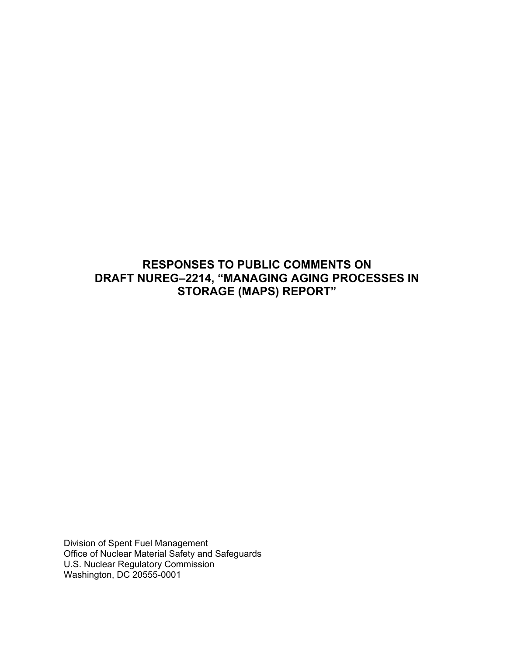# **RESPONSES TO PUBLIC COMMENTS ON DRAFT NUREG–2214, "MANAGING AGING PROCESSES IN STORAGE (MAPS) REPORT"**

Division of Spent Fuel Management Office of Nuclear Material Safety and Safeguards U.S. Nuclear Regulatory Commission Washington, DC 20555-0001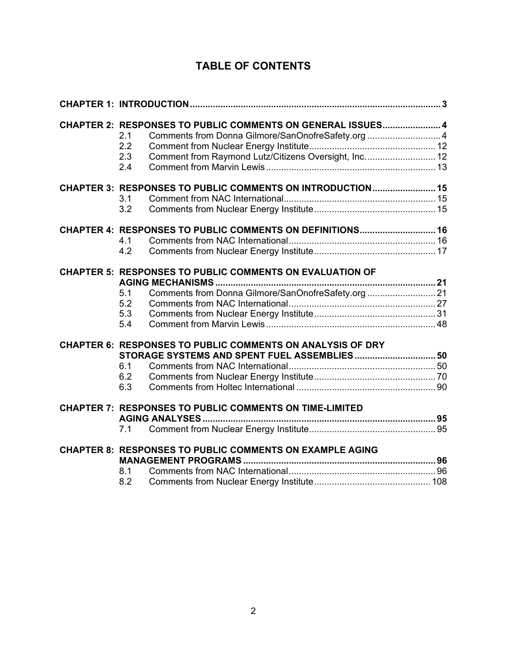# **TABLE OF CONTENTS**

| CHAPTER 2: RESPONSES TO PUBLIC COMMENTS ON GENERAL ISSUES4<br>Comments from Donna Gilmore/SanOnofreSafety.org 4<br>2.1<br>2.2<br>Comment from Raymond Lutz/Citizens Oversight, Inc 12<br>2.3<br>2.4 |  |
|-----------------------------------------------------------------------------------------------------------------------------------------------------------------------------------------------------|--|
| CHAPTER 3: RESPONSES TO PUBLIC COMMENTS ON INTRODUCTION 15<br>3.1<br>3.2                                                                                                                            |  |
| CHAPTER 4: RESPONSES TO PUBLIC COMMENTS ON DEFINITIONS 16<br>4.1<br>4.2                                                                                                                             |  |
| <b>CHAPTER 5: RESPONSES TO PUBLIC COMMENTS ON EVALUATION OF</b><br>Comments from Donna Gilmore/SanOnofreSafety.org 21<br>5.1<br>5.2<br>5.3<br>5.4                                                   |  |
| <b>CHAPTER 6: RESPONSES TO PUBLIC COMMENTS ON ANALYSIS OF DRY</b><br>STORAGE SYSTEMS AND SPENT FUEL ASSEMBLIES 50<br>6.1<br>6.2<br>6.3                                                              |  |
| <b>CHAPTER 7: RESPONSES TO PUBLIC COMMENTS ON TIME-LIMITED</b><br>7.1                                                                                                                               |  |
| <b>CHAPTER 8: RESPONSES TO PUBLIC COMMENTS ON EXAMPLE AGING</b><br>8.1<br>8.2                                                                                                                       |  |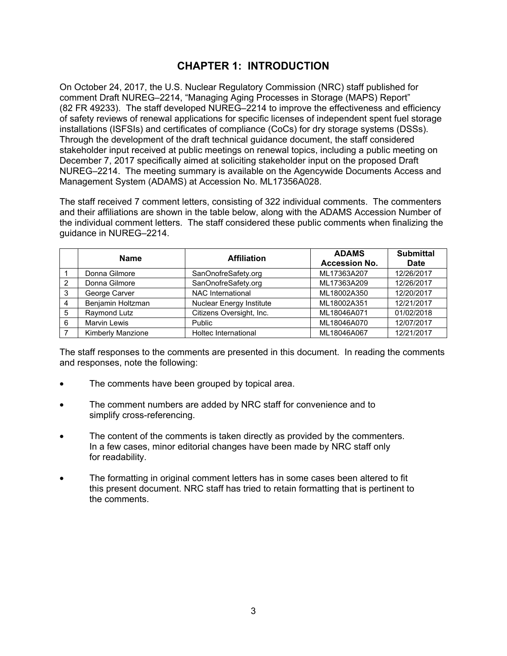# **CHAPTER 1: INTRODUCTION**

On October 24, 2017, the U.S. Nuclear Regulatory Commission (NRC) staff published for comment Draft NUREG–2214, "Managing Aging Processes in Storage (MAPS) Report" (82 FR 49233). The staff developed NUREG–2214 to improve the effectiveness and efficiency of safety reviews of renewal applications for specific licenses of independent spent fuel storage installations (ISFSIs) and certificates of compliance (CoCs) for dry storage systems (DSSs). Through the development of the draft technical guidance document, the staff considered stakeholder input received at public meetings on renewal topics, including a public meeting on December 7, 2017 specifically aimed at soliciting stakeholder input on the proposed Draft NUREG–2214. The meeting summary is available on the Agencywide Documents Access and Management System (ADAMS) at Accession No. ML17356A028.

The staff received 7 comment letters, consisting of 322 individual comments. The commenters and their affiliations are shown in the table below, along with the ADAMS Accession Number of the individual comment letters. The staff considered these public comments when finalizing the guidance in NUREG–2214.

|               | <b>Name</b>         | <b>Affiliation</b>              | <b>ADAMS</b><br><b>Accession No.</b> | <b>Submittal</b><br><b>Date</b> |
|---------------|---------------------|---------------------------------|--------------------------------------|---------------------------------|
|               | Donna Gilmore       | SanOnofreSafety.org             | ML17363A207                          | 12/26/2017                      |
| $\mathcal{P}$ | Donna Gilmore       | SanOnofreSafety.org             | ML17363A209                          | 12/26/2017                      |
| 3             | George Carver       | <b>NAC International</b>        | ML18002A350                          | 12/20/2017                      |
| 4             | Benjamin Holtzman   | <b>Nuclear Energy Institute</b> | ML18002A351                          | 12/21/2017                      |
| 5             | Raymond Lutz        | Citizens Oversight, Inc.        | ML18046A071                          | 01/02/2018                      |
| 6             | <b>Marvin Lewis</b> | Public                          | ML18046A070                          | 12/07/2017                      |
|               | Kimberly Manzione   | Holtec International            | ML18046A067                          | 12/21/2017                      |

The staff responses to the comments are presented in this document. In reading the comments and responses, note the following:

- The comments have been grouped by topical area.
- The comment numbers are added by NRC staff for convenience and to simplify cross-referencing.
- The content of the comments is taken directly as provided by the commenters. In a few cases, minor editorial changes have been made by NRC staff only for readability.
- The formatting in original comment letters has in some cases been altered to fit this present document. NRC staff has tried to retain formatting that is pertinent to the comments.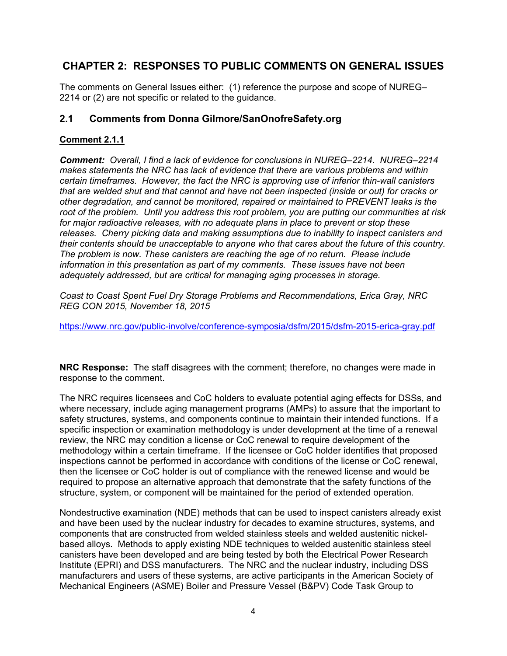# **CHAPTER 2: RESPONSES TO PUBLIC COMMENTS ON GENERAL ISSUES**

The comments on General Issues either: (1) reference the purpose and scope of NUREG– 2214 or (2) are not specific or related to the guidance.

# **2.1 Comments from Donna Gilmore/SanOnofreSafety.org**

## **Comment 2.1.1**

*Comment: Overall, I find a lack of evidence for conclusions in NUREG–2214. NUREG–2214 makes statements the NRC has lack of evidence that there are various problems and within certain timeframes. However, the fact the NRC is approving use of inferior thin-wall canisters that are welded shut and that cannot and have not been inspected (inside or out) for cracks or other degradation, and cannot be monitored, repaired or maintained to PREVENT leaks is the root of the problem. Until you address this root problem, you are putting our communities at risk for major radioactive releases, with no adequate plans in place to prevent or stop these releases. Cherry picking data and making assumptions due to inability to inspect canisters and their contents should be unacceptable to anyone who that cares about the future of this country. The problem is now. These canisters are reaching the age of no return. Please include information in this presentation as part of my comments. These issues have not been adequately addressed, but are critical for managing aging processes in storage.* 

*Coast to Coast Spent Fuel Dry Storage Problems and Recommendations, Erica Gray, NRC REG CON 2015, November 18, 2015* 

https://www.nrc.gov/public-involve/conference-symposia/dsfm/2015/dsfm-2015-erica-gray.pdf

**NRC Response:** The staff disagrees with the comment; therefore, no changes were made in response to the comment.

The NRC requires licensees and CoC holders to evaluate potential aging effects for DSSs, and where necessary, include aging management programs (AMPs) to assure that the important to safety structures, systems, and components continue to maintain their intended functions. If a specific inspection or examination methodology is under development at the time of a renewal review, the NRC may condition a license or CoC renewal to require development of the methodology within a certain timeframe. If the licensee or CoC holder identifies that proposed inspections cannot be performed in accordance with conditions of the license or CoC renewal, then the licensee or CoC holder is out of compliance with the renewed license and would be required to propose an alternative approach that demonstrate that the safety functions of the structure, system, or component will be maintained for the period of extended operation.

Nondestructive examination (NDE) methods that can be used to inspect canisters already exist and have been used by the nuclear industry for decades to examine structures, systems, and components that are constructed from welded stainless steels and welded austenitic nickelbased alloys. Methods to apply existing NDE techniques to welded austenitic stainless steel canisters have been developed and are being tested by both the Electrical Power Research Institute (EPRI) and DSS manufacturers. The NRC and the nuclear industry, including DSS manufacturers and users of these systems, are active participants in the American Society of Mechanical Engineers (ASME) Boiler and Pressure Vessel (B&PV) Code Task Group to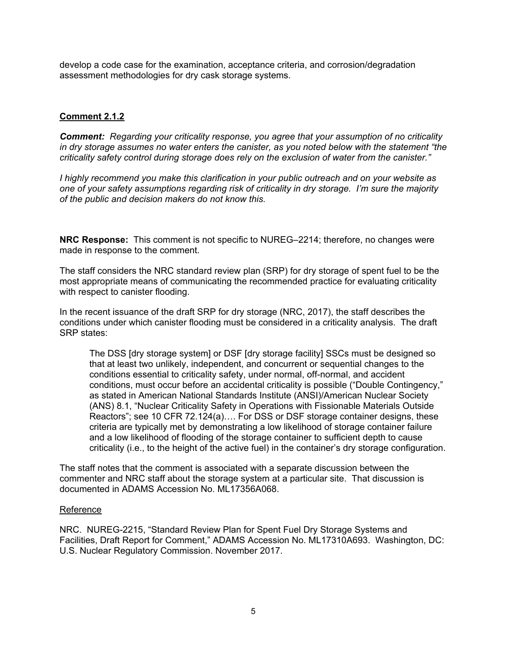develop a code case for the examination, acceptance criteria, and corrosion/degradation assessment methodologies for dry cask storage systems.

# **Comment 2.1.2**

*Comment: Regarding your criticality response, you agree that your assumption of no criticality in dry storage assumes no water enters the canister, as you noted below with the statement "the criticality safety control during storage does rely on the exclusion of water from the canister."* 

*I highly recommend you make this clarification in your public outreach and on your website as one of your safety assumptions regarding risk of criticality in dry storage. I'm sure the majority of the public and decision makers do not know this.* 

**NRC Response:** This comment is not specific to NUREG–2214; therefore, no changes were made in response to the comment.

The staff considers the NRC standard review plan (SRP) for dry storage of spent fuel to be the most appropriate means of communicating the recommended practice for evaluating criticality with respect to canister flooding.

In the recent issuance of the draft SRP for dry storage (NRC, 2017), the staff describes the conditions under which canister flooding must be considered in a criticality analysis. The draft SRP states:

The DSS [dry storage system] or DSF [dry storage facility] SSCs must be designed so that at least two unlikely, independent, and concurrent or sequential changes to the conditions essential to criticality safety, under normal, off-normal, and accident conditions, must occur before an accidental criticality is possible ("Double Contingency," as stated in American National Standards Institute (ANSI)/American Nuclear Society (ANS) 8.1, "Nuclear Criticality Safety in Operations with Fissionable Materials Outside Reactors"; see 10 CFR 72.124(a)…. For DSS or DSF storage container designs, these criteria are typically met by demonstrating a low likelihood of storage container failure and a low likelihood of flooding of the storage container to sufficient depth to cause criticality (i.e., to the height of the active fuel) in the container's dry storage configuration.

The staff notes that the comment is associated with a separate discussion between the commenter and NRC staff about the storage system at a particular site. That discussion is documented in ADAMS Accession No. ML17356A068.

#### Reference

NRC. NUREG-2215, "Standard Review Plan for Spent Fuel Dry Storage Systems and Facilities, Draft Report for Comment," ADAMS Accession No. ML17310A693. Washington, DC: U.S. Nuclear Regulatory Commission. November 2017.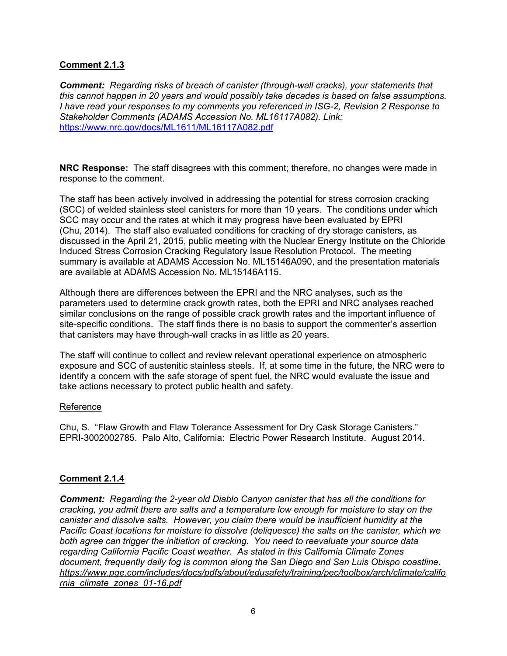## **Comment 2.1.3**

*Comment: Regarding risks of breach of canister (through-wall cracks), your statements that this cannot happen in 20 years and would possibly take decades is based on false assumptions. I have read your responses to my comments you referenced in ISG-2, Revision 2 Response to Stakeholder Comments (ADAMS Accession No. ML16117A082). Link:* https://www.nrc.gov/docs/ML1611/ML16117A082.pdf

**NRC Response:** The staff disagrees with this comment; therefore, no changes were made in response to the comment.

The staff has been actively involved in addressing the potential for stress corrosion cracking (SCC) of welded stainless steel canisters for more than 10 years. The conditions under which SCC may occur and the rates at which it may progress have been evaluated by EPRI (Chu, 2014). The staff also evaluated conditions for cracking of dry storage canisters, as discussed in the April 21, 2015, public meeting with the Nuclear Energy Institute on the Chloride Induced Stress Corrosion Cracking Regulatory Issue Resolution Protocol. The meeting summary is available at ADAMS Accession No. ML15146A090, and the presentation materials are available at ADAMS Accession No. ML15146A115.

Although there are differences between the EPRI and the NRC analyses, such as the parameters used to determine crack growth rates, both the EPRI and NRC analyses reached similar conclusions on the range of possible crack growth rates and the important influence of site-specific conditions. The staff finds there is no basis to support the commenter's assertion that canisters may have through-wall cracks in as little as 20 years.

The staff will continue to collect and review relevant operational experience on atmospheric exposure and SCC of austenitic stainless steels. If, at some time in the future, the NRC were to identify a concern with the safe storage of spent fuel, the NRC would evaluate the issue and take actions necessary to protect public health and safety.

### Reference

Chu, S. "Flaw Growth and Flaw Tolerance Assessment for Dry Cask Storage Canisters." EPRI-3002002785. Palo Alto, California: Electric Power Research Institute. August 2014.

### **Comment 2.1.4**

*Comment: Regarding the 2-year old Diablo Canyon canister that has all the conditions for cracking, you admit there are salts and a temperature low enough for moisture to stay on the canister and dissolve salts. However, you claim there would be insufficient humidity at the Pacific Coast locations for moisture to dissolve (deliquesce) the salts on the canister, which we both agree can trigger the initiation of cracking. You need to reevaluate your source data regarding California Pacific Coast weather. As stated in this California Climate Zones document, frequently daily fog is common along the San Diego and San Luis Obispo coastline. https://www.pge.com/includes/docs/pdfs/about/edusafety/training/pec/toolbox/arch/climate/califo rnia\_climate\_zones\_01-16.pdf*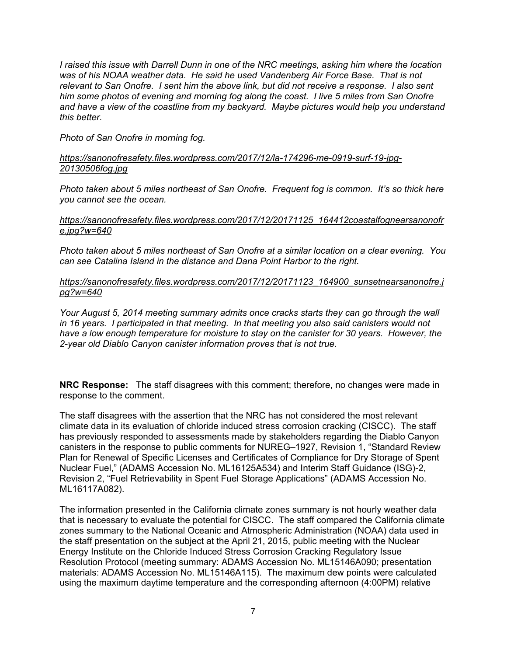*I raised this issue with Darrell Dunn in one of the NRC meetings, asking him where the location*  was of his NOAA weather data. He said he used Vandenberg Air Force Base. That is not *relevant to San Onofre. I sent him the above link, but did not receive a response. I also sent him some photos of evening and morning fog along the coast. I live 5 miles from San Onofre and have a view of the coastline from my backyard. Maybe pictures would help you understand this better.* 

*Photo of San Onofre in morning fog.* 

### *https://sanonofresafety.files.wordpress.com/2017/12/la-174296-me-0919-surf-19-jpg-20130506fog.jpg*

*Photo taken about 5 miles northeast of San Onofre. Frequent fog is common. It's so thick here you cannot see the ocean.* 

### *https://sanonofresafety.files.wordpress.com/2017/12/20171125\_164412coastalfognearsanonofr e.jpg?w=640*

*Photo taken about 5 miles northeast of San Onofre at a similar location on a clear evening. You can see Catalina Island in the distance and Dana Point Harbor to the right.* 

### *https://sanonofresafety.files.wordpress.com/2017/12/20171123\_164900\_sunsetnearsanonofre.j pg?w=640*

*Your August 5, 2014 meeting summary admits once cracks starts they can go through the wall in 16 years. I participated in that meeting. In that meeting you also said canisters would not have a low enough temperature for moisture to stay on the canister for 30 years. However, the 2-year old Diablo Canyon canister information proves that is not true.* 

**NRC Response:** The staff disagrees with this comment; therefore, no changes were made in response to the comment.

The staff disagrees with the assertion that the NRC has not considered the most relevant climate data in its evaluation of chloride induced stress corrosion cracking (CISCC). The staff has previously responded to assessments made by stakeholders regarding the Diablo Canyon canisters in the response to public comments for NUREG–1927, Revision 1, "Standard Review Plan for Renewal of Specific Licenses and Certificates of Compliance for Dry Storage of Spent Nuclear Fuel," (ADAMS Accession No. ML16125A534) and Interim Staff Guidance (ISG)-2, Revision 2, "Fuel Retrievability in Spent Fuel Storage Applications" (ADAMS Accession No. ML16117A082).

The information presented in the California climate zones summary is not hourly weather data that is necessary to evaluate the potential for CISCC. The staff compared the California climate zones summary to the National Oceanic and Atmospheric Administration (NOAA) data used in the staff presentation on the subject at the April 21, 2015, public meeting with the Nuclear Energy Institute on the Chloride Induced Stress Corrosion Cracking Regulatory Issue Resolution Protocol (meeting summary: ADAMS Accession No. ML15146A090; presentation materials: ADAMS Accession No. ML15146A115). The maximum dew points were calculated using the maximum daytime temperature and the corresponding afternoon (4:00PM) relative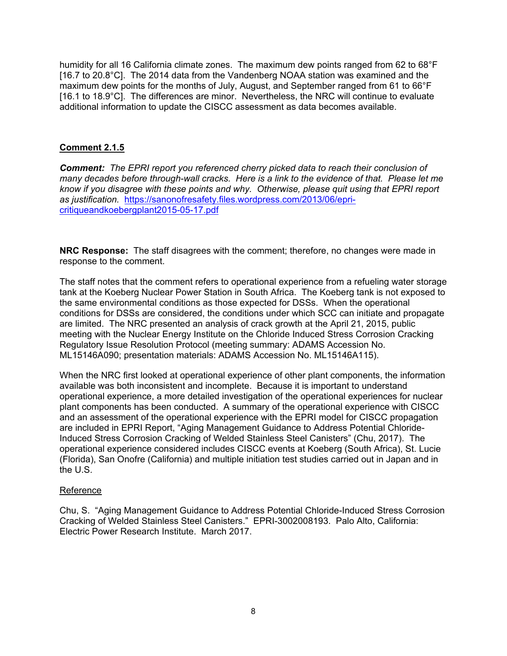humidity for all 16 California climate zones. The maximum dew points ranged from 62 to 68°F [16.7 to 20.8°C]. The 2014 data from the Vandenberg NOAA station was examined and the maximum dew points for the months of July, August, and September ranged from 61 to 66°F [16.1 to 18.9°C]. The differences are minor. Nevertheless, the NRC will continue to evaluate additional information to update the CISCC assessment as data becomes available.

### **Comment 2.1.5**

*Comment: The EPRI report you referenced cherry picked data to reach their conclusion of many decades before through-wall cracks. Here is a link to the evidence of that. Please let me know if you disagree with these points and why. Otherwise, please quit using that EPRI report as justification.* https://sanonofresafety.files.wordpress.com/2013/06/epricritiqueandkoebergplant2015-05-17.pdf

**NRC Response:** The staff disagrees with the comment; therefore, no changes were made in response to the comment.

The staff notes that the comment refers to operational experience from a refueling water storage tank at the Koeberg Nuclear Power Station in South Africa. The Koeberg tank is not exposed to the same environmental conditions as those expected for DSSs. When the operational conditions for DSSs are considered, the conditions under which SCC can initiate and propagate are limited. The NRC presented an analysis of crack growth at the April 21, 2015, public meeting with the Nuclear Energy Institute on the Chloride Induced Stress Corrosion Cracking Regulatory Issue Resolution Protocol (meeting summary: ADAMS Accession No. ML15146A090; presentation materials: ADAMS Accession No. ML15146A115).

When the NRC first looked at operational experience of other plant components, the information available was both inconsistent and incomplete. Because it is important to understand operational experience, a more detailed investigation of the operational experiences for nuclear plant components has been conducted. A summary of the operational experience with CISCC and an assessment of the operational experience with the EPRI model for CISCC propagation are included in EPRI Report, "Aging Management Guidance to Address Potential Chloride-Induced Stress Corrosion Cracking of Welded Stainless Steel Canisters" (Chu, 2017). The operational experience considered includes CISCC events at Koeberg (South Africa), St. Lucie (Florida), San Onofre (California) and multiple initiation test studies carried out in Japan and in the U.S.

#### Reference

Chu, S. "Aging Management Guidance to Address Potential Chloride-Induced Stress Corrosion Cracking of Welded Stainless Steel Canisters." EPRI-3002008193. Palo Alto, California: Electric Power Research Institute. March 2017.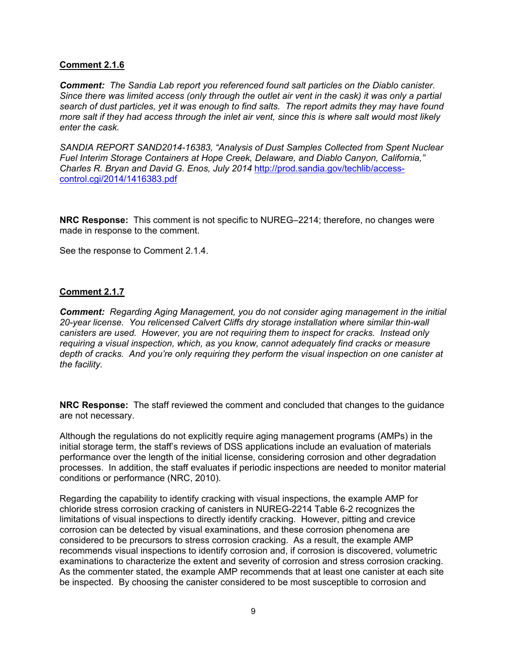### **Comment 2.1.6**

*Comment: The Sandia Lab report you referenced found salt particles on the Diablo canister. Since there was limited access (only through the outlet air vent in the cask) it was only a partial search of dust particles, yet it was enough to find salts. The report admits they may have found more salt if they had access through the inlet air vent, since this is where salt would most likely enter the cask.* 

*SANDIA REPORT SAND2014-16383, "Analysis of Dust Samples Collected from Spent Nuclear Fuel Interim Storage Containers at Hope Creek, Delaware, and Diablo Canyon, California," Charles R. Bryan and David G. Enos, July 2014* http://prod.sandia.gov/techlib/accesscontrol.cgi/2014/1416383.pdf

**NRC Response:** This comment is not specific to NUREG–2214; therefore, no changes were made in response to the comment.

See the response to Comment 2.1.4.

### **Comment 2.1.7**

*Comment: Regarding Aging Management, you do not consider aging management in the initial 20-year license. You relicensed Calvert Cliffs dry storage installation where similar thin-wall canisters are used. However, you are not requiring them to inspect for cracks. Instead only requiring a visual inspection, which, as you know, cannot adequately find cracks or measure depth of cracks. And you're only requiring they perform the visual inspection on one canister at the facility.* 

**NRC Response:** The staff reviewed the comment and concluded that changes to the guidance are not necessary.

Although the regulations do not explicitly require aging management programs (AMPs) in the initial storage term, the staff's reviews of DSS applications include an evaluation of materials performance over the length of the initial license, considering corrosion and other degradation processes. In addition, the staff evaluates if periodic inspections are needed to monitor material conditions or performance (NRC, 2010).

Regarding the capability to identify cracking with visual inspections, the example AMP for chloride stress corrosion cracking of canisters in NUREG-2214 Table 6-2 recognizes the limitations of visual inspections to directly identify cracking. However, pitting and crevice corrosion can be detected by visual examinations, and these corrosion phenomena are considered to be precursors to stress corrosion cracking. As a result, the example AMP recommends visual inspections to identify corrosion and, if corrosion is discovered, volumetric examinations to characterize the extent and severity of corrosion and stress corrosion cracking. As the commenter stated, the example AMP recommends that at least one canister at each site be inspected. By choosing the canister considered to be most susceptible to corrosion and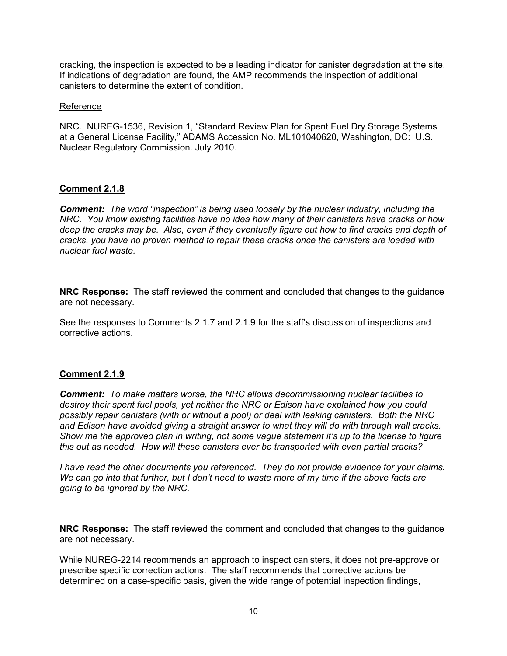cracking, the inspection is expected to be a leading indicator for canister degradation at the site. If indications of degradation are found, the AMP recommends the inspection of additional canisters to determine the extent of condition.

#### Reference

NRC. NUREG-1536, Revision 1, "Standard Review Plan for Spent Fuel Dry Storage Systems at a General License Facility," ADAMS Accession No. ML101040620, Washington, DC: U.S. Nuclear Regulatory Commission. July 2010.

### **Comment 2.1.8**

*Comment: The word "inspection" is being used loosely by the nuclear industry, including the NRC. You know existing facilities have no idea how many of their canisters have cracks or how deep the cracks may be. Also, even if they eventually figure out how to find cracks and depth of cracks, you have no proven method to repair these cracks once the canisters are loaded with nuclear fuel waste.* 

**NRC Response:** The staff reviewed the comment and concluded that changes to the guidance are not necessary.

See the responses to Comments 2.1.7 and 2.1.9 for the staff's discussion of inspections and corrective actions.

#### **Comment 2.1.9**

*Comment: To make matters worse, the NRC allows decommissioning nuclear facilities to destroy their spent fuel pools, yet neither the NRC or Edison have explained how you could possibly repair canisters (with or without a pool) or deal with leaking canisters. Both the NRC and Edison have avoided giving a straight answer to what they will do with through wall cracks. Show me the approved plan in writing, not some vague statement it's up to the license to figure this out as needed. How will these canisters ever be transported with even partial cracks?* 

*I have read the other documents you referenced. They do not provide evidence for your claims. We can go into that further, but I don't need to waste more of my time if the above facts are going to be ignored by the NRC.* 

**NRC Response:** The staff reviewed the comment and concluded that changes to the guidance are not necessary.

While NUREG-2214 recommends an approach to inspect canisters, it does not pre-approve or prescribe specific correction actions. The staff recommends that corrective actions be determined on a case-specific basis, given the wide range of potential inspection findings,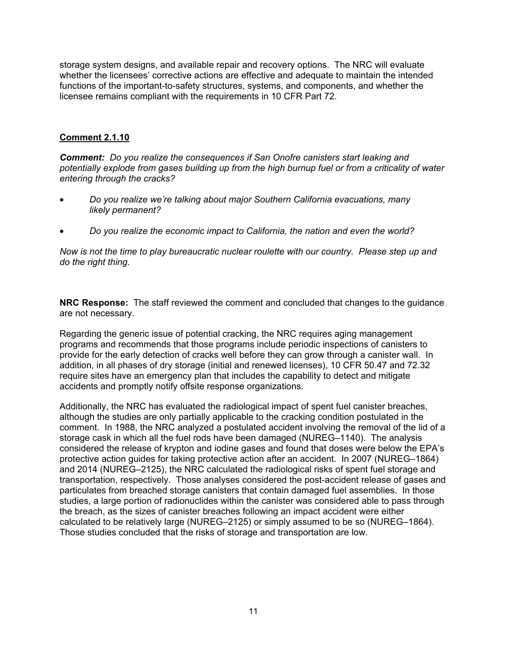storage system designs, and available repair and recovery options. The NRC will evaluate whether the licensees' corrective actions are effective and adequate to maintain the intended functions of the important-to-safety structures, systems, and components, and whether the licensee remains compliant with the requirements in 10 CFR Part 72.

# **Comment 2.1.10**

*Comment: Do you realize the consequences if San Onofre canisters start leaking and potentially explode from gases building up from the high burnup fuel or from a criticality of water entering through the cracks?* 

- *Do you realize we're talking about major Southern California evacuations, many likely permanent?*
- *Do you realize the economic impact to California, the nation and even the world?*

*Now is not the time to play bureaucratic nuclear roulette with our country. Please step up and do the right thing.* 

**NRC Response:** The staff reviewed the comment and concluded that changes to the guidance are not necessary.

Regarding the generic issue of potential cracking, the NRC requires aging management programs and recommends that those programs include periodic inspections of canisters to provide for the early detection of cracks well before they can grow through a canister wall. In addition, in all phases of dry storage (initial and renewed licenses), 10 CFR 50.47 and 72.32 require sites have an emergency plan that includes the capability to detect and mitigate accidents and promptly notify offsite response organizations.

Additionally, the NRC has evaluated the radiological impact of spent fuel canister breaches, although the studies are only partially applicable to the cracking condition postulated in the comment. In 1988, the NRC analyzed a postulated accident involving the removal of the lid of a storage cask in which all the fuel rods have been damaged (NUREG–1140). The analysis considered the release of krypton and iodine gases and found that doses were below the EPA's protective action guides for taking protective action after an accident. In 2007 (NUREG–1864) and 2014 (NUREG–2125), the NRC calculated the radiological risks of spent fuel storage and transportation, respectively. Those analyses considered the post-accident release of gases and particulates from breached storage canisters that contain damaged fuel assemblies. In those studies, a large portion of radionuclides within the canister was considered able to pass through the breach, as the sizes of canister breaches following an impact accident were either calculated to be relatively large (NUREG–2125) or simply assumed to be so (NUREG–1864). Those studies concluded that the risks of storage and transportation are low.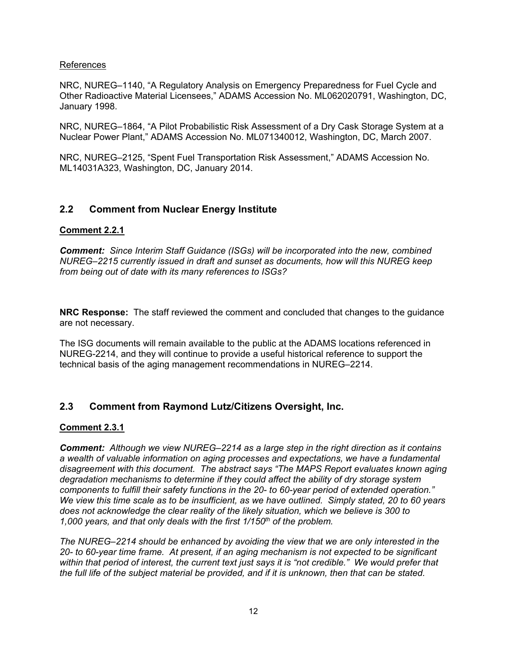### References

NRC, NUREG–1140, "A Regulatory Analysis on Emergency Preparedness for Fuel Cycle and Other Radioactive Material Licensees," ADAMS Accession No. ML062020791, Washington, DC, January 1998.

NRC, NUREG–1864, "A Pilot Probabilistic Risk Assessment of a Dry Cask Storage System at a Nuclear Power Plant," ADAMS Accession No. ML071340012, Washington, DC, March 2007.

NRC, NUREG–2125, "Spent Fuel Transportation Risk Assessment," ADAMS Accession No. ML14031A323, Washington, DC, January 2014.

# **2.2 Comment from Nuclear Energy Institute**

### **Comment 2.2.1**

*Comment: Since Interim Staff Guidance (ISGs) will be incorporated into the new, combined NUREG–2215 currently issued in draft and sunset as documents, how will this NUREG keep from being out of date with its many references to ISGs?* 

**NRC Response:** The staff reviewed the comment and concluded that changes to the guidance are not necessary.

The ISG documents will remain available to the public at the ADAMS locations referenced in NUREG-2214, and they will continue to provide a useful historical reference to support the technical basis of the aging management recommendations in NUREG–2214.

# **2.3 Comment from Raymond Lutz/Citizens Oversight, Inc.**

#### **Comment 2.3.1**

*Comment: Although we view NUREG–2214 as a large step in the right direction as it contains a wealth of valuable information on aging processes and expectations, we have a fundamental disagreement with this document. The abstract says "The MAPS Report evaluates known aging degradation mechanisms to determine if they could affect the ability of dry storage system components to fulfill their safety functions in the 20- to 60-year period of extended operation." We view this time scale as to be insufficient, as we have outlined. Simply stated, 20 to 60 years does not acknowledge the clear reality of the likely situation, which we believe is 300 to 1,000 years, and that only deals with the first 1/150th of the problem.* 

*The NUREG–2214 should be enhanced by avoiding the view that we are only interested in the 20- to 60-year time frame. At present, if an aging mechanism is not expected to be significant*  within that period of interest, the current text just says it is "not credible." We would prefer that *the full life of the subject material be provided, and if it is unknown, then that can be stated.*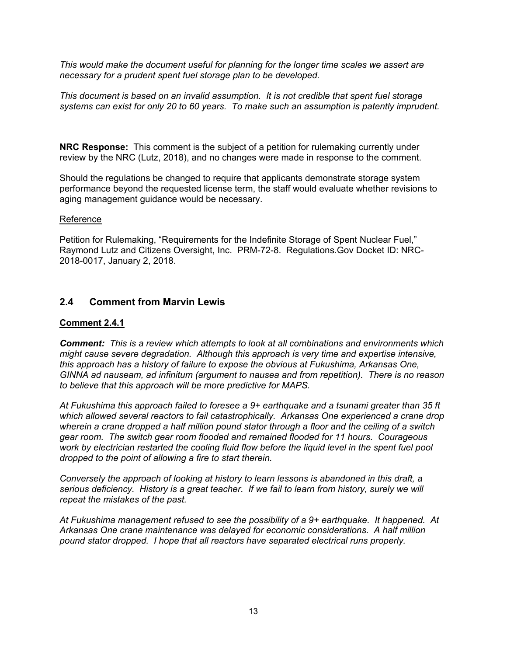*This would make the document useful for planning for the longer time scales we assert are necessary for a prudent spent fuel storage plan to be developed.* 

*This document is based on an invalid assumption. It is not credible that spent fuel storage systems can exist for only 20 to 60 years. To make such an assumption is patently imprudent.* 

**NRC Response:** This comment is the subject of a petition for rulemaking currently under review by the NRC (Lutz, 2018), and no changes were made in response to the comment.

Should the regulations be changed to require that applicants demonstrate storage system performance beyond the requested license term, the staff would evaluate whether revisions to aging management guidance would be necessary.

### Reference

Petition for Rulemaking, "Requirements for the Indefinite Storage of Spent Nuclear Fuel," Raymond Lutz and Citizens Oversight, Inc. PRM-72-8. Regulations.Gov Docket ID: NRC-2018-0017, January 2, 2018.

# **2.4 Comment from Marvin Lewis**

### **Comment 2.4.1**

*Comment: This is a review which attempts to look at all combinations and environments which might cause severe degradation. Although this approach is very time and expertise intensive, this approach has a history of failure to expose the obvious at Fukushima, Arkansas One, GINNA ad nauseam, ad infinitum (argument to nausea and from repetition). There is no reason to believe that this approach will be more predictive for MAPS.* 

*At Fukushima this approach failed to foresee a 9+ earthquake and a tsunami greater than 35 ft which allowed several reactors to fail catastrophically. Arkansas One experienced a crane drop wherein a crane dropped a half million pound stator through a floor and the ceiling of a switch gear room. The switch gear room flooded and remained flooded for 11 hours. Courageous work by electrician restarted the cooling fluid flow before the liquid level in the spent fuel pool dropped to the point of allowing a fire to start therein.* 

*Conversely the approach of looking at history to learn lessons is abandoned in this draft, a serious deficiency. History is a great teacher. If we fail to learn from history, surely we will repeat the mistakes of the past.* 

*At Fukushima management refused to see the possibility of a 9+ earthquake. It happened. At Arkansas One crane maintenance was delayed for economic considerations. A half million pound stator dropped. I hope that all reactors have separated electrical runs properly.*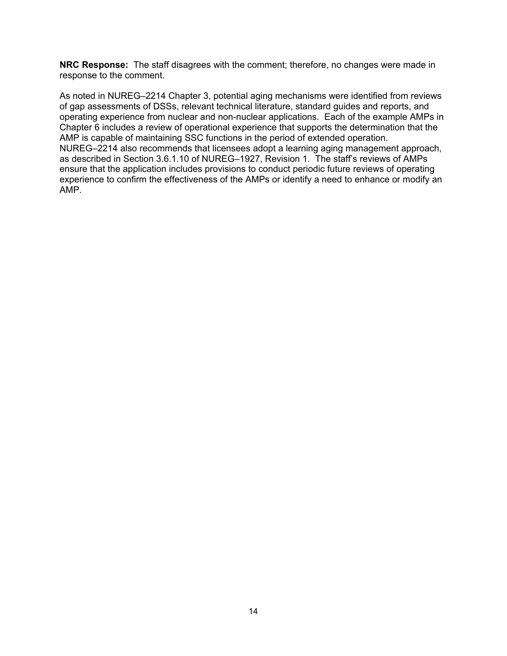**NRC Response:** The staff disagrees with the comment; therefore, no changes were made in response to the comment.

As noted in NUREG–2214 Chapter 3, potential aging mechanisms were identified from reviews of gap assessments of DSSs, relevant technical literature, standard guides and reports, and operating experience from nuclear and non-nuclear applications. Each of the example AMPs in Chapter 6 includes a review of operational experience that supports the determination that the AMP is capable of maintaining SSC functions in the period of extended operation. NUREG–2214 also recommends that licensees adopt a learning aging management approach, as described in Section 3.6.1.10 of NUREG–1927, Revision 1. The staff's reviews of AMPs ensure that the application includes provisions to conduct periodic future reviews of operating experience to confirm the effectiveness of the AMPs or identify a need to enhance or modify an AMP.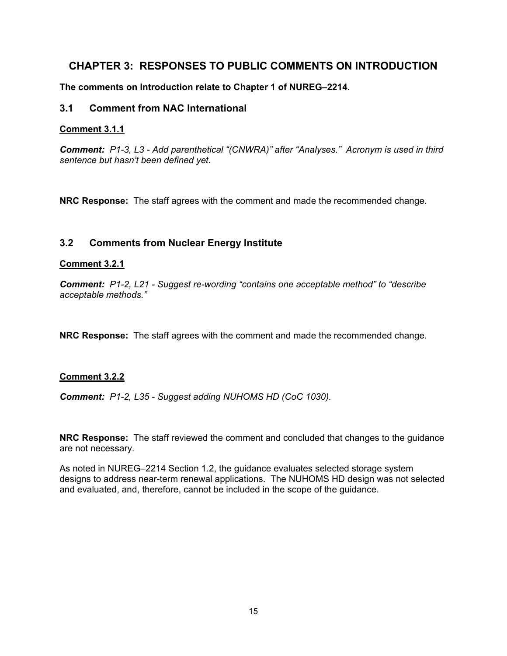# **CHAPTER 3: RESPONSES TO PUBLIC COMMENTS ON INTRODUCTION**

**The comments on Introduction relate to Chapter 1 of NUREG–2214.**

# **3.1 Comment from NAC International**

### **Comment 3.1.1**

*Comment: P1-3, L3 - Add parenthetical "(CNWRA)" after "Analyses." Acronym is used in third sentence but hasn't been defined yet.* 

**NRC Response:** The staff agrees with the comment and made the recommended change.

# **3.2 Comments from Nuclear Energy Institute**

### **Comment 3.2.1**

*Comment: P1-2, L21 - Suggest re-wording "contains one acceptable method" to "describe acceptable methods."* 

**NRC Response:** The staff agrees with the comment and made the recommended change.

### **Comment 3.2.2**

*Comment: P1-2, L35 - Suggest adding NUHOMS HD (CoC 1030).* 

**NRC Response:** The staff reviewed the comment and concluded that changes to the guidance are not necessary.

As noted in NUREG–2214 Section 1.2, the guidance evaluates selected storage system designs to address near-term renewal applications. The NUHOMS HD design was not selected and evaluated, and, therefore, cannot be included in the scope of the guidance.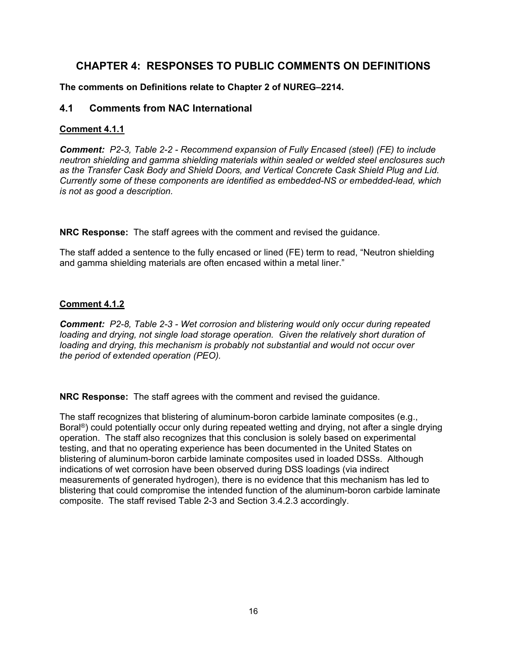# **CHAPTER 4: RESPONSES TO PUBLIC COMMENTS ON DEFINITIONS**

**The comments on Definitions relate to Chapter 2 of NUREG–2214.** 

# **4.1 Comments from NAC International**

# **Comment 4.1.1**

*Comment: P2-3, Table 2-2 - Recommend expansion of Fully Encased (steel) (FE) to include neutron shielding and gamma shielding materials within sealed or welded steel enclosures such as the Transfer Cask Body and Shield Doors, and Vertical Concrete Cask Shield Plug and Lid. Currently some of these components are identified as embedded-NS or embedded-lead, which is not as good a description.* 

**NRC Response:** The staff agrees with the comment and revised the guidance.

The staff added a sentence to the fully encased or lined (FE) term to read, "Neutron shielding and gamma shielding materials are often encased within a metal liner."

# **Comment 4.1.2**

*Comment: P2-8, Table 2-3 - Wet corrosion and blistering would only occur during repeated loading and drying, not single load storage operation. Given the relatively short duration of loading and drying, this mechanism is probably not substantial and would not occur over the period of extended operation (PEO).* 

**NRC Response:** The staff agrees with the comment and revised the guidance.

The staff recognizes that blistering of aluminum-boron carbide laminate composites (e.g., Boral<sup>®</sup>) could potentially occur only during repeated wetting and drying, not after a single drying operation. The staff also recognizes that this conclusion is solely based on experimental testing, and that no operating experience has been documented in the United States on blistering of aluminum-boron carbide laminate composites used in loaded DSSs. Although indications of wet corrosion have been observed during DSS loadings (via indirect measurements of generated hydrogen), there is no evidence that this mechanism has led to blistering that could compromise the intended function of the aluminum-boron carbide laminate composite. The staff revised Table 2-3 and Section 3.4.2.3 accordingly.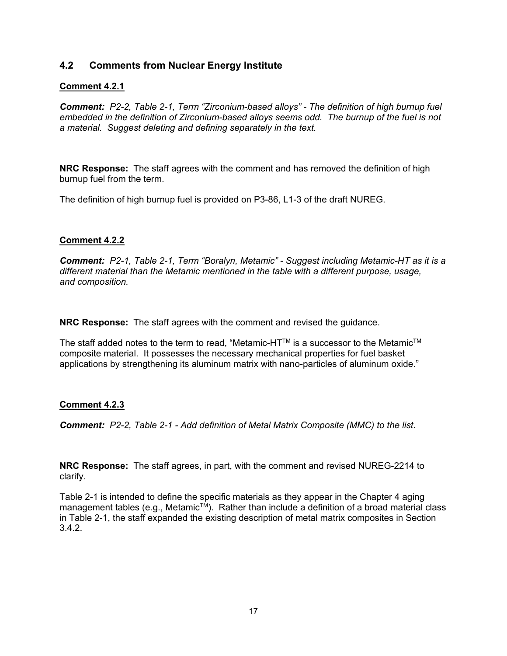# **4.2 Comments from Nuclear Energy Institute**

# **Comment 4.2.1**

*Comment: P2-2, Table 2-1, Term "Zirconium-based alloys" - The definition of high burnup fuel embedded in the definition of Zirconium-based alloys seems odd. The burnup of the fuel is not a material. Suggest deleting and defining separately in the text.* 

**NRC Response:** The staff agrees with the comment and has removed the definition of high burnup fuel from the term.

The definition of high burnup fuel is provided on P3-86, L1-3 of the draft NUREG.

### **Comment 4.2.2**

*Comment: P2-1, Table 2-1, Term "Boralyn, Metamic" - Suggest including Metamic-HT as it is a different material than the Metamic mentioned in the table with a different purpose, usage, and composition.* 

**NRC Response:** The staff agrees with the comment and revised the guidance.

The staff added notes to the term to read, "Metamic-HTTM is a successor to the MetamicTM composite material. It possesses the necessary mechanical properties for fuel basket applications by strengthening its aluminum matrix with nano-particles of aluminum oxide."

### **Comment 4.2.3**

*Comment: P2-2, Table 2-1 - Add definition of Metal Matrix Composite (MMC) to the list.* 

**NRC Response:** The staff agrees, in part, with the comment and revised NUREG-2214 to clarify.

Table 2-1 is intended to define the specific materials as they appear in the Chapter 4 aging management tables (e.g., Metamic™). Rather than include a definition of a broad material class in Table 2-1, the staff expanded the existing description of metal matrix composites in Section 3.4.2.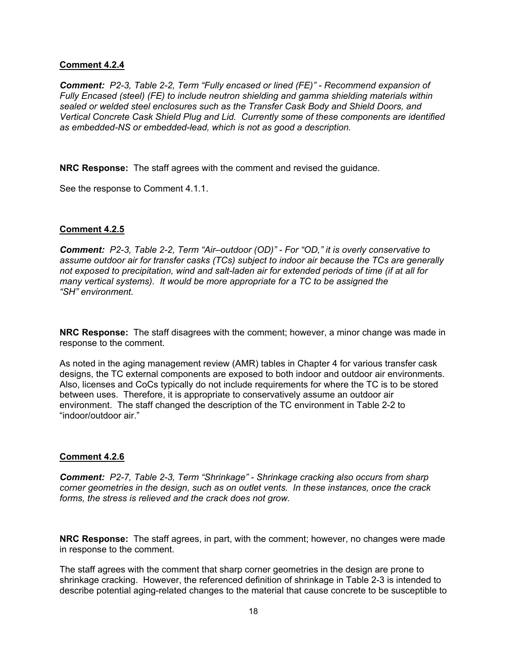### **Comment 4.2.4**

*Comment: P2-3, Table 2-2, Term "Fully encased or lined (FE)" - Recommend expansion of Fully Encased (steel) (FE) to include neutron shielding and gamma shielding materials within sealed or welded steel enclosures such as the Transfer Cask Body and Shield Doors, and Vertical Concrete Cask Shield Plug and Lid. Currently some of these components are identified as embedded-NS or embedded-lead, which is not as good a description.* 

**NRC Response:** The staff agrees with the comment and revised the guidance.

See the response to Comment 4.1.1.

### **Comment 4.2.5**

*Comment: P2-3, Table 2-2, Term "Air–outdoor (OD)" - For "OD," it is overly conservative to assume outdoor air for transfer casks (TCs) subject to indoor air because the TCs are generally not exposed to precipitation, wind and salt-laden air for extended periods of time (if at all for many vertical systems). It would be more appropriate for a TC to be assigned the "SH" environment.* 

**NRC Response:** The staff disagrees with the comment; however, a minor change was made in response to the comment.

As noted in the aging management review (AMR) tables in Chapter 4 for various transfer cask designs, the TC external components are exposed to both indoor and outdoor air environments. Also, licenses and CoCs typically do not include requirements for where the TC is to be stored between uses. Therefore, it is appropriate to conservatively assume an outdoor air environment. The staff changed the description of the TC environment in Table 2-2 to "indoor/outdoor air."

### **Comment 4.2.6**

*Comment: P2-7, Table 2-3, Term "Shrinkage" - Shrinkage cracking also occurs from sharp corner geometries in the design, such as on outlet vents. In these instances, once the crack forms, the stress is relieved and the crack does not grow.* 

**NRC Response:** The staff agrees, in part, with the comment; however, no changes were made in response to the comment.

The staff agrees with the comment that sharp corner geometries in the design are prone to shrinkage cracking. However, the referenced definition of shrinkage in Table 2-3 is intended to describe potential aging-related changes to the material that cause concrete to be susceptible to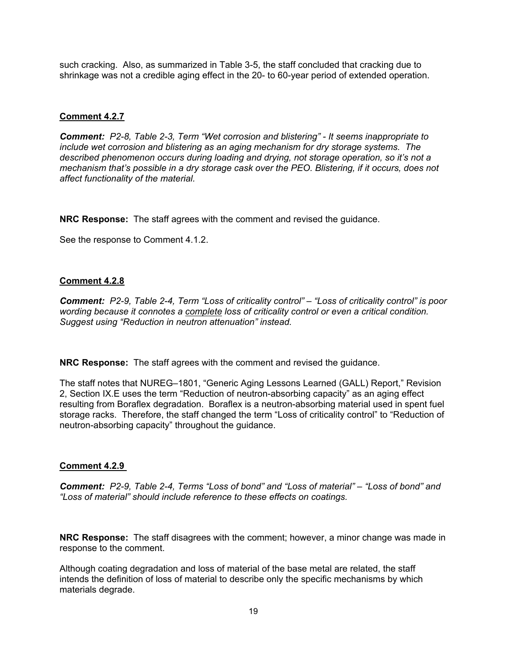such cracking. Also, as summarized in Table 3-5, the staff concluded that cracking due to shrinkage was not a credible aging effect in the 20- to 60-year period of extended operation.

### **Comment 4.2.7**

*Comment: P2-8, Table 2-3, Term "Wet corrosion and blistering" - It seems inappropriate to include wet corrosion and blistering as an aging mechanism for dry storage systems. The described phenomenon occurs during loading and drying, not storage operation, so it's not a mechanism that's possible in a dry storage cask over the PEO. Blistering, if it occurs, does not affect functionality of the material.* 

**NRC Response:** The staff agrees with the comment and revised the guidance.

See the response to Comment 4.1.2.

### **Comment 4.2.8**

*Comment: P2-9, Table 2-4, Term "Loss of criticality control" – "Loss of criticality control" is poor wording because it connotes a complete loss of criticality control or even a critical condition. Suggest using "Reduction in neutron attenuation" instead.* 

**NRC Response:** The staff agrees with the comment and revised the guidance.

The staff notes that NUREG–1801, "Generic Aging Lessons Learned (GALL) Report," Revision 2, Section IX.E uses the term "Reduction of neutron-absorbing capacity" as an aging effect resulting from Boraflex degradation. Boraflex is a neutron-absorbing material used in spent fuel storage racks. Therefore, the staff changed the term "Loss of criticality control" to "Reduction of neutron-absorbing capacity" throughout the guidance.

#### **Comment 4.2.9**

*Comment: P2-9, Table 2-4, Terms "Loss of bond" and "Loss of material" – "Loss of bond" and "Loss of material" should include reference to these effects on coatings.* 

**NRC Response:** The staff disagrees with the comment; however, a minor change was made in response to the comment.

Although coating degradation and loss of material of the base metal are related, the staff intends the definition of loss of material to describe only the specific mechanisms by which materials degrade.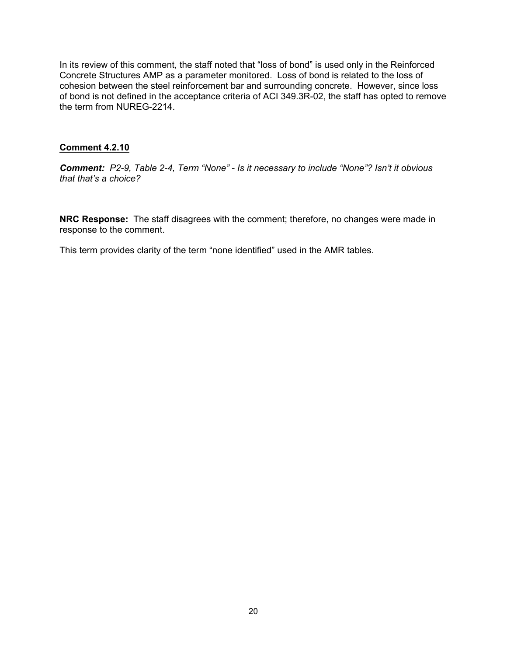In its review of this comment, the staff noted that "loss of bond" is used only in the Reinforced Concrete Structures AMP as a parameter monitored. Loss of bond is related to the loss of cohesion between the steel reinforcement bar and surrounding concrete. However, since loss of bond is not defined in the acceptance criteria of ACI 349.3R-02, the staff has opted to remove the term from NUREG-2214.

### **Comment 4.2.10**

*Comment: P2-9, Table 2-4, Term "None" - Is it necessary to include "None"? Isn't it obvious that that's a choice?* 

**NRC Response:** The staff disagrees with the comment; therefore, no changes were made in response to the comment.

This term provides clarity of the term "none identified" used in the AMR tables.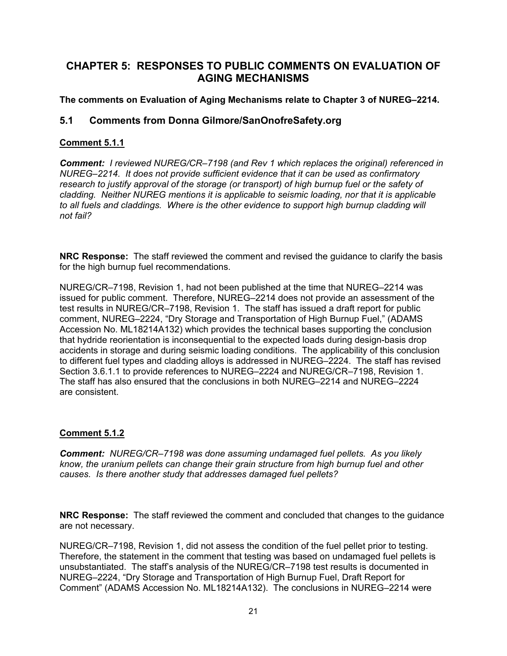# **CHAPTER 5: RESPONSES TO PUBLIC COMMENTS ON EVALUATION OF AGING MECHANISMS**

# **The comments on Evaluation of Aging Mechanisms relate to Chapter 3 of NUREG–2214.**

# **5.1 Comments from Donna Gilmore/SanOnofreSafety.org**

# **Comment 5.1.1**

*Comment: I reviewed NUREG/CR–7198 (and Rev 1 which replaces the original) referenced in NUREG–2214. It does not provide sufficient evidence that it can be used as confirmatory research to justify approval of the storage (or transport) of high burnup fuel or the safety of cladding. Neither NUREG mentions it is applicable to seismic loading, nor that it is applicable to all fuels and claddings. Where is the other evidence to support high burnup cladding will not fail?* 

**NRC Response:** The staff reviewed the comment and revised the guidance to clarify the basis for the high burnup fuel recommendations.

NUREG/CR–7198, Revision 1, had not been published at the time that NUREG–2214 was issued for public comment. Therefore, NUREG–2214 does not provide an assessment of the test results in NUREG/CR–7198, Revision 1. The staff has issued a draft report for public comment, NUREG–2224, "Dry Storage and Transportation of High Burnup Fuel," (ADAMS Accession No. ML18214A132) which provides the technical bases supporting the conclusion that hydride reorientation is inconsequential to the expected loads during design-basis drop accidents in storage and during seismic loading conditions. The applicability of this conclusion to different fuel types and cladding alloys is addressed in NUREG–2224. The staff has revised Section 3.6.1.1 to provide references to NUREG–2224 and NUREG/CR–7198, Revision 1. The staff has also ensured that the conclusions in both NUREG–2214 and NUREG–2224 are consistent.

# **Comment 5.1.2**

*Comment: NUREG/CR–7198 was done assuming undamaged fuel pellets. As you likely know, the uranium pellets can change their grain structure from high burnup fuel and other causes. Is there another study that addresses damaged fuel pellets?* 

**NRC Response:** The staff reviewed the comment and concluded that changes to the guidance are not necessary.

NUREG/CR–7198, Revision 1, did not assess the condition of the fuel pellet prior to testing. Therefore, the statement in the comment that testing was based on undamaged fuel pellets is unsubstantiated. The staff's analysis of the NUREG/CR–7198 test results is documented in NUREG–2224, "Dry Storage and Transportation of High Burnup Fuel, Draft Report for Comment" (ADAMS Accession No. ML18214A132). The conclusions in NUREG–2214 were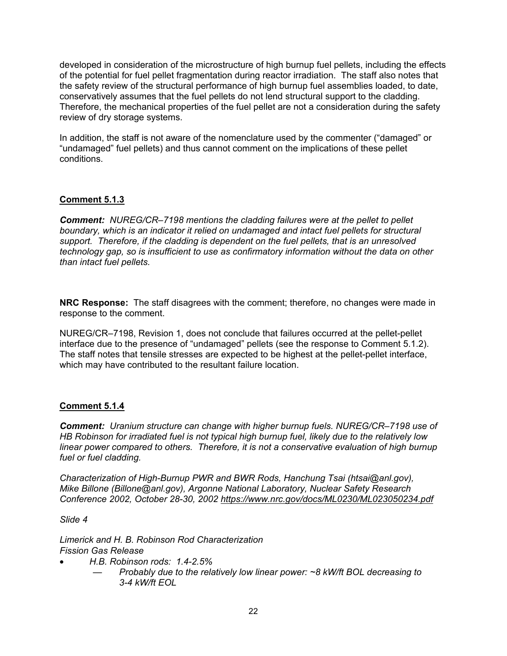developed in consideration of the microstructure of high burnup fuel pellets, including the effects of the potential for fuel pellet fragmentation during reactor irradiation. The staff also notes that the safety review of the structural performance of high burnup fuel assemblies loaded, to date, conservatively assumes that the fuel pellets do not lend structural support to the cladding. Therefore, the mechanical properties of the fuel pellet are not a consideration during the safety review of dry storage systems.

In addition, the staff is not aware of the nomenclature used by the commenter ("damaged" or "undamaged" fuel pellets) and thus cannot comment on the implications of these pellet conditions.

# **Comment 5.1.3**

*Comment: NUREG/CR–7198 mentions the cladding failures were at the pellet to pellet boundary, which is an indicator it relied on undamaged and intact fuel pellets for structural support. Therefore, if the cladding is dependent on the fuel pellets, that is an unresolved technology gap, so is insufficient to use as confirmatory information without the data on other than intact fuel pellets.* 

**NRC Response:** The staff disagrees with the comment; therefore, no changes were made in response to the comment.

NUREG/CR–7198, Revision 1, does not conclude that failures occurred at the pellet-pellet interface due to the presence of "undamaged" pellets (see the response to Comment 5.1.2). The staff notes that tensile stresses are expected to be highest at the pellet-pellet interface, which may have contributed to the resultant failure location.

### **Comment 5.1.4**

*Comment: Uranium structure can change with higher burnup fuels. NUREG/CR–7198 use of HB Robinson for irradiated fuel is not typical high burnup fuel, likely due to the relatively low linear power compared to others. Therefore, it is not a conservative evaluation of high burnup fuel or fuel cladding.* 

*Characterization of High-Burnup PWR and BWR Rods, Hanchung Tsai (htsai@anl.gov), Mike Billone (Billone@anl.gov), Argonne National Laboratory, Nuclear Safety Research Conference 2002, October 28-30, 2002 https://www.nrc.gov/docs/ML0230/ML023050234.pdf* 

*Slide 4* 

*Limerick and H. B. Robinson Rod Characterization Fission Gas Release* 

- *H.B. Robinson rods: 1.4-2.5%* 
	- *Probably due to the relatively low linear power: ~8 kW/ft BOL decreasing to 3-4 kW/ft EOL*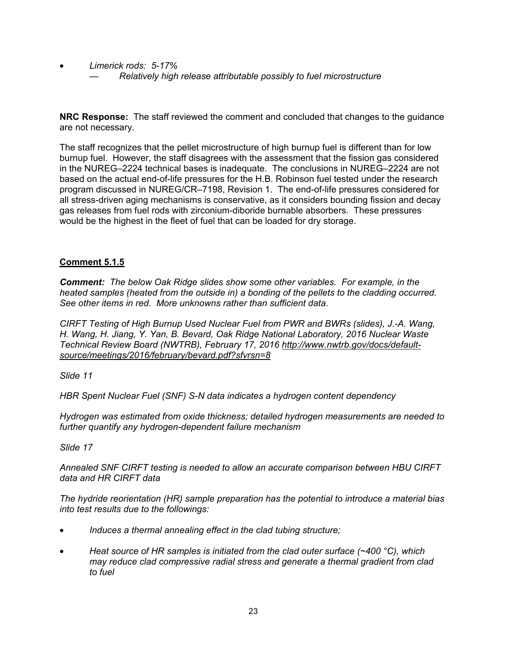• *Limerick rods: 5-17%*  — *Relatively high release attributable possibly to fuel microstructure*

**NRC Response:** The staff reviewed the comment and concluded that changes to the guidance are not necessary.

The staff recognizes that the pellet microstructure of high burnup fuel is different than for low burnup fuel. However, the staff disagrees with the assessment that the fission gas considered in the NUREG–2224 technical bases is inadequate. The conclusions in NUREG–2224 are not based on the actual end-of-life pressures for the H.B. Robinson fuel tested under the research program discussed in NUREG/CR–7198, Revision 1. The end-of-life pressures considered for all stress-driven aging mechanisms is conservative, as it considers bounding fission and decay gas releases from fuel rods with zirconium-diboride burnable absorbers. These pressures would be the highest in the fleet of fuel that can be loaded for dry storage.

# **Comment 5.1.5**

*Comment: The below Oak Ridge slides show some other variables. For example, in the heated samples (heated from the outside in) a bonding of the pellets to the cladding occurred. See other items in red. More unknowns rather than sufficient data.* 

*CIRFT Testing of High Burnup Used Nuclear Fuel from PWR and BWRs (slides), J.-A. Wang, H. Wang, H. Jiang, Y. Yan, B. Bevard, Oak Ridge National Laboratory, 2016 Nuclear Waste Technical Review Board (NWTRB), February 17, 2016 http://www.nwtrb.gov/docs/defaultsource/meetings/2016/february/bevard.pdf?sfvrsn=8* 

*Slide 11* 

*HBR Spent Nuclear Fuel (SNF) S-N data indicates a hydrogen content dependency* 

*Hydrogen was estimated from oxide thickness; detailed hydrogen measurements are needed to further quantify any hydrogen-dependent failure mechanism* 

*Slide 17* 

*Annealed SNF CIRFT testing is needed to allow an accurate comparison between HBU CIRFT data and HR CIRFT data* 

*The hydride reorientation (HR) sample preparation has the potential to introduce a material bias into test results due to the followings:* 

- *Induces a thermal annealing effect in the clad tubing structure;*
- *Heat source of HR samples is initiated from the clad outer surface (~400 °C), which may reduce clad compressive radial stress and generate a thermal gradient from clad to fuel*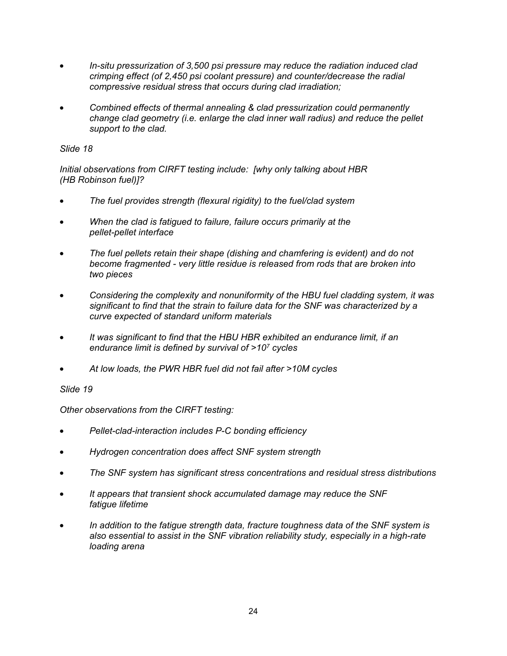- *In-situ pressurization of 3,500 psi pressure may reduce the radiation induced clad crimping effect (of 2,450 psi coolant pressure) and counter/decrease the radial compressive residual stress that occurs during clad irradiation;*
- *Combined effects of thermal annealing & clad pressurization could permanently change clad geometry (i.e. enlarge the clad inner wall radius) and reduce the pellet support to the clad.*

## *Slide 18*

*Initial observations from CIRFT testing include: [why only talking about HBR (HB Robinson fuel)]?* 

- *The fuel provides strength (flexural rigidity) to the fuel/clad system*
- *When the clad is fatigued to failure, failure occurs primarily at the pellet-pellet interface*
- *The fuel pellets retain their shape (dishing and chamfering is evident) and do not become fragmented - very little residue is released from rods that are broken into two pieces*
- *Considering the complexity and nonuniformity of the HBU fuel cladding system, it was significant to find that the strain to failure data for the SNF was characterized by a curve expected of standard uniform materials*
- *It was significant to find that the HBU HBR exhibited an endurance limit, if an endurance limit is defined by survival of >107 cycles*
- *At low loads, the PWR HBR fuel did not fail after >10M cycles*

### *Slide 19*

*Other observations from the CIRFT testing:* 

- *Pellet-clad-interaction includes P-C bonding efficiency*
- *Hydrogen concentration does affect SNF system strength*
- *The SNF system has significant stress concentrations and residual stress distributions*
- *It appears that transient shock accumulated damage may reduce the SNF fatigue lifetime*
- *In addition to the fatigue strength data, fracture toughness data of the SNF system is also essential to assist in the SNF vibration reliability study, especially in a high-rate loading arena*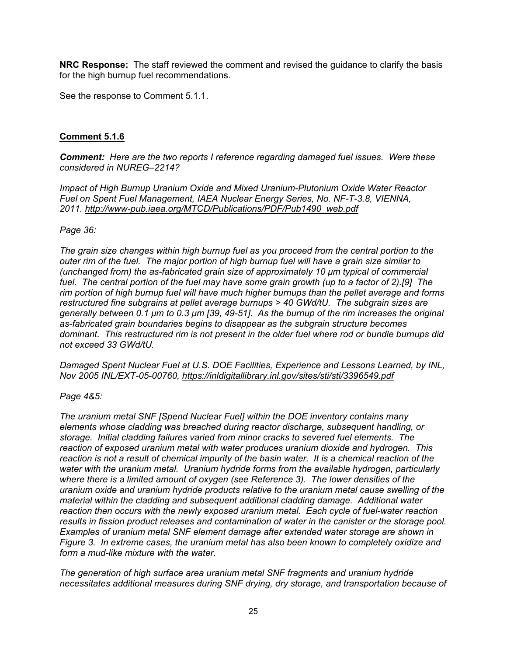**NRC Response:** The staff reviewed the comment and revised the guidance to clarify the basis for the high burnup fuel recommendations.

See the response to Comment 5.1.1.

## **Comment 5.1.6**

*Comment: Here are the two reports I reference regarding damaged fuel issues. Were these considered in NUREG–2214?* 

*Impact of High Burnup Uranium Oxide and Mixed Uranium-Plutonium Oxide Water Reactor Fuel on Spent Fuel Management, IAEA Nuclear Energy Series, No. NF-T-3.8, VIENNA, 2011. http://www-pub.iaea.org/MTCD/Publications/PDF/Pub1490\_web.pdf* 

### *Page 36:*

*The grain size changes within high burnup fuel as you proceed from the central portion to the outer rim of the fuel. The major portion of high burnup fuel will have a grain size similar to (unchanged from) the as-fabricated grain size of approximately 10 μm typical of commercial fuel. The central portion of the fuel may have some grain growth (up to a factor of 2).[9] The rim portion of high burnup fuel will have much higher burnups than the pellet average and forms restructured fine subgrains at pellet average burnups > 40 GWd/tU. The subgrain sizes are generally between 0.1 μm to 0.3 μm [39, 49-51]. As the burnup of the rim increases the original as-fabricated grain boundaries begins to disappear as the subgrain structure becomes dominant. This restructured rim is not present in the older fuel where rod or bundle burnups did not exceed 33 GWd/tU.* 

*Damaged Spent Nuclear Fuel at U.S. DOE Facilities, Experience and Lessons Learned, by INL, Nov 2005 INL/EXT-05-00760, https://inldigitallibrary.inl.gov/sites/sti/sti/3396549.pdf* 

### *Page 4&5:*

*The uranium metal SNF [Spend Nuclear Fuel] within the DOE inventory contains many elements whose cladding was breached during reactor discharge, subsequent handling, or storage. Initial cladding failures varied from minor cracks to severed fuel elements. The reaction of exposed uranium metal with water produces uranium dioxide and hydrogen. This reaction is not a result of chemical impurity of the basin water. It is a chemical reaction of the water with the uranium metal. Uranium hydride forms from the available hydrogen, particularly where there is a limited amount of oxygen (see Reference 3). The lower densities of the uranium oxide and uranium hydride products relative to the uranium metal cause swelling of the material within the cladding and subsequent additional cladding damage. Additional water reaction then occurs with the newly exposed uranium metal. Each cycle of fuel-water reaction results in fission product releases and contamination of water in the canister or the storage pool. Examples of uranium metal SNF element damage after extended water storage are shown in Figure 3. In extreme cases, the uranium metal has also been known to completely oxidize and form a mud-like mixture with the water.* 

*The generation of high surface area uranium metal SNF fragments and uranium hydride necessitates additional measures during SNF drying, dry storage, and transportation because of*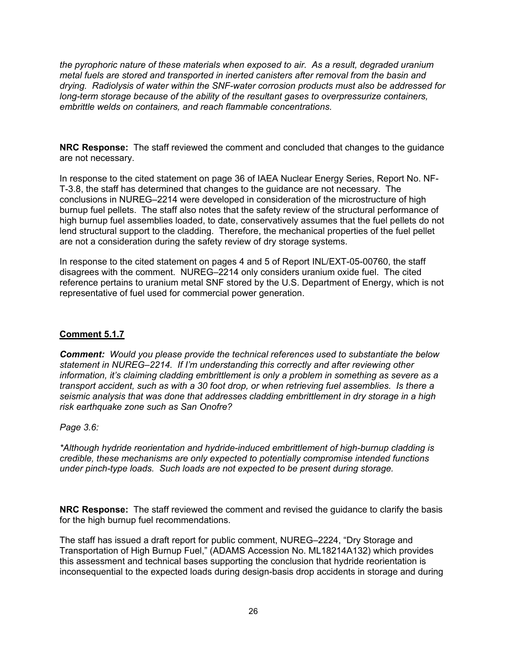*the pyrophoric nature of these materials when exposed to air. As a result, degraded uranium metal fuels are stored and transported in inerted canisters after removal from the basin and drying. Radiolysis of water within the SNF-water corrosion products must also be addressed for long-term storage because of the ability of the resultant gases to overpressurize containers, embrittle welds on containers, and reach flammable concentrations.*

**NRC Response:** The staff reviewed the comment and concluded that changes to the guidance are not necessary.

In response to the cited statement on page 36 of IAEA Nuclear Energy Series, Report No. NF-T-3.8, the staff has determined that changes to the guidance are not necessary. The conclusions in NUREG–2214 were developed in consideration of the microstructure of high burnup fuel pellets. The staff also notes that the safety review of the structural performance of high burnup fuel assemblies loaded, to date, conservatively assumes that the fuel pellets do not lend structural support to the cladding. Therefore, the mechanical properties of the fuel pellet are not a consideration during the safety review of dry storage systems.

In response to the cited statement on pages 4 and 5 of Report INL/EXT-05-00760, the staff disagrees with the comment. NUREG–2214 only considers uranium oxide fuel. The cited reference pertains to uranium metal SNF stored by the U.S. Department of Energy, which is not representative of fuel used for commercial power generation.

# **Comment 5.1.7**

*Comment: Would you please provide the technical references used to substantiate the below statement in NUREG–2214. If I'm understanding this correctly and after reviewing other information, it's claiming cladding embrittlement is only a problem in something as severe as a transport accident, such as with a 30 foot drop, or when retrieving fuel assemblies. Is there a seismic analysis that was done that addresses cladding embrittlement in dry storage in a high risk earthquake zone such as San Onofre?* 

### *Page 3.6:*

*\*Although hydride reorientation and hydride-induced embrittlement of high-burnup cladding is credible, these mechanisms are only expected to potentially compromise intended functions under pinch-type loads. Such loads are not expected to be present during storage.*

**NRC Response:** The staff reviewed the comment and revised the guidance to clarify the basis for the high burnup fuel recommendations.

The staff has issued a draft report for public comment, NUREG–2224, "Dry Storage and Transportation of High Burnup Fuel," (ADAMS Accession No. ML18214A132) which provides this assessment and technical bases supporting the conclusion that hydride reorientation is inconsequential to the expected loads during design-basis drop accidents in storage and during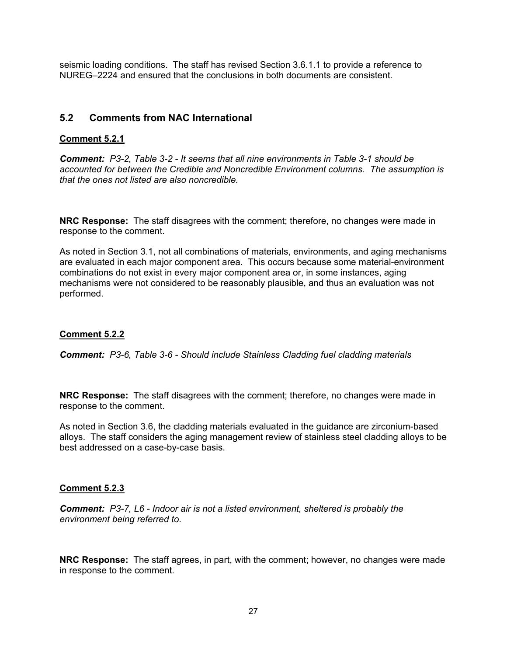seismic loading conditions. The staff has revised Section 3.6.1.1 to provide a reference to NUREG–2224 and ensured that the conclusions in both documents are consistent.

# **5.2 Comments from NAC International**

## **Comment 5.2.1**

*Comment: P3-2, Table 3-2 - It seems that all nine environments in Table 3-1 should be accounted for between the Credible and Noncredible Environment columns. The assumption is that the ones not listed are also noncredible.* 

**NRC Response:** The staff disagrees with the comment; therefore, no changes were made in response to the comment.

As noted in Section 3.1, not all combinations of materials, environments, and aging mechanisms are evaluated in each major component area. This occurs because some material-environment combinations do not exist in every major component area or, in some instances, aging mechanisms were not considered to be reasonably plausible, and thus an evaluation was not performed.

# **Comment 5.2.2**

*Comment: P3-6, Table 3-6 - Should include Stainless Cladding fuel cladding materials* 

**NRC Response:** The staff disagrees with the comment; therefore, no changes were made in response to the comment.

As noted in Section 3.6, the cladding materials evaluated in the guidance are zirconium-based alloys. The staff considers the aging management review of stainless steel cladding alloys to be best addressed on a case-by-case basis.

#### **Comment 5.2.3**

*Comment: P3-7, L6 - Indoor air is not a listed environment, sheltered is probably the environment being referred to.* 

**NRC Response:** The staff agrees, in part, with the comment; however, no changes were made in response to the comment.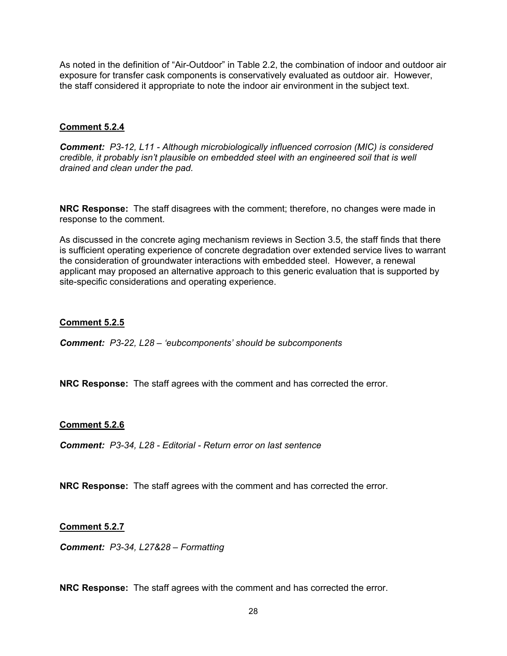As noted in the definition of "Air-Outdoor" in Table 2.2, the combination of indoor and outdoor air exposure for transfer cask components is conservatively evaluated as outdoor air. However, the staff considered it appropriate to note the indoor air environment in the subject text.

### **Comment 5.2.4**

*Comment: P3-12, L11 - Although microbiologically influenced corrosion (MIC) is considered credible, it probably isn't plausible on embedded steel with an engineered soil that is well drained and clean under the pad.* 

**NRC Response:** The staff disagrees with the comment; therefore, no changes were made in response to the comment.

As discussed in the concrete aging mechanism reviews in Section 3.5, the staff finds that there is sufficient operating experience of concrete degradation over extended service lives to warrant the consideration of groundwater interactions with embedded steel. However, a renewal applicant may proposed an alternative approach to this generic evaluation that is supported by site-specific considerations and operating experience.

### **Comment 5.2.5**

*Comment: P3-22, L28 – 'eubcomponents' should be subcomponents* 

**NRC Response:** The staff agrees with the comment and has corrected the error.

### **Comment 5.2.6**

*Comment: P3-34, L28 - Editorial - Return error on last sentence* 

**NRC Response:** The staff agrees with the comment and has corrected the error.

#### **Comment 5.2.7**

*Comment: P3-34, L27&28 – Formatting* 

**NRC Response:** The staff agrees with the comment and has corrected the error.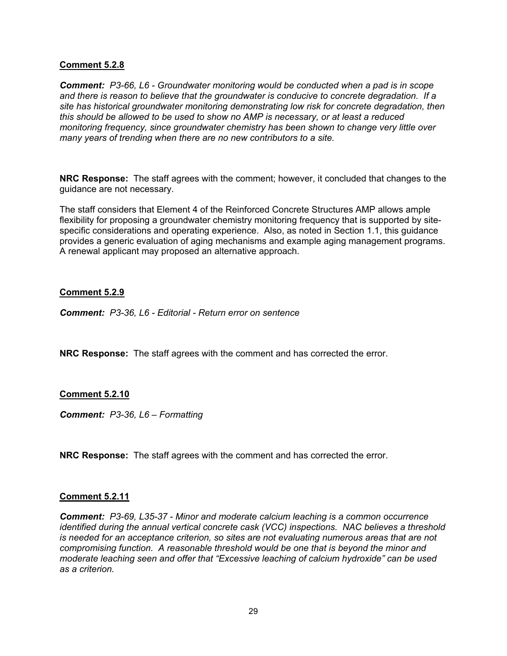### **Comment 5.2.8**

*Comment: P3-66, L6 - Groundwater monitoring would be conducted when a pad is in scope and there is reason to believe that the groundwater is conducive to concrete degradation. If a site has historical groundwater monitoring demonstrating low risk for concrete degradation, then this should be allowed to be used to show no AMP is necessary, or at least a reduced monitoring frequency, since groundwater chemistry has been shown to change very little over many years of trending when there are no new contributors to a site.* 

**NRC Response:** The staff agrees with the comment; however, it concluded that changes to the guidance are not necessary.

The staff considers that Element 4 of the Reinforced Concrete Structures AMP allows ample flexibility for proposing a groundwater chemistry monitoring frequency that is supported by sitespecific considerations and operating experience. Also, as noted in Section 1.1, this guidance provides a generic evaluation of aging mechanisms and example aging management programs. A renewal applicant may proposed an alternative approach.

### **Comment 5.2.9**

*Comment: P3-36, L6 - Editorial - Return error on sentence* 

**NRC Response:** The staff agrees with the comment and has corrected the error.

#### **Comment 5.2.10**

*Comment: P3-36, L6 – Formatting* 

**NRC Response:** The staff agrees with the comment and has corrected the error.

#### **Comment 5.2.11**

*Comment: P3-69, L35-37 - Minor and moderate calcium leaching is a common occurrence identified during the annual vertical concrete cask (VCC) inspections. NAC believes a threshold is needed for an acceptance criterion, so sites are not evaluating numerous areas that are not compromising function. A reasonable threshold would be one that is beyond the minor and moderate leaching seen and offer that "Excessive leaching of calcium hydroxide" can be used as a criterion.*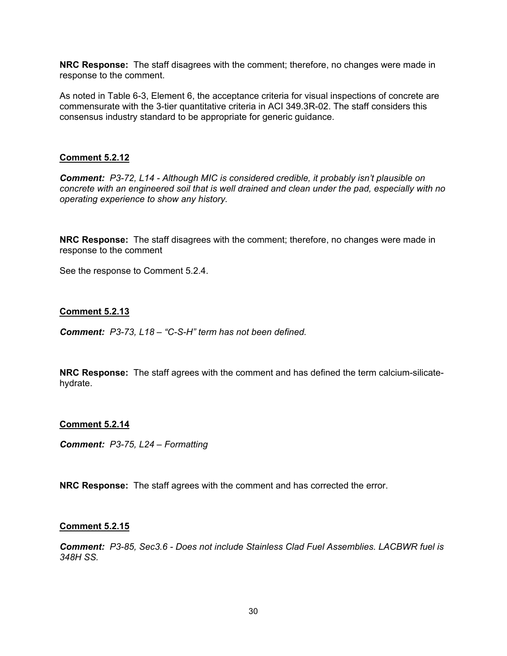**NRC Response:** The staff disagrees with the comment; therefore, no changes were made in response to the comment.

As noted in Table 6-3, Element 6, the acceptance criteria for visual inspections of concrete are commensurate with the 3-tier quantitative criteria in ACI 349.3R-02. The staff considers this consensus industry standard to be appropriate for generic guidance.

### **Comment 5.2.12**

*Comment: P3-72, L14 - Although MIC is considered credible, it probably isn't plausible on concrete with an engineered soil that is well drained and clean under the pad, especially with no operating experience to show any history.* 

**NRC Response:** The staff disagrees with the comment; therefore, no changes were made in response to the comment

See the response to Comment 5.2.4.

### **Comment 5.2.13**

*Comment: P3-73, L18 – "C-S-H" term has not been defined.* 

**NRC Response:** The staff agrees with the comment and has defined the term calcium-silicatehydrate.

#### **Comment 5.2.14**

*Comment: P3-75, L24 – Formatting* 

**NRC Response:** The staff agrees with the comment and has corrected the error.

#### **Comment 5.2.15**

*Comment: P3-85, Sec3.6 - Does not include Stainless Clad Fuel Assemblies. LACBWR fuel is 348H SS.*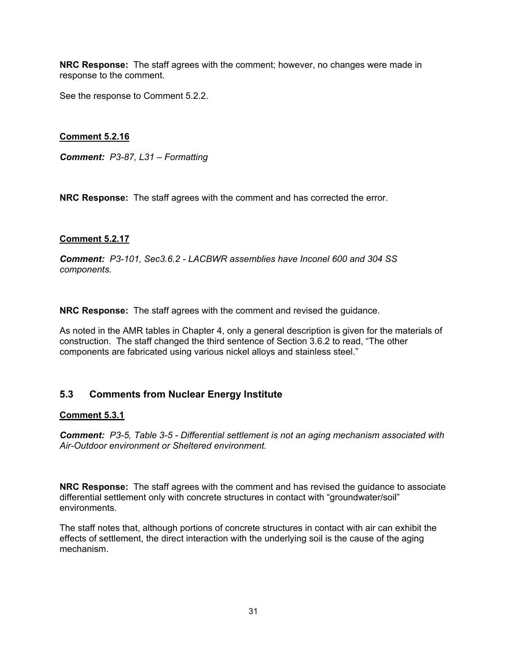**NRC Response:** The staff agrees with the comment; however, no changes were made in response to the comment.

See the response to Comment 5.2.2.

## **Comment 5.2.16**

*Comment: P3-87, L31 – Formatting* 

**NRC Response:** The staff agrees with the comment and has corrected the error.

### **Comment 5.2.17**

*Comment: P3-101, Sec3.6.2 - LACBWR assemblies have Inconel 600 and 304 SS components.* 

**NRC Response:** The staff agrees with the comment and revised the guidance.

As noted in the AMR tables in Chapter 4, only a general description is given for the materials of construction. The staff changed the third sentence of Section 3.6.2 to read, "The other components are fabricated using various nickel alloys and stainless steel."

# **5.3 Comments from Nuclear Energy Institute**

### **Comment 5.3.1**

*Comment: P3-5, Table 3-5 - Differential settlement is not an aging mechanism associated with Air-Outdoor environment or Sheltered environment.* 

**NRC Response:** The staff agrees with the comment and has revised the guidance to associate differential settlement only with concrete structures in contact with "groundwater/soil" environments.

The staff notes that, although portions of concrete structures in contact with air can exhibit the effects of settlement, the direct interaction with the underlying soil is the cause of the aging mechanism.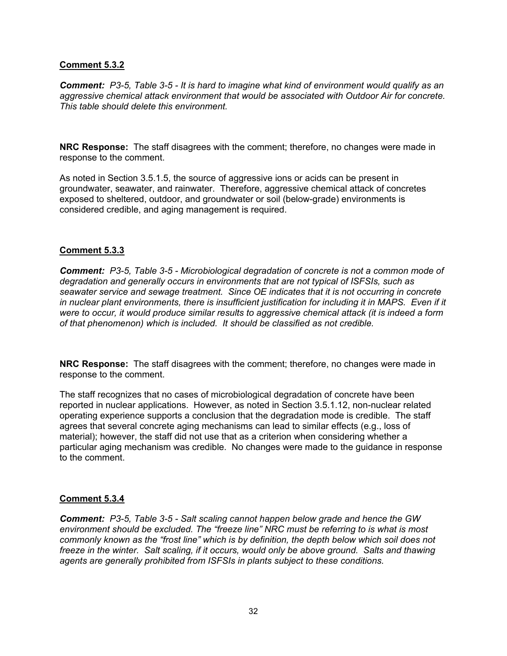### **Comment 5.3.2**

*Comment: P3-5, Table 3-5 - It is hard to imagine what kind of environment would qualify as an aggressive chemical attack environment that would be associated with Outdoor Air for concrete. This table should delete this environment.* 

**NRC Response:** The staff disagrees with the comment; therefore, no changes were made in response to the comment.

As noted in Section 3.5.1.5, the source of aggressive ions or acids can be present in groundwater, seawater, and rainwater. Therefore, aggressive chemical attack of concretes exposed to sheltered, outdoor, and groundwater or soil (below-grade) environments is considered credible, and aging management is required.

### **Comment 5.3.3**

*Comment: P3-5, Table 3-5 - Microbiological degradation of concrete is not a common mode of degradation and generally occurs in environments that are not typical of ISFSIs, such as seawater service and sewage treatment. Since OE indicates that it is not occurring in concrete in nuclear plant environments, there is insufficient justification for including it in MAPS. Even if it were to occur, it would produce similar results to aggressive chemical attack (it is indeed a form of that phenomenon) which is included. It should be classified as not credible.* 

**NRC Response:** The staff disagrees with the comment; therefore, no changes were made in response to the comment.

The staff recognizes that no cases of microbiological degradation of concrete have been reported in nuclear applications. However, as noted in Section 3.5.1.12, non-nuclear related operating experience supports a conclusion that the degradation mode is credible. The staff agrees that several concrete aging mechanisms can lead to similar effects (e.g., loss of material); however, the staff did not use that as a criterion when considering whether a particular aging mechanism was credible. No changes were made to the guidance in response to the comment.

### **Comment 5.3.4**

*Comment: P3-5, Table 3-5 - Salt scaling cannot happen below grade and hence the GW environment should be excluded. The "freeze line" NRC must be referring to is what is most commonly known as the "frost line" which is by definition, the depth below which soil does not freeze in the winter. Salt scaling, if it occurs, would only be above ground. Salts and thawing agents are generally prohibited from ISFSIs in plants subject to these conditions.*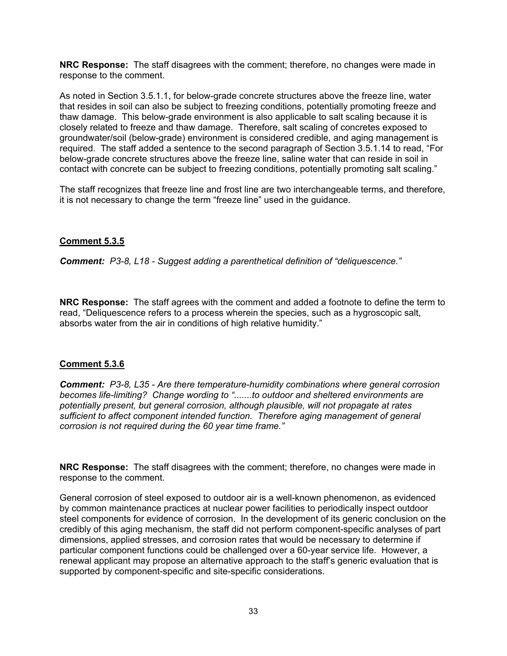**NRC Response:** The staff disagrees with the comment; therefore, no changes were made in response to the comment.

As noted in Section 3.5.1.1, for below-grade concrete structures above the freeze line, water that resides in soil can also be subject to freezing conditions, potentially promoting freeze and thaw damage. This below-grade environment is also applicable to salt scaling because it is closely related to freeze and thaw damage. Therefore, salt scaling of concretes exposed to groundwater/soil (below-grade) environment is considered credible, and aging management is required. The staff added a sentence to the second paragraph of Section 3.5.1.14 to read, "For below-grade concrete structures above the freeze line, saline water that can reside in soil in contact with concrete can be subject to freezing conditions, potentially promoting salt scaling."

The staff recognizes that freeze line and frost line are two interchangeable terms, and therefore, it is not necessary to change the term "freeze line" used in the guidance.

# **Comment 5.3.5**

*Comment: P3-8, L18 - Suggest adding a parenthetical definition of "deliquescence."* 

**NRC Response:** The staff agrees with the comment and added a footnote to define the term to read, "Deliquescence refers to a process wherein the species, such as a hygroscopic salt, absorbs water from the air in conditions of high relative humidity."

### **Comment 5.3.6**

*Comment: P3-8, L35 - Are there temperature-humidity combinations where general corrosion becomes life-limiting? Change wording to ".......to outdoor and sheltered environments are potentially present, but general corrosion, although plausible, will not propagate at rates sufficient to affect component intended function. Therefore aging management of general corrosion is not required during the 60 year time frame."* 

**NRC Response:** The staff disagrees with the comment; therefore, no changes were made in response to the comment.

General corrosion of steel exposed to outdoor air is a well-known phenomenon, as evidenced by common maintenance practices at nuclear power facilities to periodically inspect outdoor steel components for evidence of corrosion. In the development of its generic conclusion on the credibly of this aging mechanism, the staff did not perform component-specific analyses of part dimensions, applied stresses, and corrosion rates that would be necessary to determine if particular component functions could be challenged over a 60-year service life. However, a renewal applicant may propose an alternative approach to the staff's generic evaluation that is supported by component-specific and site-specific considerations.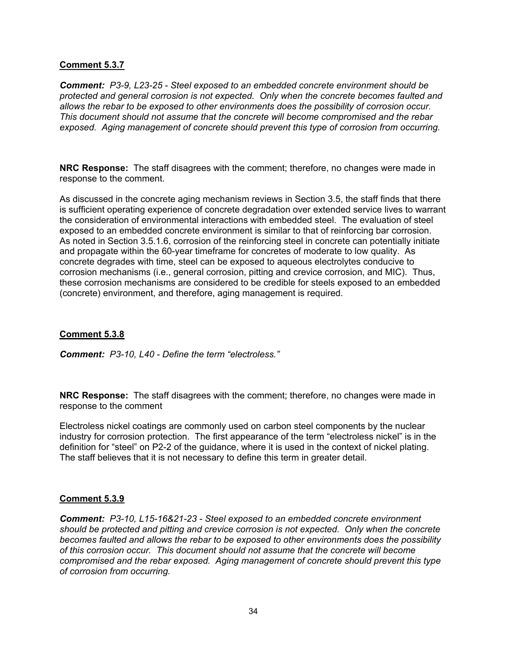### **Comment 5.3.7**

*Comment: P3-9, L23-25 - Steel exposed to an embedded concrete environment should be protected and general corrosion is not expected. Only when the concrete becomes faulted and allows the rebar to be exposed to other environments does the possibility of corrosion occur. This document should not assume that the concrete will become compromised and the rebar exposed. Aging management of concrete should prevent this type of corrosion from occurring.* 

**NRC Response:** The staff disagrees with the comment; therefore, no changes were made in response to the comment.

As discussed in the concrete aging mechanism reviews in Section 3.5, the staff finds that there is sufficient operating experience of concrete degradation over extended service lives to warrant the consideration of environmental interactions with embedded steel. The evaluation of steel exposed to an embedded concrete environment is similar to that of reinforcing bar corrosion. As noted in Section 3.5.1.6, corrosion of the reinforcing steel in concrete can potentially initiate and propagate within the 60-year timeframe for concretes of moderate to low quality. As concrete degrades with time, steel can be exposed to aqueous electrolytes conducive to corrosion mechanisms (i.e., general corrosion, pitting and crevice corrosion, and MIC). Thus, these corrosion mechanisms are considered to be credible for steels exposed to an embedded (concrete) environment, and therefore, aging management is required.

### **Comment 5.3.8**

*Comment: P3-10, L40 - Define the term "electroless."* 

**NRC Response:** The staff disagrees with the comment; therefore, no changes were made in response to the comment

Electroless nickel coatings are commonly used on carbon steel components by the nuclear industry for corrosion protection. The first appearance of the term "electroless nickel" is in the definition for "steel" on P2-2 of the guidance, where it is used in the context of nickel plating. The staff believes that it is not necessary to define this term in greater detail.

### **Comment 5.3.9**

*Comment: P3-10, L15-16&21-23 - Steel exposed to an embedded concrete environment should be protected and pitting and crevice corrosion is not expected. Only when the concrete becomes faulted and allows the rebar to be exposed to other environments does the possibility of this corrosion occur. This document should not assume that the concrete will become compromised and the rebar exposed. Aging management of concrete should prevent this type of corrosion from occurring.*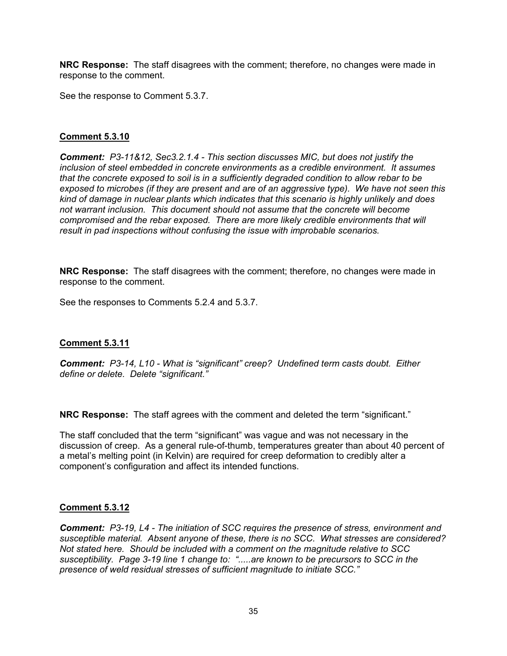**NRC Response:** The staff disagrees with the comment; therefore, no changes were made in response to the comment.

See the response to Comment 5.3.7.

# **Comment 5.3.10**

*Comment: P3-11&12, Sec3.2.1.4 - This section discusses MIC, but does not justify the inclusion of steel embedded in concrete environments as a credible environment. It assumes that the concrete exposed to soil is in a sufficiently degraded condition to allow rebar to be exposed to microbes (if they are present and are of an aggressive type). We have not seen this kind of damage in nuclear plants which indicates that this scenario is highly unlikely and does not warrant inclusion. This document should not assume that the concrete will become compromised and the rebar exposed. There are more likely credible environments that will result in pad inspections without confusing the issue with improbable scenarios.* 

**NRC Response:** The staff disagrees with the comment; therefore, no changes were made in response to the comment.

See the responses to Comments 5.2.4 and 5.3.7.

### **Comment 5.3.11**

*Comment: P3-14, L10 - What is "significant" creep? Undefined term casts doubt. Either define or delete. Delete "significant."* 

**NRC Response:** The staff agrees with the comment and deleted the term "significant."

The staff concluded that the term "significant" was vague and was not necessary in the discussion of creep. As a general rule-of-thumb, temperatures greater than about 40 percent of a metal's melting point (in Kelvin) are required for creep deformation to credibly alter a component's configuration and affect its intended functions.

### **Comment 5.3.12**

*Comment: P3-19, L4 - The initiation of SCC requires the presence of stress, environment and susceptible material. Absent anyone of these, there is no SCC. What stresses are considered? Not stated here. Should be included with a comment on the magnitude relative to SCC susceptibility. Page 3-19 line 1 change to: ".....are known to be precursors to SCC in the presence of weld residual stresses of sufficient magnitude to initiate SCC."*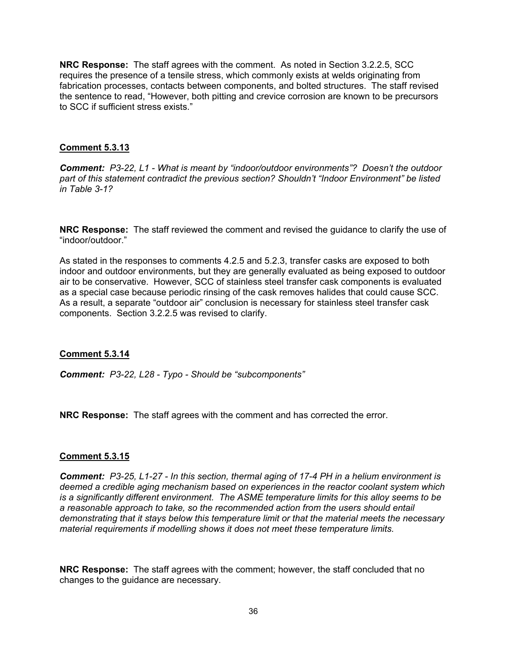**NRC Response:** The staff agrees with the comment. As noted in Section 3.2.2.5, SCC requires the presence of a tensile stress, which commonly exists at welds originating from fabrication processes, contacts between components, and bolted structures. The staff revised the sentence to read, "However, both pitting and crevice corrosion are known to be precursors to SCC if sufficient stress exists."

### **Comment 5.3.13**

*Comment: P3-22, L1 - What is meant by "indoor/outdoor environments"? Doesn't the outdoor part of this statement contradict the previous section? Shouldn't "Indoor Environment" be listed in Table 3-1?* 

**NRC Response:** The staff reviewed the comment and revised the guidance to clarify the use of "indoor/outdoor."

As stated in the responses to comments 4.2.5 and 5.2.3, transfer casks are exposed to both indoor and outdoor environments, but they are generally evaluated as being exposed to outdoor air to be conservative. However, SCC of stainless steel transfer cask components is evaluated as a special case because periodic rinsing of the cask removes halides that could cause SCC. As a result, a separate "outdoor air" conclusion is necessary for stainless steel transfer cask components. Section 3.2.2.5 was revised to clarify.

#### **Comment 5.3.14**

*Comment: P3-22, L28 - Typo - Should be "subcomponents"* 

**NRC Response:** The staff agrees with the comment and has corrected the error.

### **Comment 5.3.15**

*Comment: P3-25, L1-27 - In this section, thermal aging of 17-4 PH in a helium environment is deemed a credible aging mechanism based on experiences in the reactor coolant system which is a significantly different environment. The ASME temperature limits for this alloy seems to be a reasonable approach to take, so the recommended action from the users should entail demonstrating that it stays below this temperature limit or that the material meets the necessary material requirements if modelling shows it does not meet these temperature limits.* 

**NRC Response:** The staff agrees with the comment; however, the staff concluded that no changes to the guidance are necessary.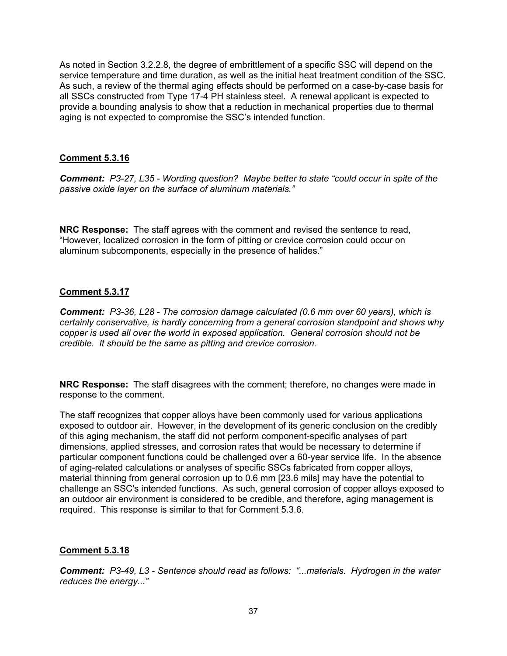As noted in Section 3.2.2.8, the degree of embrittlement of a specific SSC will depend on the service temperature and time duration, as well as the initial heat treatment condition of the SSC. As such, a review of the thermal aging effects should be performed on a case-by-case basis for all SSCs constructed from Type 17-4 PH stainless steel. A renewal applicant is expected to provide a bounding analysis to show that a reduction in mechanical properties due to thermal aging is not expected to compromise the SSC's intended function.

## **Comment 5.3.16**

*Comment: P3-27, L35 - Wording question? Maybe better to state "could occur in spite of the passive oxide layer on the surface of aluminum materials."* 

**NRC Response:** The staff agrees with the comment and revised the sentence to read, "However, localized corrosion in the form of pitting or crevice corrosion could occur on aluminum subcomponents, especially in the presence of halides."

## **Comment 5.3.17**

*Comment: P3-36, L28 - The corrosion damage calculated (0.6 mm over 60 years), which is certainly conservative, is hardly concerning from a general corrosion standpoint and shows why copper is used all over the world in exposed application. General corrosion should not be credible. It should be the same as pitting and crevice corrosion.* 

**NRC Response:** The staff disagrees with the comment; therefore, no changes were made in response to the comment.

The staff recognizes that copper alloys have been commonly used for various applications exposed to outdoor air. However, in the development of its generic conclusion on the credibly of this aging mechanism, the staff did not perform component-specific analyses of part dimensions, applied stresses, and corrosion rates that would be necessary to determine if particular component functions could be challenged over a 60-year service life. In the absence of aging-related calculations or analyses of specific SSCs fabricated from copper alloys, material thinning from general corrosion up to 0.6 mm [23.6 mils] may have the potential to challenge an SSC's intended functions. As such, general corrosion of copper alloys exposed to an outdoor air environment is considered to be credible, and therefore, aging management is required. This response is similar to that for Comment 5.3.6.

## **Comment 5.3.18**

*Comment: P3-49, L3 - Sentence should read as follows: "...materials. Hydrogen in the water reduces the energy..."*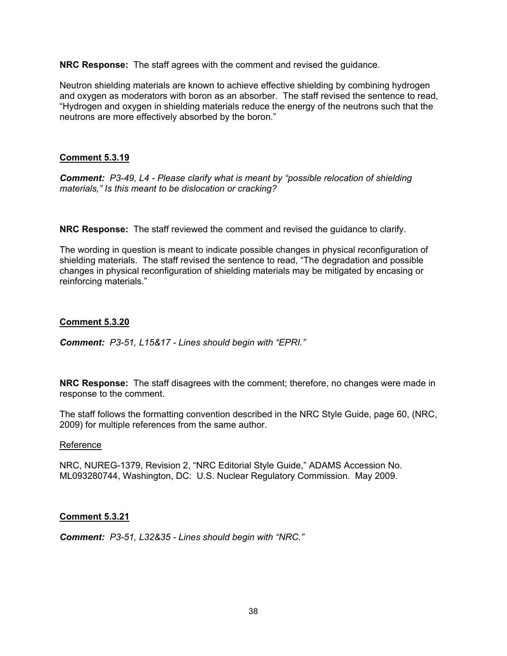**NRC Response:** The staff agrees with the comment and revised the guidance.

Neutron shielding materials are known to achieve effective shielding by combining hydrogen and oxygen as moderators with boron as an absorber. The staff revised the sentence to read, "Hydrogen and oxygen in shielding materials reduce the energy of the neutrons such that the neutrons are more effectively absorbed by the boron."

### **Comment 5.3.19**

*Comment: P3-49, L4 - Please clarify what is meant by "possible relocation of shielding materials," Is this meant to be dislocation or cracking?* 

**NRC Response:** The staff reviewed the comment and revised the guidance to clarify.

The wording in question is meant to indicate possible changes in physical reconfiguration of shielding materials. The staff revised the sentence to read, "The degradation and possible changes in physical reconfiguration of shielding materials may be mitigated by encasing or reinforcing materials."

### **Comment 5.3.20**

*Comment: P3-51, L15&17 - Lines should begin with "EPRI."* 

**NRC Response:** The staff disagrees with the comment; therefore, no changes were made in response to the comment.

The staff follows the formatting convention described in the NRC Style Guide, page 60, (NRC, 2009) for multiple references from the same author.

#### Reference

NRC, NUREG-1379, Revision 2, "NRC Editorial Style Guide," ADAMS Accession No. ML093280744, Washington, DC: U.S. Nuclear Regulatory Commission. May 2009.

## **Comment 5.3.21**

*Comment: P3-51, L32&35 - Lines should begin with "NRC."*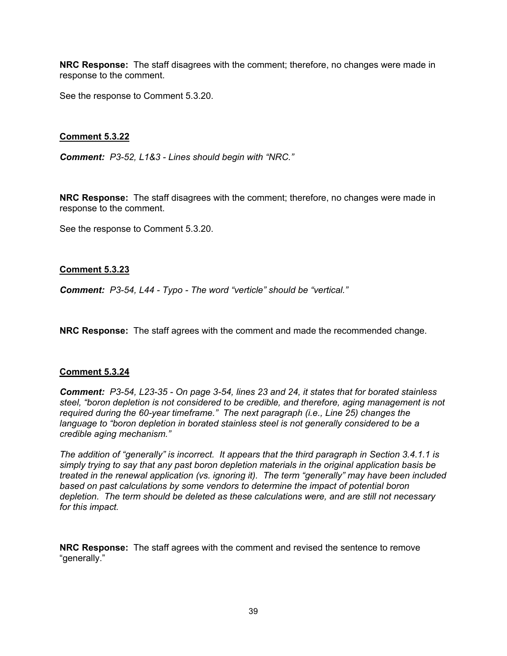**NRC Response:** The staff disagrees with the comment; therefore, no changes were made in response to the comment.

See the response to Comment 5.3.20.

### **Comment 5.3.22**

*Comment: P3-52, L1&3 - Lines should begin with "NRC."* 

**NRC Response:** The staff disagrees with the comment; therefore, no changes were made in response to the comment.

See the response to Comment 5.3.20.

#### **Comment 5.3.23**

*Comment: P3-54, L44 - Typo - The word "verticle" should be "vertical."* 

**NRC Response:** The staff agrees with the comment and made the recommended change.

#### **Comment 5.3.24**

*Comment: P3-54, L23-35 - On page 3-54, lines 23 and 24, it states that for borated stainless steel, "boron depletion is not considered to be credible, and therefore, aging management is not required during the 60-year timeframe." The next paragraph (i.e., Line 25) changes the*  language to "boron depletion in borated stainless steel is not generally considered to be a *credible aging mechanism."* 

*The addition of "generally" is incorrect. It appears that the third paragraph in Section 3.4.1.1 is simply trying to say that any past boron depletion materials in the original application basis be treated in the renewal application (vs. ignoring it). The term "generally" may have been included based on past calculations by some vendors to determine the impact of potential boron depletion. The term should be deleted as these calculations were, and are still not necessary for this impact.* 

**NRC Response:** The staff agrees with the comment and revised the sentence to remove "generally."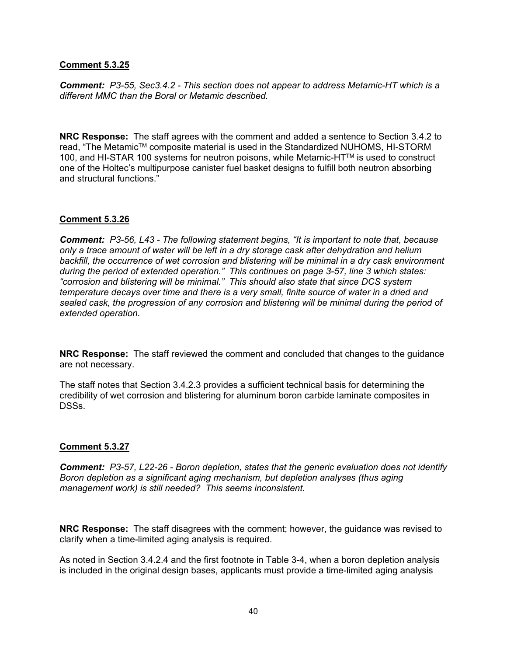### **Comment 5.3.25**

*Comment: P3-55, Sec3.4.2 - This section does not appear to address Metamic-HT which is a different MMC than the Boral or Metamic described.* 

**NRC Response:** The staff agrees with the comment and added a sentence to Section 3.4.2 to read, "The Metamic™ composite material is used in the Standardized NUHOMS, HI-STORM 100, and HI-STAR 100 systems for neutron poisons, while Metamic-HT™ is used to construct one of the Holtec's multipurpose canister fuel basket designs to fulfill both neutron absorbing and structural functions."

## **Comment 5.3.26**

*Comment: P3-56, L43 - The following statement begins, "It is important to note that, because only a trace amount of water will be left in a dry storage cask after dehydration and helium backfill, the occurrence of wet corrosion and blistering will be minimal in a dry cask environment during the period of extended operation." This continues on page 3-57, line 3 which states: "corrosion and blistering will be minimal." This should also state that since DCS system temperature decays over time and there is a very small, finite source of water in a dried and sealed cask, the progression of any corrosion and blistering will be minimal during the period of extended operation.* 

**NRC Response:** The staff reviewed the comment and concluded that changes to the guidance are not necessary.

The staff notes that Section 3.4.2.3 provides a sufficient technical basis for determining the credibility of wet corrosion and blistering for aluminum boron carbide laminate composites in DSSs.

#### **Comment 5.3.27**

*Comment: P3-57, L22-26 - Boron depletion, states that the generic evaluation does not identify Boron depletion as a significant aging mechanism, but depletion analyses (thus aging management work) is still needed? This seems inconsistent.* 

**NRC Response:** The staff disagrees with the comment; however, the guidance was revised to clarify when a time-limited aging analysis is required.

As noted in Section 3.4.2.4 and the first footnote in Table 3-4, when a boron depletion analysis is included in the original design bases, applicants must provide a time-limited aging analysis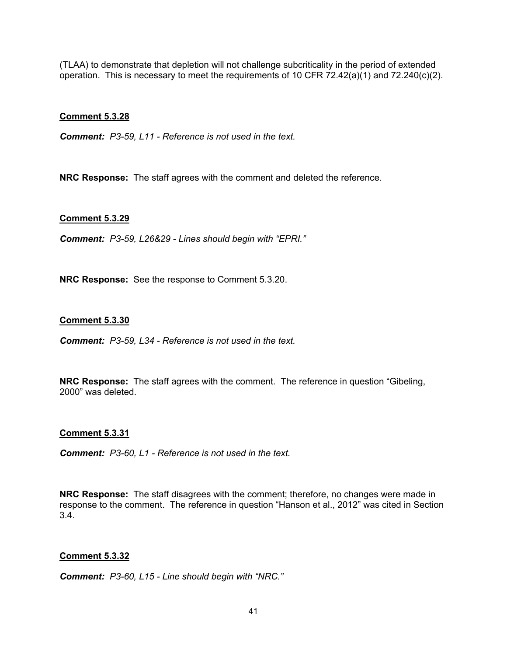(TLAA) to demonstrate that depletion will not challenge subcriticality in the period of extended operation. This is necessary to meet the requirements of 10 CFR 72.42(a)(1) and 72.240(c)(2).

### **Comment 5.3.28**

*Comment: P3-59, L11 - Reference is not used in the text.* 

**NRC Response:** The staff agrees with the comment and deleted the reference.

### **Comment 5.3.29**

*Comment: P3-59, L26&29 - Lines should begin with "EPRI."* 

**NRC Response:** See the response to Comment 5.3.20.

### **Comment 5.3.30**

*Comment: P3-59, L34 - Reference is not used in the text.* 

**NRC Response:** The staff agrees with the comment. The reference in question "Gibeling, 2000" was deleted.

#### **Comment 5.3.31**

*Comment: P3-60, L1 - Reference is not used in the text.* 

**NRC Response:** The staff disagrees with the comment; therefore, no changes were made in response to the comment. The reference in question "Hanson et al., 2012" was cited in Section 3.4.

#### **Comment 5.3.32**

*Comment: P3-60, L15 - Line should begin with "NRC."*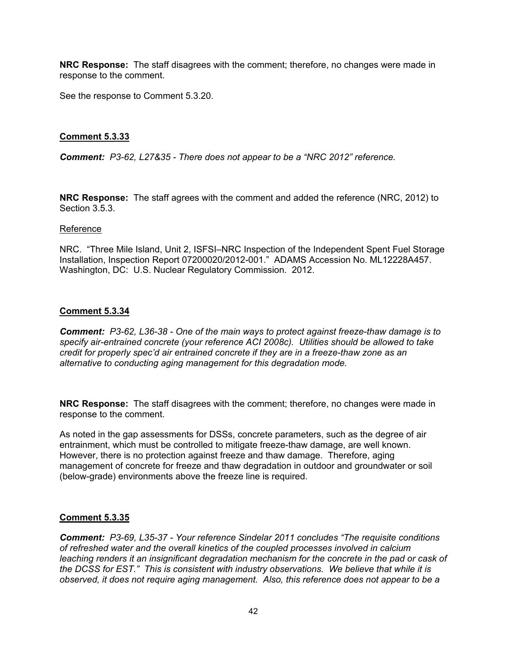**NRC Response:** The staff disagrees with the comment; therefore, no changes were made in response to the comment.

See the response to Comment 5.3.20.

### **Comment 5.3.33**

*Comment: P3-62, L27&35 - There does not appear to be a "NRC 2012" reference.* 

**NRC Response:** The staff agrees with the comment and added the reference (NRC, 2012) to Section 3.5.3.

#### Reference

NRC. "Three Mile Island, Unit 2, ISFSI–NRC Inspection of the Independent Spent Fuel Storage Installation, Inspection Report 07200020/2012-001." ADAMS Accession No. ML12228A457. Washington, DC: U.S. Nuclear Regulatory Commission. 2012.

#### **Comment 5.3.34**

*Comment: P3-62, L36-38 - One of the main ways to protect against freeze-thaw damage is to specify air-entrained concrete (your reference ACI 2008c). Utilities should be allowed to take credit for properly spec'd air entrained concrete if they are in a freeze-thaw zone as an alternative to conducting aging management for this degradation mode.* 

**NRC Response:** The staff disagrees with the comment; therefore, no changes were made in response to the comment.

As noted in the gap assessments for DSSs, concrete parameters, such as the degree of air entrainment, which must be controlled to mitigate freeze-thaw damage, are well known. However, there is no protection against freeze and thaw damage. Therefore, aging management of concrete for freeze and thaw degradation in outdoor and groundwater or soil (below-grade) environments above the freeze line is required.

## **Comment 5.3.35**

*Comment: P3-69, L35-37 - Your reference Sindelar 2011 concludes "The requisite conditions of refreshed water and the overall kinetics of the coupled processes involved in calcium leaching renders it an insignificant degradation mechanism for the concrete in the pad or cask of the DCSS for EST." This is consistent with industry observations. We believe that while it is observed, it does not require aging management. Also, this reference does not appear to be a*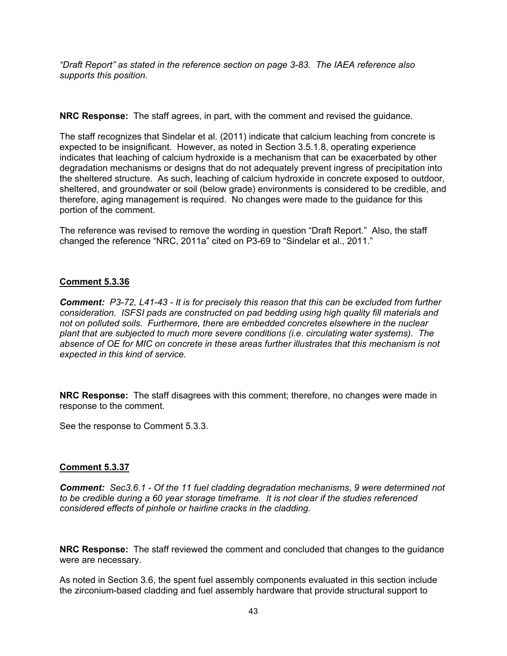*"Draft Report" as stated in the reference section on page 3-83. The IAEA reference also supports this position.* 

**NRC Response:** The staff agrees, in part, with the comment and revised the guidance.

The staff recognizes that Sindelar et al. (2011) indicate that calcium leaching from concrete is expected to be insignificant. However, as noted in Section 3.5.1.8, operating experience indicates that leaching of calcium hydroxide is a mechanism that can be exacerbated by other degradation mechanisms or designs that do not adequately prevent ingress of precipitation into the sheltered structure. As such, leaching of calcium hydroxide in concrete exposed to outdoor, sheltered, and groundwater or soil (below grade) environments is considered to be credible, and therefore, aging management is required. No changes were made to the guidance for this portion of the comment.

The reference was revised to remove the wording in question "Draft Report." Also, the staff changed the reference "NRC, 2011a" cited on P3-69 to "Sindelar et al., 2011."

## **Comment 5.3.36**

*Comment: P3-72, L41-43 - It is for precisely this reason that this can be excluded from further consideration. ISFSI pads are constructed on pad bedding using high quality fill materials and not on polluted soils. Furthermore, there are embedded concretes elsewhere in the nuclear plant that are subjected to much more severe conditions (i.e. circulating water systems). The absence of OE for MIC on concrete in these areas further illustrates that this mechanism is not expected in this kind of service.* 

**NRC Response:** The staff disagrees with this comment; therefore, no changes were made in response to the comment.

See the response to Comment 5.3.3.

#### **Comment 5.3.37**

*Comment: Sec3.6.1 - Of the 11 fuel cladding degradation mechanisms, 9 were determined not to be credible during a 60 year storage timeframe. It is not clear if the studies referenced considered effects of pinhole or hairline cracks in the cladding.* 

**NRC Response:** The staff reviewed the comment and concluded that changes to the guidance were are necessary.

As noted in Section 3.6, the spent fuel assembly components evaluated in this section include the zirconium-based cladding and fuel assembly hardware that provide structural support to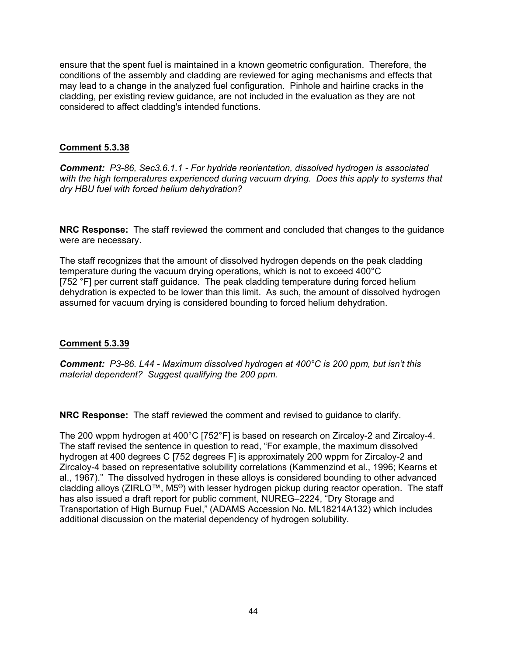ensure that the spent fuel is maintained in a known geometric configuration. Therefore, the conditions of the assembly and cladding are reviewed for aging mechanisms and effects that may lead to a change in the analyzed fuel configuration. Pinhole and hairline cracks in the cladding, per existing review guidance, are not included in the evaluation as they are not considered to affect cladding's intended functions.

### **Comment 5.3.38**

*Comment: P3-86, Sec3.6.1.1 - For hydride reorientation, dissolved hydrogen is associated with the high temperatures experienced during vacuum drying. Does this apply to systems that dry HBU fuel with forced helium dehydration?* 

**NRC Response:** The staff reviewed the comment and concluded that changes to the guidance were are necessary.

The staff recognizes that the amount of dissolved hydrogen depends on the peak cladding temperature during the vacuum drying operations, which is not to exceed 400°C [752 °F] per current staff guidance. The peak cladding temperature during forced helium dehydration is expected to be lower than this limit. As such, the amount of dissolved hydrogen assumed for vacuum drying is considered bounding to forced helium dehydration.

## **Comment 5.3.39**

*Comment: P3-86. L44 - Maximum dissolved hydrogen at 400°C is 200 ppm, but isn't this material dependent? Suggest qualifying the 200 ppm.* 

**NRC Response:** The staff reviewed the comment and revised to guidance to clarify.

The 200 wppm hydrogen at 400°C [752°F] is based on research on Zircaloy-2 and Zircaloy-4. The staff revised the sentence in question to read, "For example, the maximum dissolved hydrogen at 400 degrees C [752 degrees F] is approximately 200 wppm for Zircaloy-2 and Zircaloy-4 based on representative solubility correlations (Kammenzind et al., 1996; Kearns et al., 1967)." The dissolved hydrogen in these alloys is considered bounding to other advanced cladding alloys (ZIRLO™, M5®) with lesser hydrogen pickup during reactor operation. The staff has also issued a draft report for public comment, NUREG–2224, "Dry Storage and Transportation of High Burnup Fuel," (ADAMS Accession No. ML18214A132) which includes additional discussion on the material dependency of hydrogen solubility.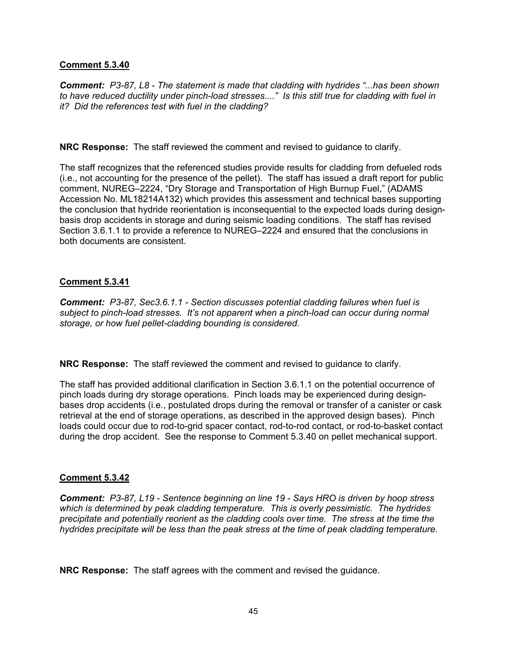### **Comment 5.3.40**

*Comment: P3-87, L8 - The statement is made that cladding with hydrides "...has been shown to have reduced ductility under pinch-load stresses...." Is this still true for cladding with fuel in it? Did the references test with fuel in the cladding?* 

**NRC Response:** The staff reviewed the comment and revised to guidance to clarify.

The staff recognizes that the referenced studies provide results for cladding from defueled rods (i.e., not accounting for the presence of the pellet). The staff has issued a draft report for public comment, NUREG–2224, "Dry Storage and Transportation of High Burnup Fuel," (ADAMS Accession No. ML18214A132) which provides this assessment and technical bases supporting the conclusion that hydride reorientation is inconsequential to the expected loads during designbasis drop accidents in storage and during seismic loading conditions. The staff has revised Section 3.6.1.1 to provide a reference to NUREG–2224 and ensured that the conclusions in both documents are consistent.

### **Comment 5.3.41**

*Comment: P3-87, Sec3.6.1.1 - Section discusses potential cladding failures when fuel is subject to pinch-load stresses. It's not apparent when a pinch-load can occur during normal storage, or how fuel pellet-cladding bounding is considered.* 

**NRC Response:** The staff reviewed the comment and revised to guidance to clarify.

The staff has provided additional clarification in Section 3.6.1.1 on the potential occurrence of pinch loads during dry storage operations. Pinch loads may be experienced during designbases drop accidents (i.e., postulated drops during the removal or transfer of a canister or cask retrieval at the end of storage operations, as described in the approved design bases). Pinch loads could occur due to rod-to-grid spacer contact, rod-to-rod contact, or rod-to-basket contact during the drop accident. See the response to Comment 5.3.40 on pellet mechanical support.

## **Comment 5.3.42**

*Comment: P3-87, L19 - Sentence beginning on line 19 - Says HRO is driven by hoop stress which is determined by peak cladding temperature. This is overly pessimistic. The hydrides precipitate and potentially reorient as the cladding cools over time. The stress at the time the hydrides precipitate will be less than the peak stress at the time of peak cladding temperature.* 

**NRC Response:** The staff agrees with the comment and revised the guidance.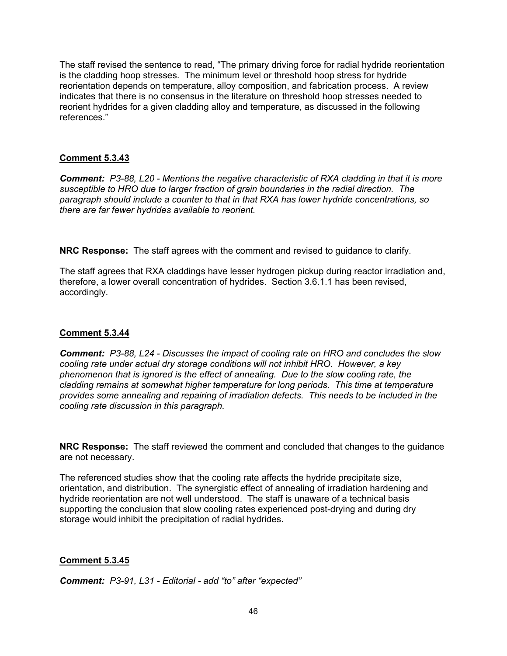The staff revised the sentence to read, "The primary driving force for radial hydride reorientation is the cladding hoop stresses. The minimum level or threshold hoop stress for hydride reorientation depends on temperature, alloy composition, and fabrication process. A review indicates that there is no consensus in the literature on threshold hoop stresses needed to reorient hydrides for a given cladding alloy and temperature, as discussed in the following references."

## **Comment 5.3.43**

*Comment: P3-88, L20 - Mentions the negative characteristic of RXA cladding in that it is more susceptible to HRO due to larger fraction of grain boundaries in the radial direction. The paragraph should include a counter to that in that RXA has lower hydride concentrations, so there are far fewer hydrides available to reorient.* 

**NRC Response:** The staff agrees with the comment and revised to guidance to clarify.

The staff agrees that RXA claddings have lesser hydrogen pickup during reactor irradiation and, therefore, a lower overall concentration of hydrides. Section 3.6.1.1 has been revised, accordingly.

## **Comment 5.3.44**

*Comment: P3-88, L24 - Discusses the impact of cooling rate on HRO and concludes the slow cooling rate under actual dry storage conditions will not inhibit HRO. However, a key phenomenon that is ignored is the effect of annealing. Due to the slow cooling rate, the cladding remains at somewhat higher temperature for long periods. This time at temperature provides some annealing and repairing of irradiation defects. This needs to be included in the cooling rate discussion in this paragraph.* 

**NRC Response:** The staff reviewed the comment and concluded that changes to the guidance are not necessary.

The referenced studies show that the cooling rate affects the hydride precipitate size, orientation, and distribution. The synergistic effect of annealing of irradiation hardening and hydride reorientation are not well understood. The staff is unaware of a technical basis supporting the conclusion that slow cooling rates experienced post-drying and during dry storage would inhibit the precipitation of radial hydrides.

## **Comment 5.3.45**

*Comment: P3-91, L31 - Editorial - add "to" after "expected"*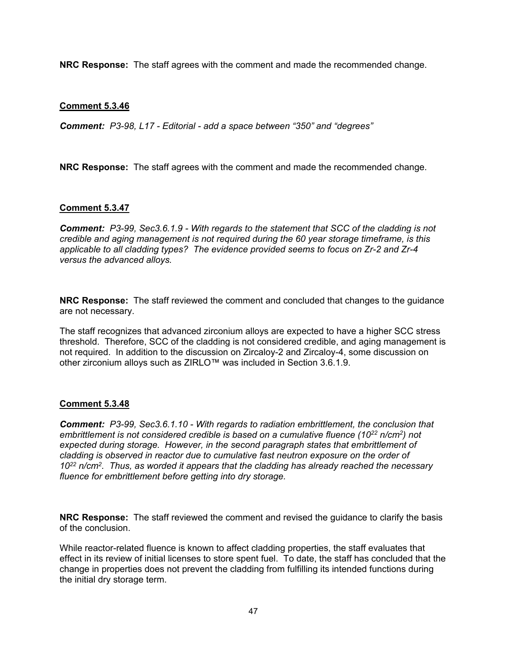**NRC Response:** The staff agrees with the comment and made the recommended change.

### **Comment 5.3.46**

*Comment: P3-98, L17 - Editorial - add a space between "350" and "degrees"* 

**NRC Response:** The staff agrees with the comment and made the recommended change.

#### **Comment 5.3.47**

*Comment: P3-99, Sec3.6.1.9 - With regards to the statement that SCC of the cladding is not credible and aging management is not required during the 60 year storage timeframe, is this applicable to all cladding types? The evidence provided seems to focus on Zr-2 and Zr-4 versus the advanced alloys.* 

**NRC Response:** The staff reviewed the comment and concluded that changes to the guidance are not necessary.

The staff recognizes that advanced zirconium alloys are expected to have a higher SCC stress threshold. Therefore, SCC of the cladding is not considered credible, and aging management is not required. In addition to the discussion on Zircaloy-2 and Zircaloy-4, some discussion on other zirconium alloys such as ZIRLO™ was included in Section 3.6.1.9.

#### **Comment 5.3.48**

*Comment: P3-99, Sec3.6.1.10 - With regards to radiation embrittlement, the conclusion that embrittlement is not considered credible is based on a cumulative fluence (1022 n/cm2) not expected during storage. However, in the second paragraph states that embrittlement of cladding is observed in reactor due to cumulative fast neutron exposure on the order of 1022 n/cm2. Thus, as worded it appears that the cladding has already reached the necessary fluence for embrittlement before getting into dry storage.* 

**NRC Response:** The staff reviewed the comment and revised the guidance to clarify the basis of the conclusion.

While reactor-related fluence is known to affect cladding properties, the staff evaluates that effect in its review of initial licenses to store spent fuel. To date, the staff has concluded that the change in properties does not prevent the cladding from fulfilling its intended functions during the initial dry storage term.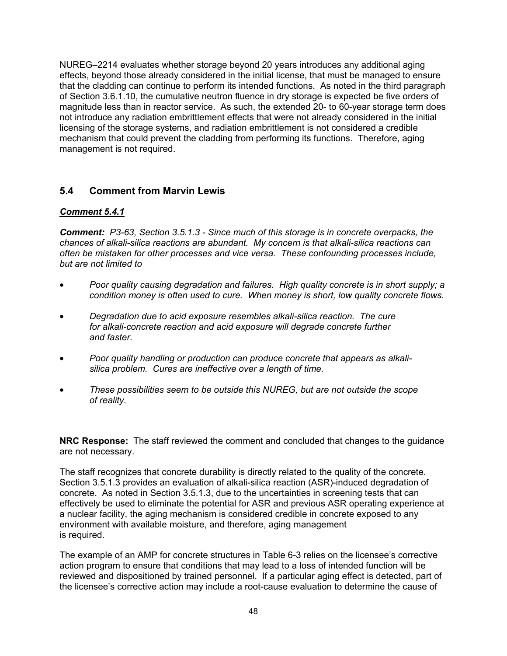NUREG–2214 evaluates whether storage beyond 20 years introduces any additional aging effects, beyond those already considered in the initial license, that must be managed to ensure that the cladding can continue to perform its intended functions. As noted in the third paragraph of Section 3.6.1.10, the cumulative neutron fluence in dry storage is expected be five orders of magnitude less than in reactor service. As such, the extended 20- to 60-year storage term does not introduce any radiation embrittlement effects that were not already considered in the initial licensing of the storage systems, and radiation embrittlement is not considered a credible mechanism that could prevent the cladding from performing its functions. Therefore, aging management is not required.

# **5.4 Comment from Marvin Lewis**

## *Comment 5.4.1*

*Comment: P3-63, Section 3.5.1.3 - Since much of this storage is in concrete overpacks, the chances of alkali-silica reactions are abundant. My concern is that alkali-silica reactions can often be mistaken for other processes and vice versa. These confounding processes include, but are not limited to* 

- *Poor quality causing degradation and failures. High quality concrete is in short supply; a condition money is often used to cure. When money is short, low quality concrete flows.*
- *Degradation due to acid exposure resembles alkali-silica reaction. The cure for alkali-concrete reaction and acid exposure will degrade concrete further and faster.*
- *Poor quality handling or production can produce concrete that appears as alkalisilica problem. Cures are ineffective over a length of time.*
- *These possibilities seem to be outside this NUREG, but are not outside the scope of reality.*

**NRC Response:** The staff reviewed the comment and concluded that changes to the guidance are not necessary.

The staff recognizes that concrete durability is directly related to the quality of the concrete. Section 3.5.1.3 provides an evaluation of alkali-silica reaction (ASR)-induced degradation of concrete. As noted in Section 3.5.1.3, due to the uncertainties in screening tests that can effectively be used to eliminate the potential for ASR and previous ASR operating experience at a nuclear facility, the aging mechanism is considered credible in concrete exposed to any environment with available moisture, and therefore, aging management is required.

The example of an AMP for concrete structures in Table 6-3 relies on the licensee's corrective action program to ensure that conditions that may lead to a loss of intended function will be reviewed and dispositioned by trained personnel. If a particular aging effect is detected, part of the licensee's corrective action may include a root-cause evaluation to determine the cause of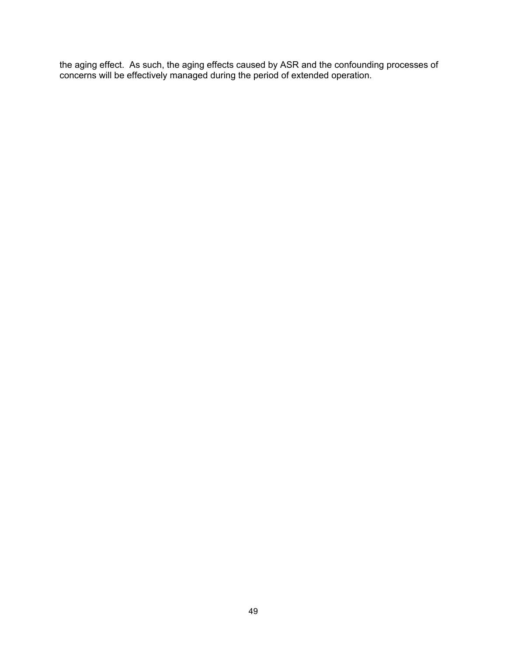the aging effect. As such, the aging effects caused by ASR and the confounding processes of concerns will be effectively managed during the period of extended operation.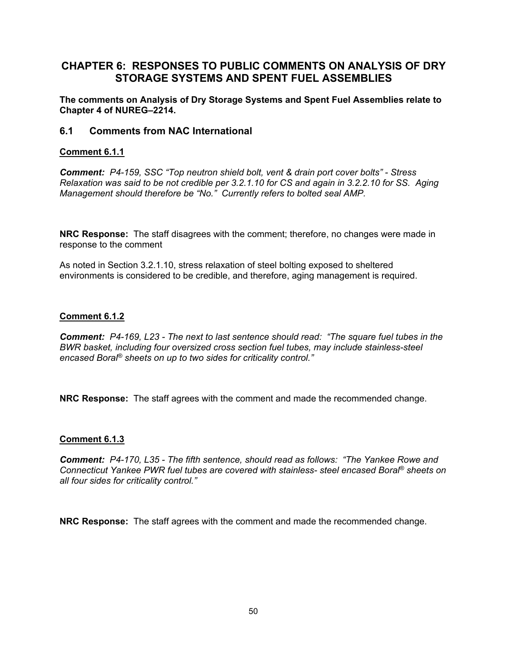# **CHAPTER 6: RESPONSES TO PUBLIC COMMENTS ON ANALYSIS OF DRY STORAGE SYSTEMS AND SPENT FUEL ASSEMBLIES**

**The comments on Analysis of Dry Storage Systems and Spent Fuel Assemblies relate to Chapter 4 of NUREG–2214.** 

## **6.1 Comments from NAC International**

## **Comment 6.1.1**

*Comment: P4-159, SSC "Top neutron shield bolt, vent & drain port cover bolts" - Stress Relaxation was said to be not credible per 3.2.1.10 for CS and again in 3.2.2.10 for SS. Aging Management should therefore be "No." Currently refers to bolted seal AMP.* 

**NRC Response:** The staff disagrees with the comment; therefore, no changes were made in response to the comment

As noted in Section 3.2.1.10, stress relaxation of steel bolting exposed to sheltered environments is considered to be credible, and therefore, aging management is required.

## **Comment 6.1.2**

*Comment: P4-169, L23 - The next to last sentence should read: "The square fuel tubes in the BWR basket, including four oversized cross section fuel tubes, may include stainless-steel encased Boral® sheets on up to two sides for criticality control."* 

**NRC Response:** The staff agrees with the comment and made the recommended change.

## **Comment 6.1.3**

*Comment: P4-170, L35 - The fifth sentence, should read as follows: "The Yankee Rowe and Connecticut Yankee PWR fuel tubes are covered with stainless- steel encased Boral® sheets on all four sides for criticality control."* 

**NRC Response:** The staff agrees with the comment and made the recommended change.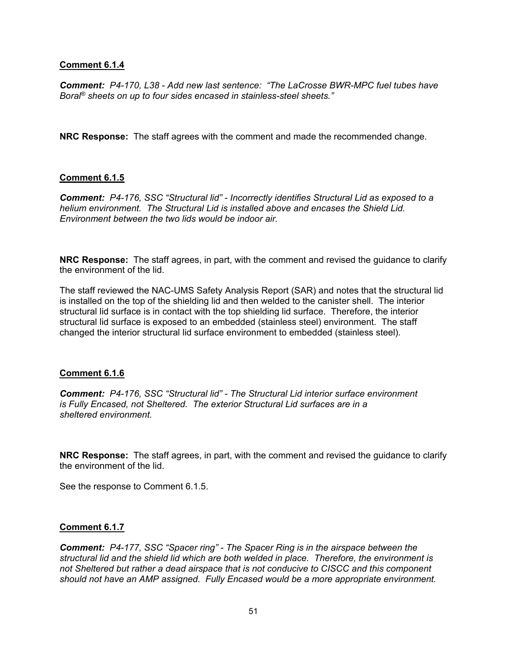*Comment: P4-170, L38 - Add new last sentence: "The LaCrosse BWR-MPC fuel tubes have Boral® sheets on up to four sides encased in stainless-steel sheets."* 

**NRC Response:** The staff agrees with the comment and made the recommended change.

### **Comment 6.1.5**

*Comment: P4-176, SSC "Structural lid" - Incorrectly identifies Structural Lid as exposed to a helium environment. The Structural Lid is installed above and encases the Shield Lid. Environment between the two lids would be indoor air.* 

**NRC Response:** The staff agrees, in part, with the comment and revised the guidance to clarify the environment of the lid.

The staff reviewed the NAC-UMS Safety Analysis Report (SAR) and notes that the structural lid is installed on the top of the shielding lid and then welded to the canister shell. The interior structural lid surface is in contact with the top shielding lid surface. Therefore, the interior structural lid surface is exposed to an embedded (stainless steel) environment. The staff changed the interior structural lid surface environment to embedded (stainless steel).

#### **Comment 6.1.6**

*Comment: P4-176, SSC "Structural lid" - The Structural Lid interior surface environment is Fully Encased, not Sheltered. The exterior Structural Lid surfaces are in a sheltered environment.* 

**NRC Response:** The staff agrees, in part, with the comment and revised the guidance to clarify the environment of the lid.

See the response to Comment 6.1.5.

#### **Comment 6.1.7**

*Comment: P4-177, SSC "Spacer ring" - The Spacer Ring is in the airspace between the structural lid and the shield lid which are both welded in place. Therefore, the environment is not Sheltered but rather a dead airspace that is not conducive to CISCC and this component should not have an AMP assigned. Fully Encased would be a more appropriate environment.*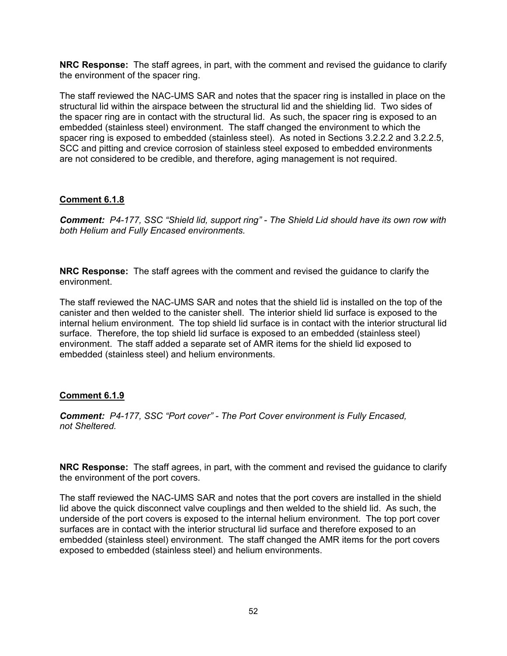**NRC Response:** The staff agrees, in part, with the comment and revised the guidance to clarify the environment of the spacer ring.

The staff reviewed the NAC-UMS SAR and notes that the spacer ring is installed in place on the structural lid within the airspace between the structural lid and the shielding lid. Two sides of the spacer ring are in contact with the structural lid. As such, the spacer ring is exposed to an embedded (stainless steel) environment. The staff changed the environment to which the spacer ring is exposed to embedded (stainless steel). As noted in Sections 3.2.2.2 and 3.2.2.5, SCC and pitting and crevice corrosion of stainless steel exposed to embedded environments are not considered to be credible, and therefore, aging management is not required.

## **Comment 6.1.8**

*Comment: P4-177, SSC "Shield lid, support ring" - The Shield Lid should have its own row with both Helium and Fully Encased environments.* 

**NRC Response:** The staff agrees with the comment and revised the guidance to clarify the environment.

The staff reviewed the NAC-UMS SAR and notes that the shield lid is installed on the top of the canister and then welded to the canister shell. The interior shield lid surface is exposed to the internal helium environment. The top shield lid surface is in contact with the interior structural lid surface. Therefore, the top shield lid surface is exposed to an embedded (stainless steel) environment. The staff added a separate set of AMR items for the shield lid exposed to embedded (stainless steel) and helium environments.

# **Comment 6.1.9**

*Comment: P4-177, SSC "Port cover" - The Port Cover environment is Fully Encased, not Sheltered.* 

**NRC Response:** The staff agrees, in part, with the comment and revised the guidance to clarify the environment of the port covers.

The staff reviewed the NAC-UMS SAR and notes that the port covers are installed in the shield lid above the quick disconnect valve couplings and then welded to the shield lid. As such, the underside of the port covers is exposed to the internal helium environment. The top port cover surfaces are in contact with the interior structural lid surface and therefore exposed to an embedded (stainless steel) environment. The staff changed the AMR items for the port covers exposed to embedded (stainless steel) and helium environments.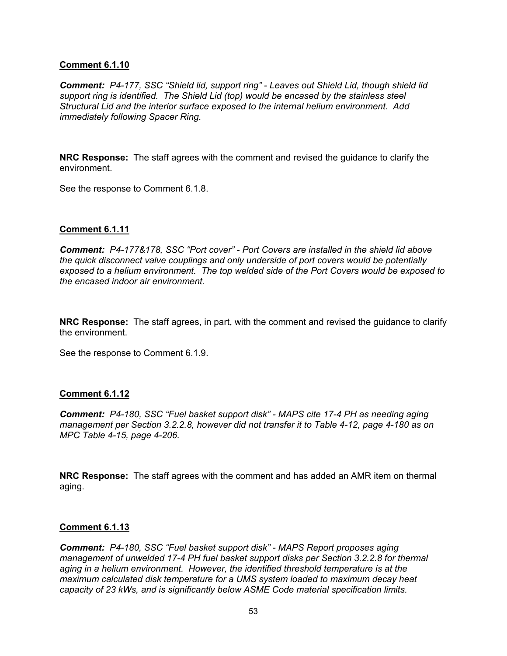*Comment: P4-177, SSC "Shield lid, support ring" - Leaves out Shield Lid, though shield lid support ring is identified. The Shield Lid (top) would be encased by the stainless steel Structural Lid and the interior surface exposed to the internal helium environment. Add immediately following Spacer Ring.* 

**NRC Response:** The staff agrees with the comment and revised the guidance to clarify the environment.

See the response to Comment 6.1.8.

### **Comment 6.1.11**

*Comment: P4-177&178, SSC "Port cover" - Port Covers are installed in the shield lid above the quick disconnect valve couplings and only underside of port covers would be potentially exposed to a helium environment. The top welded side of the Port Covers would be exposed to the encased indoor air environment.* 

**NRC Response:** The staff agrees, in part, with the comment and revised the guidance to clarify the environment.

See the response to Comment 6.1.9.

#### **Comment 6.1.12**

*Comment: P4-180, SSC "Fuel basket support disk" - MAPS cite 17-4 PH as needing aging management per Section 3.2.2.8, however did not transfer it to Table 4-12, page 4-180 as on MPC Table 4-15, page 4-206.* 

**NRC Response:** The staff agrees with the comment and has added an AMR item on thermal aging.

#### **Comment 6.1.13**

*Comment: P4-180, SSC "Fuel basket support disk" - MAPS Report proposes aging management of unwelded 17-4 PH fuel basket support disks per Section 3.2.2.8 for thermal aging in a helium environment. However, the identified threshold temperature is at the maximum calculated disk temperature for a UMS system loaded to maximum decay heat capacity of 23 kWs, and is significantly below ASME Code material specification limits.*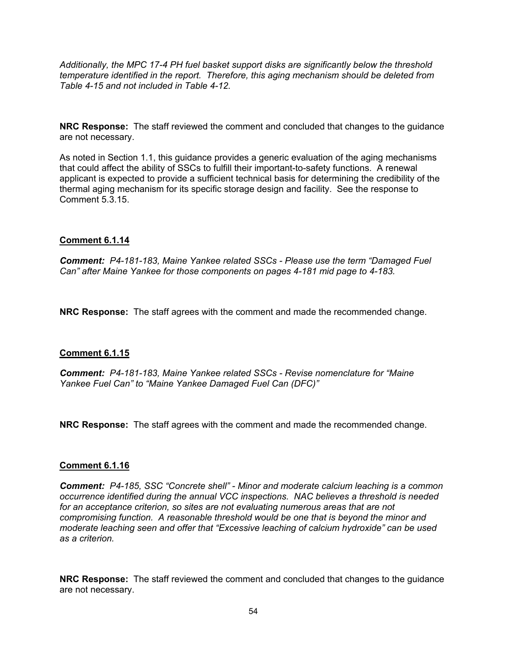*Additionally, the MPC 17-4 PH fuel basket support disks are significantly below the threshold temperature identified in the report. Therefore, this aging mechanism should be deleted from Table 4-15 and not included in Table 4-12.* 

**NRC Response:** The staff reviewed the comment and concluded that changes to the guidance are not necessary.

As noted in Section 1.1, this guidance provides a generic evaluation of the aging mechanisms that could affect the ability of SSCs to fulfill their important-to-safety functions. A renewal applicant is expected to provide a sufficient technical basis for determining the credibility of the thermal aging mechanism for its specific storage design and facility. See the response to Comment 5.3.15.

### **Comment 6.1.14**

*Comment: P4-181-183, Maine Yankee related SSCs - Please use the term "Damaged Fuel Can" after Maine Yankee for those components on pages 4-181 mid page to 4-183.* 

**NRC Response:** The staff agrees with the comment and made the recommended change.

## **Comment 6.1.15**

*Comment: P4-181-183, Maine Yankee related SSCs - Revise nomenclature for "Maine Yankee Fuel Can" to "Maine Yankee Damaged Fuel Can (DFC)"* 

**NRC Response:** The staff agrees with the comment and made the recommended change.

#### **Comment 6.1.16**

*Comment: P4-185, SSC "Concrete shell" - Minor and moderate calcium leaching is a common occurrence identified during the annual VCC inspections. NAC believes a threshold is needed for an acceptance criterion, so sites are not evaluating numerous areas that are not compromising function. A reasonable threshold would be one that is beyond the minor and moderate leaching seen and offer that "Excessive leaching of calcium hydroxide" can be used as a criterion.* 

**NRC Response:** The staff reviewed the comment and concluded that changes to the guidance are not necessary.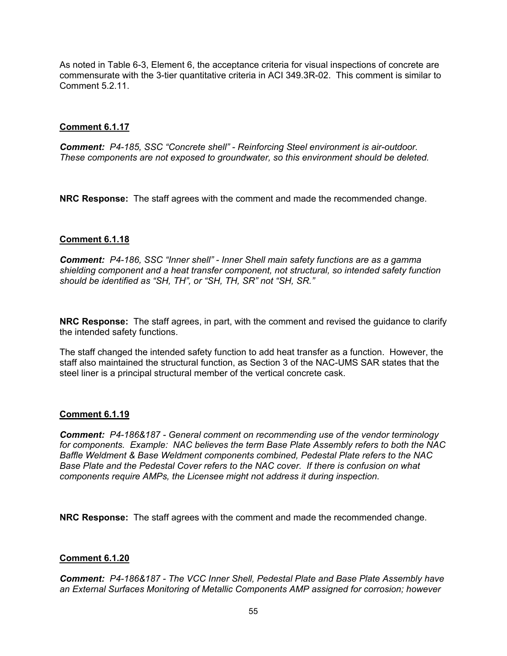As noted in Table 6-3, Element 6, the acceptance criteria for visual inspections of concrete are commensurate with the 3-tier quantitative criteria in ACI 349.3R-02. This comment is similar to Comment 5.2.11.

## **Comment 6.1.17**

*Comment: P4-185, SSC "Concrete shell" - Reinforcing Steel environment is air-outdoor. These components are not exposed to groundwater, so this environment should be deleted.* 

**NRC Response:** The staff agrees with the comment and made the recommended change.

## **Comment 6.1.18**

*Comment: P4-186, SSC "Inner shell" - Inner Shell main safety functions are as a gamma shielding component and a heat transfer component, not structural, so intended safety function should be identified as "SH, TH", or "SH, TH, SR" not "SH, SR."* 

**NRC Response:** The staff agrees, in part, with the comment and revised the guidance to clarify the intended safety functions.

The staff changed the intended safety function to add heat transfer as a function. However, the staff also maintained the structural function, as Section 3 of the NAC-UMS SAR states that the steel liner is a principal structural member of the vertical concrete cask.

## **Comment 6.1.19**

*Comment: P4-186&187 - General comment on recommending use of the vendor terminology for components. Example: NAC believes the term Base Plate Assembly refers to both the NAC Baffle Weldment & Base Weldment components combined, Pedestal Plate refers to the NAC Base Plate and the Pedestal Cover refers to the NAC cover. If there is confusion on what components require AMPs, the Licensee might not address it during inspection.* 

**NRC Response:** The staff agrees with the comment and made the recommended change.

## **Comment 6.1.20**

*Comment: P4-186&187 - The VCC Inner Shell, Pedestal Plate and Base Plate Assembly have an External Surfaces Monitoring of Metallic Components AMP assigned for corrosion; however*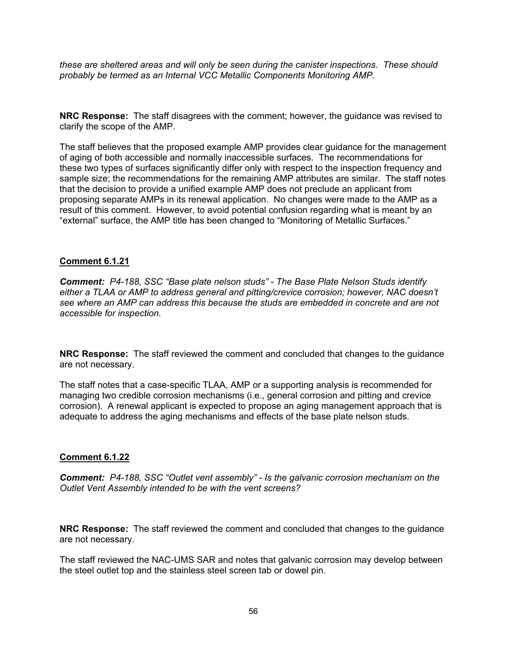*these are sheltered areas and will only be seen during the canister inspections. These should probably be termed as an Internal VCC Metallic Components Monitoring AMP.* 

**NRC Response:** The staff disagrees with the comment; however, the guidance was revised to clarify the scope of the AMP.

The staff believes that the proposed example AMP provides clear guidance for the management of aging of both accessible and normally inaccessible surfaces. The recommendations for these two types of surfaces significantly differ only with respect to the inspection frequency and sample size; the recommendations for the remaining AMP attributes are similar. The staff notes that the decision to provide a unified example AMP does not preclude an applicant from proposing separate AMPs in its renewal application. No changes were made to the AMP as a result of this comment. However, to avoid potential confusion regarding what is meant by an "external" surface, the AMP title has been changed to "Monitoring of Metallic Surfaces."

### **Comment 6.1.21**

*Comment: P4-188, SSC "Base plate nelson studs" - The Base Plate Nelson Studs identify either a TLAA or AMP to address general and pitting/crevice corrosion; however, NAC doesn't see where an AMP can address this because the studs are embedded in concrete and are not accessible for inspection.* 

**NRC Response:** The staff reviewed the comment and concluded that changes to the guidance are not necessary.

The staff notes that a case-specific TLAA, AMP or a supporting analysis is recommended for managing two credible corrosion mechanisms (i.e., general corrosion and pitting and crevice corrosion). A renewal applicant is expected to propose an aging management approach that is adequate to address the aging mechanisms and effects of the base plate nelson studs.

#### **Comment 6.1.22**

*Comment: P4-188, SSC "Outlet vent assembly" - Is the galvanic corrosion mechanism on the Outlet Vent Assembly intended to be with the vent screens?* 

**NRC Response:** The staff reviewed the comment and concluded that changes to the guidance are not necessary.

The staff reviewed the NAC-UMS SAR and notes that galvanic corrosion may develop between the steel outlet top and the stainless steel screen tab or dowel pin.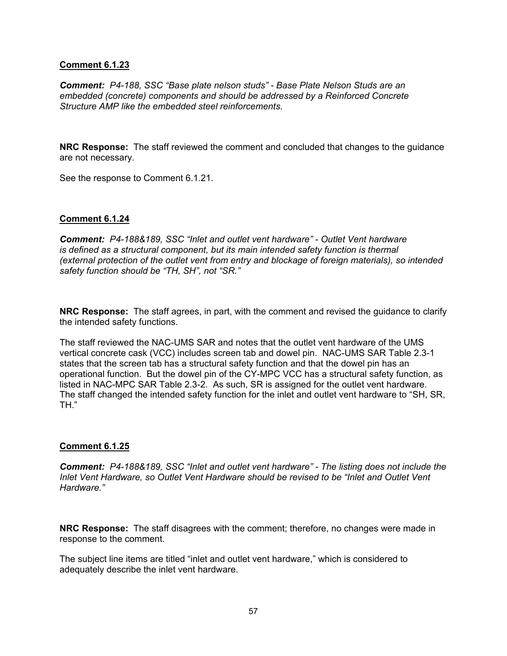*Comment: P4-188, SSC "Base plate nelson studs" - Base Plate Nelson Studs are an embedded (concrete) components and should be addressed by a Reinforced Concrete Structure AMP like the embedded steel reinforcements.* 

**NRC Response:** The staff reviewed the comment and concluded that changes to the guidance are not necessary.

See the response to Comment 6.1.21.

### **Comment 6.1.24**

*Comment: P4-188&189, SSC "Inlet and outlet vent hardware" - Outlet Vent hardware is defined as a structural component, but its main intended safety function is thermal (external protection of the outlet vent from entry and blockage of foreign materials), so intended safety function should be "TH, SH", not "SR."* 

**NRC Response:** The staff agrees, in part, with the comment and revised the guidance to clarify the intended safety functions.

The staff reviewed the NAC-UMS SAR and notes that the outlet vent hardware of the UMS vertical concrete cask (VCC) includes screen tab and dowel pin. NAC-UMS SAR Table 2.3-1 states that the screen tab has a structural safety function and that the dowel pin has an operational function. But the dowel pin of the CY-MPC VCC has a structural safety function, as listed in NAC-MPC SAR Table 2.3-2. As such, SR is assigned for the outlet vent hardware. The staff changed the intended safety function for the inlet and outlet vent hardware to "SH, SR, TH."

#### **Comment 6.1.25**

*Comment: P4-188&189, SSC "Inlet and outlet vent hardware" - The listing does not include the Inlet Vent Hardware, so Outlet Vent Hardware should be revised to be "Inlet and Outlet Vent Hardware."* 

**NRC Response:** The staff disagrees with the comment; therefore, no changes were made in response to the comment.

The subject line items are titled "inlet and outlet vent hardware," which is considered to adequately describe the inlet vent hardware.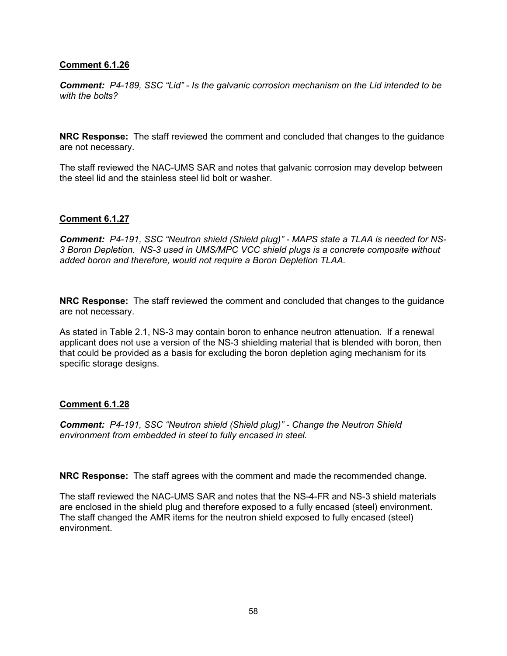*Comment: P4-189, SSC "Lid" - Is the galvanic corrosion mechanism on the Lid intended to be with the bolts?* 

**NRC Response:** The staff reviewed the comment and concluded that changes to the guidance are not necessary.

The staff reviewed the NAC-UMS SAR and notes that galvanic corrosion may develop between the steel lid and the stainless steel lid bolt or washer.

### **Comment 6.1.27**

*Comment: P4-191, SSC "Neutron shield (Shield plug)" - MAPS state a TLAA is needed for NS-3 Boron Depletion. NS-3 used in UMS/MPC VCC shield plugs is a concrete composite without added boron and therefore, would not require a Boron Depletion TLAA.* 

**NRC Response:** The staff reviewed the comment and concluded that changes to the guidance are not necessary.

As stated in Table 2.1, NS-3 may contain boron to enhance neutron attenuation. If a renewal applicant does not use a version of the NS-3 shielding material that is blended with boron, then that could be provided as a basis for excluding the boron depletion aging mechanism for its specific storage designs.

#### **Comment 6.1.28**

*Comment: P4-191, SSC "Neutron shield (Shield plug)" - Change the Neutron Shield environment from embedded in steel to fully encased in steel.* 

**NRC Response:** The staff agrees with the comment and made the recommended change.

The staff reviewed the NAC-UMS SAR and notes that the NS-4-FR and NS-3 shield materials are enclosed in the shield plug and therefore exposed to a fully encased (steel) environment. The staff changed the AMR items for the neutron shield exposed to fully encased (steel) environment.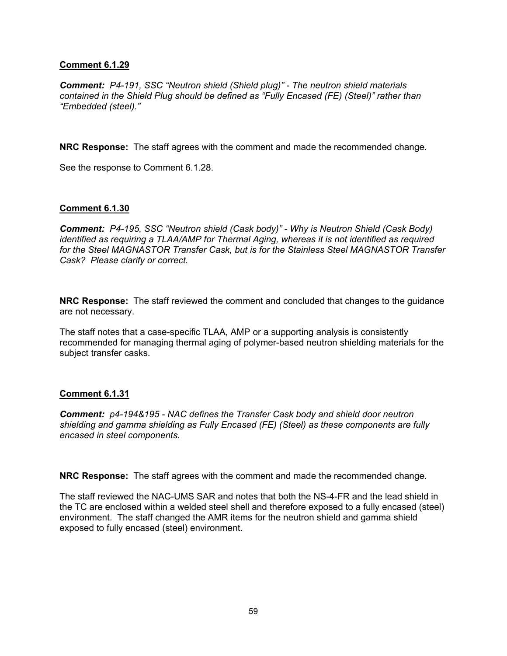*Comment: P4-191, SSC "Neutron shield (Shield plug)" - The neutron shield materials contained in the Shield Plug should be defined as "Fully Encased (FE) (Steel)" rather than "Embedded (steel)."* 

**NRC Response:** The staff agrees with the comment and made the recommended change.

See the response to Comment 6.1.28.

### **Comment 6.1.30**

*Comment: P4-195, SSC "Neutron shield (Cask body)" - Why is Neutron Shield (Cask Body) identified as requiring a TLAA/AMP for Thermal Aging, whereas it is not identified as required for the Steel MAGNASTOR Transfer Cask, but is for the Stainless Steel MAGNASTOR Transfer Cask? Please clarify or correct.* 

**NRC Response:** The staff reviewed the comment and concluded that changes to the guidance are not necessary.

The staff notes that a case-specific TLAA, AMP or a supporting analysis is consistently recommended for managing thermal aging of polymer-based neutron shielding materials for the subject transfer casks.

#### **Comment 6.1.31**

*Comment: p4-194&195 - NAC defines the Transfer Cask body and shield door neutron shielding and gamma shielding as Fully Encased (FE) (Steel) as these components are fully encased in steel components.* 

**NRC Response:** The staff agrees with the comment and made the recommended change.

The staff reviewed the NAC-UMS SAR and notes that both the NS-4-FR and the lead shield in the TC are enclosed within a welded steel shell and therefore exposed to a fully encased (steel) environment. The staff changed the AMR items for the neutron shield and gamma shield exposed to fully encased (steel) environment.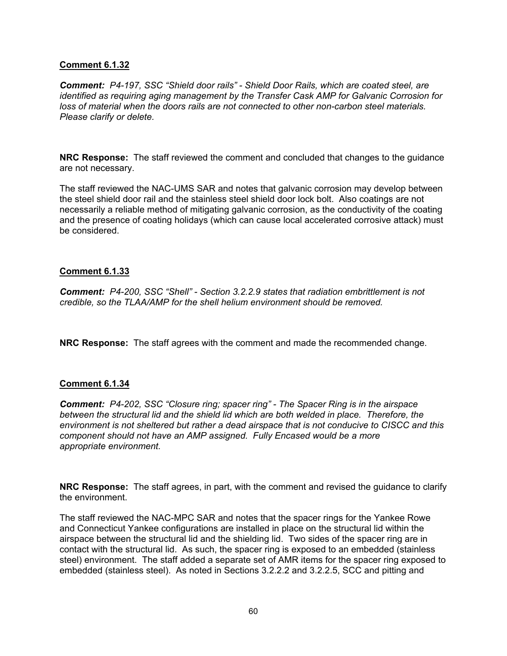*Comment: P4-197, SSC "Shield door rails" - Shield Door Rails, which are coated steel, are identified as requiring aging management by the Transfer Cask AMP for Galvanic Corrosion for loss of material when the doors rails are not connected to other non-carbon steel materials. Please clarify or delete.* 

**NRC Response:** The staff reviewed the comment and concluded that changes to the guidance are not necessary.

The staff reviewed the NAC-UMS SAR and notes that galvanic corrosion may develop between the steel shield door rail and the stainless steel shield door lock bolt. Also coatings are not necessarily a reliable method of mitigating galvanic corrosion, as the conductivity of the coating and the presence of coating holidays (which can cause local accelerated corrosive attack) must be considered.

### **Comment 6.1.33**

*Comment: P4-200, SSC "Shell" - Section 3.2.2.9 states that radiation embrittlement is not credible, so the TLAA/AMP for the shell helium environment should be removed.* 

**NRC Response:** The staff agrees with the comment and made the recommended change.

#### **Comment 6.1.34**

*Comment: P4-202, SSC "Closure ring; spacer ring" - The Spacer Ring is in the airspace between the structural lid and the shield lid which are both welded in place. Therefore, the environment is not sheltered but rather a dead airspace that is not conducive to CISCC and this component should not have an AMP assigned. Fully Encased would be a more appropriate environment.* 

**NRC Response:** The staff agrees, in part, with the comment and revised the guidance to clarify the environment.

The staff reviewed the NAC-MPC SAR and notes that the spacer rings for the Yankee Rowe and Connecticut Yankee configurations are installed in place on the structural lid within the airspace between the structural lid and the shielding lid. Two sides of the spacer ring are in contact with the structural lid. As such, the spacer ring is exposed to an embedded (stainless steel) environment. The staff added a separate set of AMR items for the spacer ring exposed to embedded (stainless steel). As noted in Sections 3.2.2.2 and 3.2.2.5, SCC and pitting and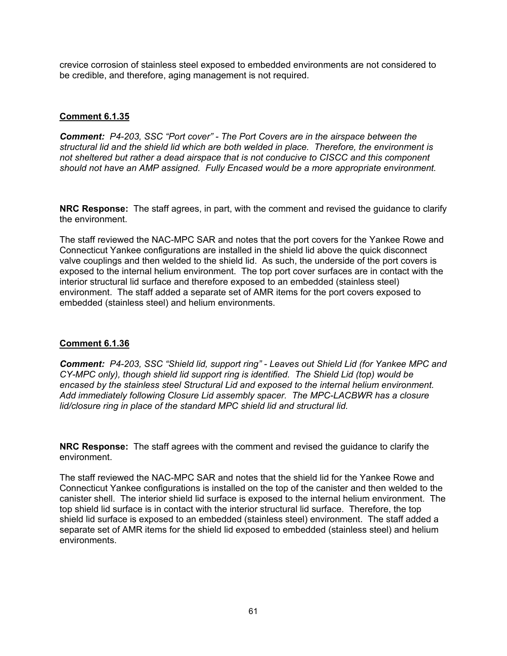crevice corrosion of stainless steel exposed to embedded environments are not considered to be credible, and therefore, aging management is not required.

## **Comment 6.1.35**

*Comment: P4-203, SSC "Port cover" - The Port Covers are in the airspace between the structural lid and the shield lid which are both welded in place. Therefore, the environment is not sheltered but rather a dead airspace that is not conducive to CISCC and this component should not have an AMP assigned. Fully Encased would be a more appropriate environment.* 

**NRC Response:** The staff agrees, in part, with the comment and revised the guidance to clarify the environment.

The staff reviewed the NAC-MPC SAR and notes that the port covers for the Yankee Rowe and Connecticut Yankee configurations are installed in the shield lid above the quick disconnect valve couplings and then welded to the shield lid. As such, the underside of the port covers is exposed to the internal helium environment. The top port cover surfaces are in contact with the interior structural lid surface and therefore exposed to an embedded (stainless steel) environment. The staff added a separate set of AMR items for the port covers exposed to embedded (stainless steel) and helium environments.

## **Comment 6.1.36**

*Comment: P4-203, SSC "Shield lid, support ring" - Leaves out Shield Lid (for Yankee MPC and CY-MPC only), though shield lid support ring is identified. The Shield Lid (top) would be encased by the stainless steel Structural Lid and exposed to the internal helium environment. Add immediately following Closure Lid assembly spacer. The MPC-LACBWR has a closure lid/closure ring in place of the standard MPC shield lid and structural lid.* 

**NRC Response:** The staff agrees with the comment and revised the guidance to clarify the environment.

The staff reviewed the NAC-MPC SAR and notes that the shield lid for the Yankee Rowe and Connecticut Yankee configurations is installed on the top of the canister and then welded to the canister shell. The interior shield lid surface is exposed to the internal helium environment. The top shield lid surface is in contact with the interior structural lid surface. Therefore, the top shield lid surface is exposed to an embedded (stainless steel) environment. The staff added a separate set of AMR items for the shield lid exposed to embedded (stainless steel) and helium environments.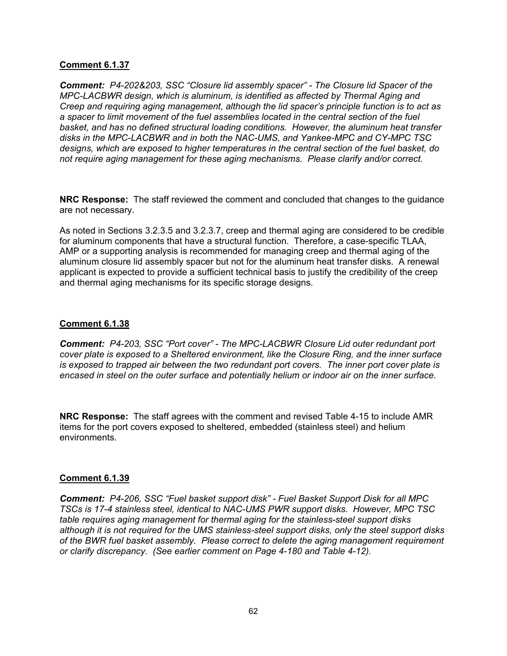*Comment: P4-202&203, SSC "Closure lid assembly spacer" - The Closure lid Spacer of the MPC-LACBWR design, which is aluminum, is identified as affected by Thermal Aging and Creep and requiring aging management, although the lid spacer's principle function is to act as a spacer to limit movement of the fuel assemblies located in the central section of the fuel basket, and has no defined structural loading conditions. However, the aluminum heat transfer disks in the MPC-LACBWR and in both the NAC-UMS, and Yankee-MPC and CY-MPC TSC designs, which are exposed to higher temperatures in the central section of the fuel basket, do not require aging management for these aging mechanisms. Please clarify and/or correct.*

**NRC Response:** The staff reviewed the comment and concluded that changes to the guidance are not necessary.

As noted in Sections 3.2.3.5 and 3.2.3.7, creep and thermal aging are considered to be credible for aluminum components that have a structural function. Therefore, a case-specific TLAA, AMP or a supporting analysis is recommended for managing creep and thermal aging of the aluminum closure lid assembly spacer but not for the aluminum heat transfer disks. A renewal applicant is expected to provide a sufficient technical basis to justify the credibility of the creep and thermal aging mechanisms for its specific storage designs.

### **Comment 6.1.38**

*Comment: P4-203, SSC "Port cover" - The MPC-LACBWR Closure Lid outer redundant port cover plate is exposed to a Sheltered environment, like the Closure Ring, and the inner surface is exposed to trapped air between the two redundant port covers. The inner port cover plate is encased in steel on the outer surface and potentially helium or indoor air on the inner surface.* 

**NRC Response:** The staff agrees with the comment and revised Table 4-15 to include AMR items for the port covers exposed to sheltered, embedded (stainless steel) and helium environments.

## **Comment 6.1.39**

*Comment: P4-206, SSC "Fuel basket support disk" - Fuel Basket Support Disk for all MPC TSCs is 17-4 stainless steel, identical to NAC-UMS PWR support disks. However, MPC TSC table requires aging management for thermal aging for the stainless-steel support disks although it is not required for the UMS stainless-steel support disks, only the steel support disks of the BWR fuel basket assembly. Please correct to delete the aging management requirement or clarify discrepancy. (See earlier comment on Page 4-180 and Table 4-12).*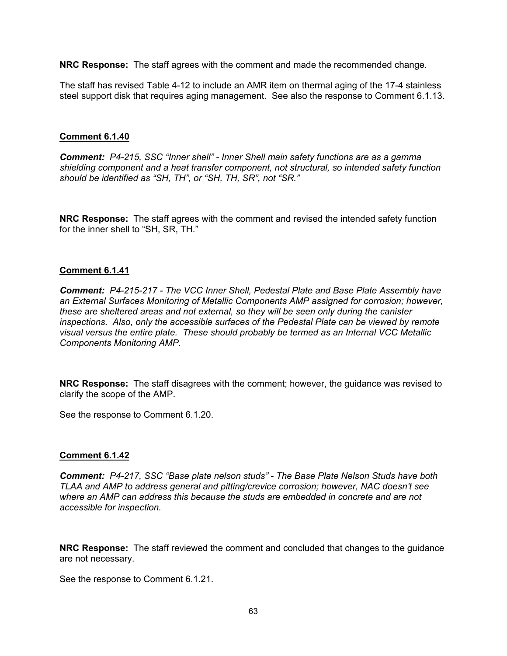**NRC Response:** The staff agrees with the comment and made the recommended change.

The staff has revised Table 4-12 to include an AMR item on thermal aging of the 17-4 stainless steel support disk that requires aging management. See also the response to Comment 6.1.13.

### **Comment 6.1.40**

*Comment: P4-215, SSC "Inner shell" - Inner Shell main safety functions are as a gamma shielding component and a heat transfer component, not structural, so intended safety function should be identified as "SH, TH", or "SH, TH, SR", not "SR."* 

**NRC Response:** The staff agrees with the comment and revised the intended safety function for the inner shell to "SH, SR, TH."

#### **Comment 6.1.41**

*Comment: P4-215-217 - The VCC Inner Shell, Pedestal Plate and Base Plate Assembly have an External Surfaces Monitoring of Metallic Components AMP assigned for corrosion; however, these are sheltered areas and not external, so they will be seen only during the canister inspections. Also, only the accessible surfaces of the Pedestal Plate can be viewed by remote visual versus the entire plate. These should probably be termed as an Internal VCC Metallic Components Monitoring AMP.* 

**NRC Response:** The staff disagrees with the comment; however, the guidance was revised to clarify the scope of the AMP.

See the response to Comment 6.1.20.

#### **Comment 6.1.42**

*Comment: P4-217, SSC "Base plate nelson studs" - The Base Plate Nelson Studs have both TLAA and AMP to address general and pitting/crevice corrosion; however, NAC doesn't see where an AMP can address this because the studs are embedded in concrete and are not accessible for inspection.* 

**NRC Response:** The staff reviewed the comment and concluded that changes to the guidance are not necessary.

See the response to Comment 6.1.21.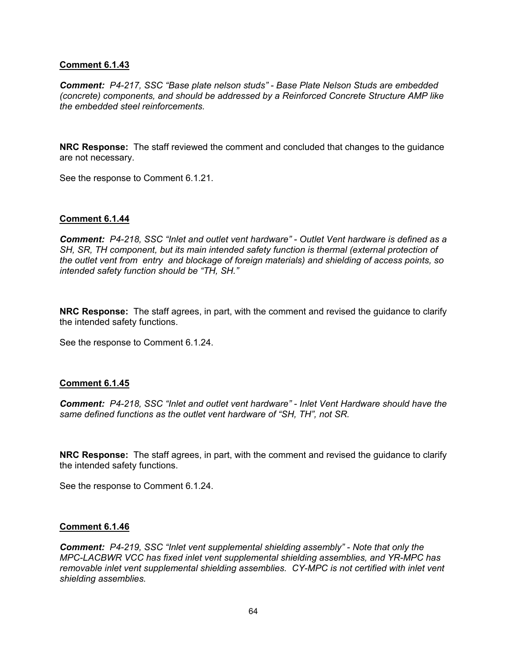*Comment: P4-217, SSC "Base plate nelson studs" - Base Plate Nelson Studs are embedded (concrete) components, and should be addressed by a Reinforced Concrete Structure AMP like the embedded steel reinforcements.* 

**NRC Response:** The staff reviewed the comment and concluded that changes to the guidance are not necessary.

See the response to Comment 6.1.21.

### **Comment 6.1.44**

*Comment: P4-218, SSC "Inlet and outlet vent hardware" - Outlet Vent hardware is defined as a SH, SR, TH component, but its main intended safety function is thermal (external protection of the outlet vent from entry and blockage of foreign materials) and shielding of access points, so intended safety function should be "TH, SH."* 

**NRC Response:** The staff agrees, in part, with the comment and revised the guidance to clarify the intended safety functions.

See the response to Comment 6.1.24.

#### **Comment 6.1.45**

*Comment: P4-218, SSC "Inlet and outlet vent hardware" - Inlet Vent Hardware should have the same defined functions as the outlet vent hardware of "SH, TH", not SR.* 

**NRC Response:** The staff agrees, in part, with the comment and revised the guidance to clarify the intended safety functions.

See the response to Comment 6.1.24.

#### **Comment 6.1.46**

*Comment: P4-219, SSC "Inlet vent supplemental shielding assembly" - Note that only the MPC-LACBWR VCC has fixed inlet vent supplemental shielding assemblies, and YR-MPC has removable inlet vent supplemental shielding assemblies. CY-MPC is not certified with inlet vent shielding assemblies.*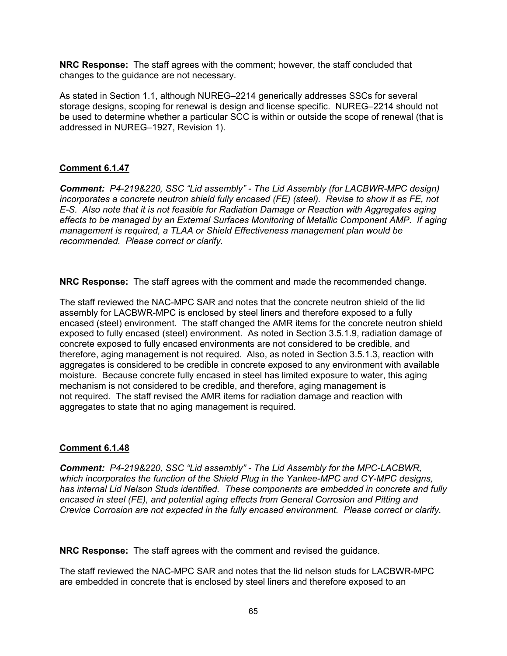**NRC Response:** The staff agrees with the comment; however, the staff concluded that changes to the guidance are not necessary.

As stated in Section 1.1, although NUREG–2214 generically addresses SSCs for several storage designs, scoping for renewal is design and license specific. NUREG–2214 should not be used to determine whether a particular SCC is within or outside the scope of renewal (that is addressed in NUREG–1927, Revision 1).

## **Comment 6.1.47**

*Comment: P4-219&220, SSC "Lid assembly" - The Lid Assembly (for LACBWR-MPC design) incorporates a concrete neutron shield fully encased (FE) (steel). Revise to show it as FE, not E-S. Also note that it is not feasible for Radiation Damage or Reaction with Aggregates aging effects to be managed by an External Surfaces Monitoring of Metallic Component AMP. If aging management is required, a TLAA or Shield Effectiveness management plan would be recommended. Please correct or clarify.* 

**NRC Response:** The staff agrees with the comment and made the recommended change.

The staff reviewed the NAC-MPC SAR and notes that the concrete neutron shield of the lid assembly for LACBWR-MPC is enclosed by steel liners and therefore exposed to a fully encased (steel) environment. The staff changed the AMR items for the concrete neutron shield exposed to fully encased (steel) environment. As noted in Section 3.5.1.9, radiation damage of concrete exposed to fully encased environments are not considered to be credible, and therefore, aging management is not required. Also, as noted in Section 3.5.1.3, reaction with aggregates is considered to be credible in concrete exposed to any environment with available moisture. Because concrete fully encased in steel has limited exposure to water, this aging mechanism is not considered to be credible, and therefore, aging management is not required. The staff revised the AMR items for radiation damage and reaction with aggregates to state that no aging management is required.

## **Comment 6.1.48**

*Comment: P4-219&220, SSC "Lid assembly" - The Lid Assembly for the MPC-LACBWR, which incorporates the function of the Shield Plug in the Yankee-MPC and CY-MPC designs, has internal Lid Nelson Studs identified. These components are embedded in concrete and fully encased in steel (FE), and potential aging effects from General Corrosion and Pitting and Crevice Corrosion are not expected in the fully encased environment. Please correct or clarify.* 

**NRC Response:** The staff agrees with the comment and revised the guidance.

The staff reviewed the NAC-MPC SAR and notes that the lid nelson studs for LACBWR-MPC are embedded in concrete that is enclosed by steel liners and therefore exposed to an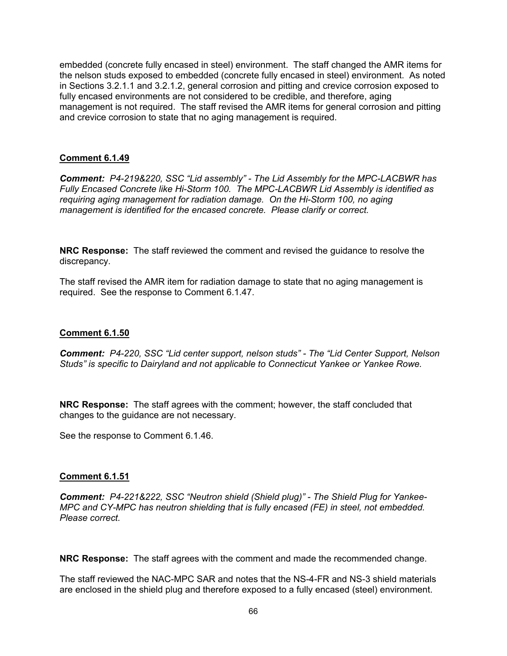embedded (concrete fully encased in steel) environment. The staff changed the AMR items for the nelson studs exposed to embedded (concrete fully encased in steel) environment. As noted in Sections 3.2.1.1 and 3.2.1.2, general corrosion and pitting and crevice corrosion exposed to fully encased environments are not considered to be credible, and therefore, aging management is not required. The staff revised the AMR items for general corrosion and pitting and crevice corrosion to state that no aging management is required.

### **Comment 6.1.49**

*Comment: P4-219&220, SSC "Lid assembly" - The Lid Assembly for the MPC-LACBWR has Fully Encased Concrete like Hi-Storm 100. The MPC-LACBWR Lid Assembly is identified as requiring aging management for radiation damage. On the Hi-Storm 100, no aging management is identified for the encased concrete. Please clarify or correct.* 

**NRC Response:** The staff reviewed the comment and revised the guidance to resolve the discrepancy.

The staff revised the AMR item for radiation damage to state that no aging management is required. See the response to Comment 6.1.47.

### **Comment 6.1.50**

*Comment: P4-220, SSC "Lid center support, nelson studs" - The "Lid Center Support, Nelson Studs" is specific to Dairyland and not applicable to Connecticut Yankee or Yankee Rowe.* 

**NRC Response:** The staff agrees with the comment; however, the staff concluded that changes to the guidance are not necessary.

See the response to Comment 6.1.46.

#### **Comment 6.1.51**

*Comment: P4-221&222, SSC "Neutron shield (Shield plug)" - The Shield Plug for Yankee-MPC and CY-MPC has neutron shielding that is fully encased (FE) in steel, not embedded. Please correct.* 

**NRC Response:** The staff agrees with the comment and made the recommended change.

The staff reviewed the NAC-MPC SAR and notes that the NS-4-FR and NS-3 shield materials are enclosed in the shield plug and therefore exposed to a fully encased (steel) environment.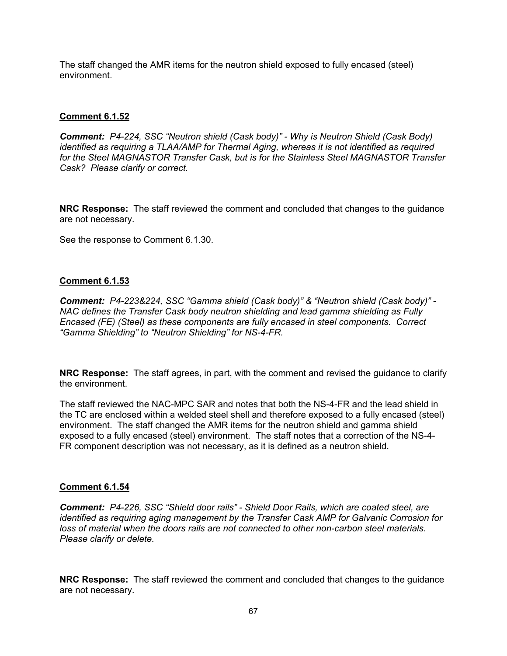The staff changed the AMR items for the neutron shield exposed to fully encased (steel) environment.

## **Comment 6.1.52**

*Comment: P4-224, SSC "Neutron shield (Cask body)" - Why is Neutron Shield (Cask Body) identified as requiring a TLAA/AMP for Thermal Aging, whereas it is not identified as required for the Steel MAGNASTOR Transfer Cask, but is for the Stainless Steel MAGNASTOR Transfer Cask? Please clarify or correct.* 

**NRC Response:** The staff reviewed the comment and concluded that changes to the guidance are not necessary.

See the response to Comment 6.1.30.

#### **Comment 6.1.53**

*Comment: P4-223&224, SSC "Gamma shield (Cask body)" & "Neutron shield (Cask body)" - NAC defines the Transfer Cask body neutron shielding and lead gamma shielding as Fully Encased (FE) (Steel) as these components are fully encased in steel components. Correct "Gamma Shielding" to "Neutron Shielding" for NS-4-FR.* 

**NRC Response:** The staff agrees, in part, with the comment and revised the guidance to clarify the environment.

The staff reviewed the NAC-MPC SAR and notes that both the NS-4-FR and the lead shield in the TC are enclosed within a welded steel shell and therefore exposed to a fully encased (steel) environment. The staff changed the AMR items for the neutron shield and gamma shield exposed to a fully encased (steel) environment. The staff notes that a correction of the NS-4- FR component description was not necessary, as it is defined as a neutron shield.

#### **Comment 6.1.54**

*Comment: P4-226, SSC "Shield door rails" - Shield Door Rails, which are coated steel, are identified as requiring aging management by the Transfer Cask AMP for Galvanic Corrosion for loss of material when the doors rails are not connected to other non-carbon steel materials. Please clarify or delete.* 

**NRC Response:** The staff reviewed the comment and concluded that changes to the guidance are not necessary.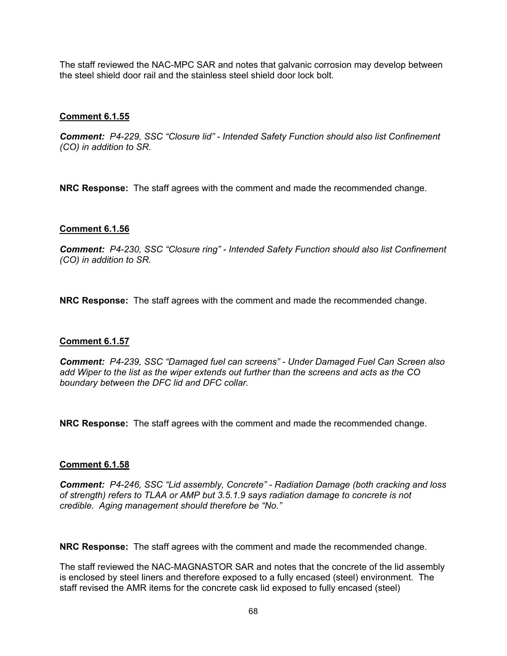The staff reviewed the NAC-MPC SAR and notes that galvanic corrosion may develop between the steel shield door rail and the stainless steel shield door lock bolt.

### **Comment 6.1.55**

*Comment: P4-229, SSC "Closure lid" - Intended Safety Function should also list Confinement (CO) in addition to SR.* 

**NRC Response:** The staff agrees with the comment and made the recommended change.

### **Comment 6.1.56**

*Comment: P4-230, SSC "Closure ring" - Intended Safety Function should also list Confinement (CO) in addition to SR.* 

**NRC Response:** The staff agrees with the comment and made the recommended change.

#### **Comment 6.1.57**

*Comment: P4-239, SSC "Damaged fuel can screens" - Under Damaged Fuel Can Screen also add Wiper to the list as the wiper extends out further than the screens and acts as the CO boundary between the DFC lid and DFC collar.* 

**NRC Response:** The staff agrees with the comment and made the recommended change.

#### **Comment 6.1.58**

*Comment: P4-246, SSC "Lid assembly, Concrete" - Radiation Damage (both cracking and loss of strength) refers to TLAA or AMP but 3.5.1.9 says radiation damage to concrete is not credible. Aging management should therefore be "No."* 

**NRC Response:** The staff agrees with the comment and made the recommended change.

The staff reviewed the NAC-MAGNASTOR SAR and notes that the concrete of the lid assembly is enclosed by steel liners and therefore exposed to a fully encased (steel) environment. The staff revised the AMR items for the concrete cask lid exposed to fully encased (steel)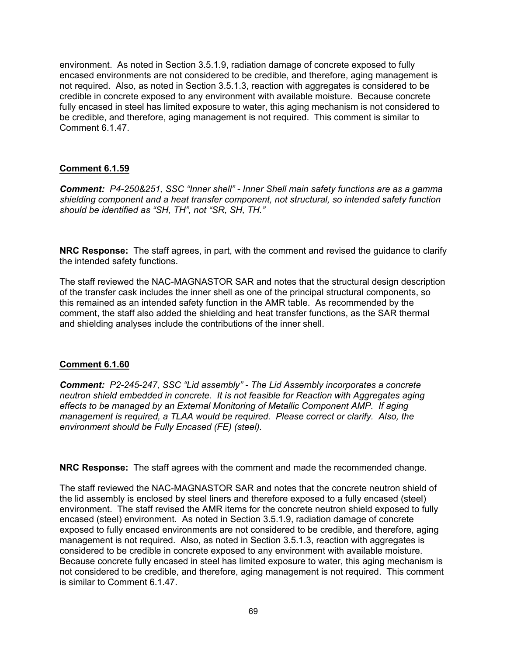environment. As noted in Section 3.5.1.9, radiation damage of concrete exposed to fully encased environments are not considered to be credible, and therefore, aging management is not required. Also, as noted in Section 3.5.1.3, reaction with aggregates is considered to be credible in concrete exposed to any environment with available moisture. Because concrete fully encased in steel has limited exposure to water, this aging mechanism is not considered to be credible, and therefore, aging management is not required. This comment is similar to Comment 6.1.47.

## **Comment 6.1.59**

*Comment: P4-250&251, SSC "Inner shell" - Inner Shell main safety functions are as a gamma shielding component and a heat transfer component, not structural, so intended safety function should be identified as "SH, TH", not "SR, SH, TH."* 

**NRC Response:** The staff agrees, in part, with the comment and revised the guidance to clarify the intended safety functions.

The staff reviewed the NAC-MAGNASTOR SAR and notes that the structural design description of the transfer cask includes the inner shell as one of the principal structural components, so this remained as an intended safety function in the AMR table. As recommended by the comment, the staff also added the shielding and heat transfer functions, as the SAR thermal and shielding analyses include the contributions of the inner shell.

## **Comment 6.1.60**

*Comment: P2-245-247, SSC "Lid assembly" - The Lid Assembly incorporates a concrete neutron shield embedded in concrete. It is not feasible for Reaction with Aggregates aging effects to be managed by an External Monitoring of Metallic Component AMP. If aging management is required, a TLAA would be required. Please correct or clarify. Also, the environment should be Fully Encased (FE) (steel).* 

**NRC Response:** The staff agrees with the comment and made the recommended change.

The staff reviewed the NAC-MAGNASTOR SAR and notes that the concrete neutron shield of the lid assembly is enclosed by steel liners and therefore exposed to a fully encased (steel) environment. The staff revised the AMR items for the concrete neutron shield exposed to fully encased (steel) environment. As noted in Section 3.5.1.9, radiation damage of concrete exposed to fully encased environments are not considered to be credible, and therefore, aging management is not required. Also, as noted in Section 3.5.1.3, reaction with aggregates is considered to be credible in concrete exposed to any environment with available moisture. Because concrete fully encased in steel has limited exposure to water, this aging mechanism is not considered to be credible, and therefore, aging management is not required. This comment is similar to Comment 6.1.47.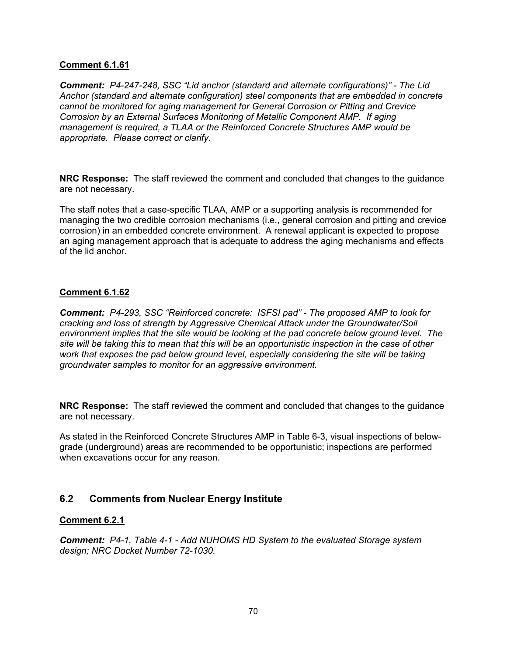*Comment: P4-247-248, SSC "Lid anchor (standard and alternate configurations)" - The Lid Anchor (standard and alternate configuration) steel components that are embedded in concrete cannot be monitored for aging management for General Corrosion or Pitting and Crevice Corrosion by an External Surfaces Monitoring of Metallic Component AMP. If aging management is required, a TLAA or the Reinforced Concrete Structures AMP would be appropriate. Please correct or clarify.* 

**NRC Response:** The staff reviewed the comment and concluded that changes to the guidance are not necessary.

The staff notes that a case-specific TLAA, AMP or a supporting analysis is recommended for managing the two credible corrosion mechanisms (i.e., general corrosion and pitting and crevice corrosion) in an embedded concrete environment. A renewal applicant is expected to propose an aging management approach that is adequate to address the aging mechanisms and effects of the lid anchor.

### **Comment 6.1.62**

*Comment: P4-293, SSC "Reinforced concrete: ISFSI pad" - The proposed AMP to look for cracking and loss of strength by Aggressive Chemical Attack under the Groundwater/Soil environment implies that the site would be looking at the pad concrete below ground level. The site will be taking this to mean that this will be an opportunistic inspection in the case of other*  work that exposes the pad below ground level, especially considering the site will be taking *groundwater samples to monitor for an aggressive environment.* 

**NRC Response:** The staff reviewed the comment and concluded that changes to the guidance are not necessary.

As stated in the Reinforced Concrete Structures AMP in Table 6-3, visual inspections of belowgrade (underground) areas are recommended to be opportunistic; inspections are performed when excavations occur for any reason.

# **6.2 Comments from Nuclear Energy Institute**

#### **Comment 6.2.1**

*Comment: P4-1, Table 4-1 - Add NUHOMS HD System to the evaluated Storage system design; NRC Docket Number 72-1030.*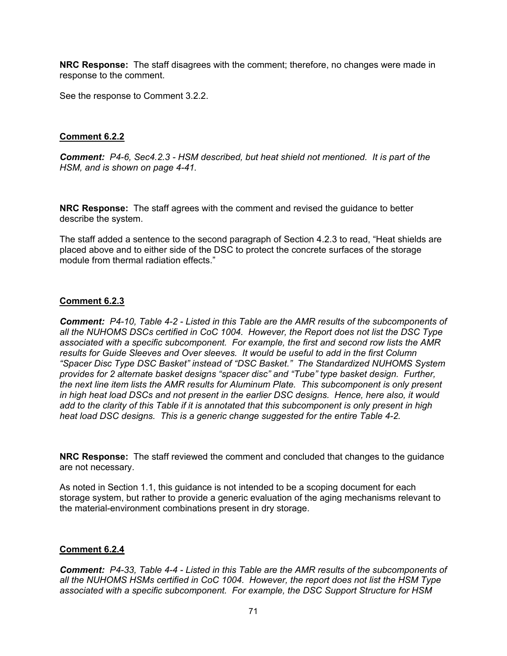**NRC Response:** The staff disagrees with the comment; therefore, no changes were made in response to the comment.

See the response to Comment 3.2.2.

## **Comment 6.2.2**

*Comment: P4-6, Sec4.2.3 - HSM described, but heat shield not mentioned. It is part of the HSM, and is shown on page 4-41.* 

**NRC Response:** The staff agrees with the comment and revised the guidance to better describe the system.

The staff added a sentence to the second paragraph of Section 4.2.3 to read, "Heat shields are placed above and to either side of the DSC to protect the concrete surfaces of the storage module from thermal radiation effects."

## **Comment 6.2.3**

*Comment: P4-10, Table 4-2 - Listed in this Table are the AMR results of the subcomponents of all the NUHOMS DSCs certified in CoC 1004. However, the Report does not list the DSC Type associated with a specific subcomponent. For example, the first and second row lists the AMR results for Guide Sleeves and Over sleeves. It would be useful to add in the first Column "Spacer Disc Type DSC Basket" instead of "DSC Basket." The Standardized NUHOMS System provides for 2 alternate basket designs "spacer disc" and "Tube" type basket design. Further, the next line item lists the AMR results for Aluminum Plate. This subcomponent is only present in high heat load DSCs and not present in the earlier DSC designs. Hence, here also, it would add to the clarity of this Table if it is annotated that this subcomponent is only present in high heat load DSC designs. This is a generic change suggested for the entire Table 4-2.* 

**NRC Response:** The staff reviewed the comment and concluded that changes to the guidance are not necessary.

As noted in Section 1.1, this guidance is not intended to be a scoping document for each storage system, but rather to provide a generic evaluation of the aging mechanisms relevant to the material-environment combinations present in dry storage.

## **Comment 6.2.4**

*Comment: P4-33, Table 4-4 - Listed in this Table are the AMR results of the subcomponents of all the NUHOMS HSMs certified in CoC 1004. However, the report does not list the HSM Type associated with a specific subcomponent. For example, the DSC Support Structure for HSM*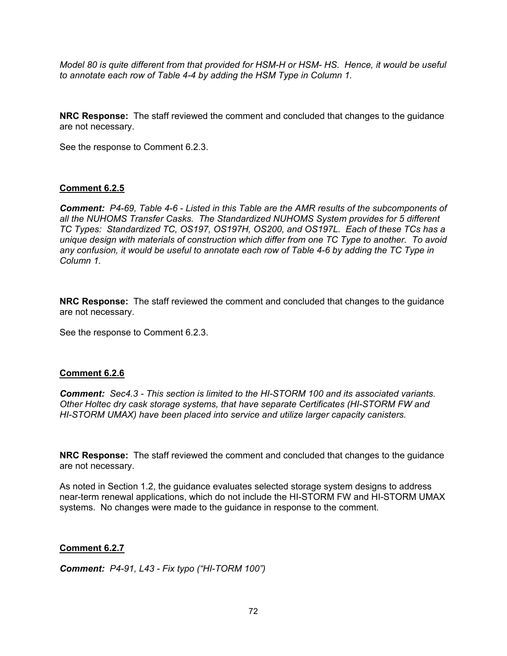*Model 80 is quite different from that provided for HSM-H or HSM- HS. Hence, it would be useful to annotate each row of Table 4-4 by adding the HSM Type in Column 1.* 

**NRC Response:** The staff reviewed the comment and concluded that changes to the guidance are not necessary.

See the response to Comment 6.2.3.

### **Comment 6.2.5**

*Comment: P4-69, Table 4-6 - Listed in this Table are the AMR results of the subcomponents of all the NUHOMS Transfer Casks. The Standardized NUHOMS System provides for 5 different TC Types: Standardized TC, OS197, OS197H, OS200, and OS197L. Each of these TCs has a unique design with materials of construction which differ from one TC Type to another. To avoid any confusion, it would be useful to annotate each row of Table 4-6 by adding the TC Type in Column 1.* 

**NRC Response:** The staff reviewed the comment and concluded that changes to the guidance are not necessary.

See the response to Comment 6.2.3.

#### **Comment 6.2.6**

*Comment: Sec4.3 - This section is limited to the HI-STORM 100 and its associated variants. Other Holtec dry cask storage systems, that have separate Certificates (HI-STORM FW and HI-STORM UMAX) have been placed into service and utilize larger capacity canisters.* 

**NRC Response:** The staff reviewed the comment and concluded that changes to the guidance are not necessary.

As noted in Section 1.2, the guidance evaluates selected storage system designs to address near-term renewal applications, which do not include the HI-STORM FW and HI-STORM UMAX systems. No changes were made to the guidance in response to the comment.

#### **Comment 6.2.7**

*Comment: P4-91, L43 - Fix typo ("HI-TORM 100")*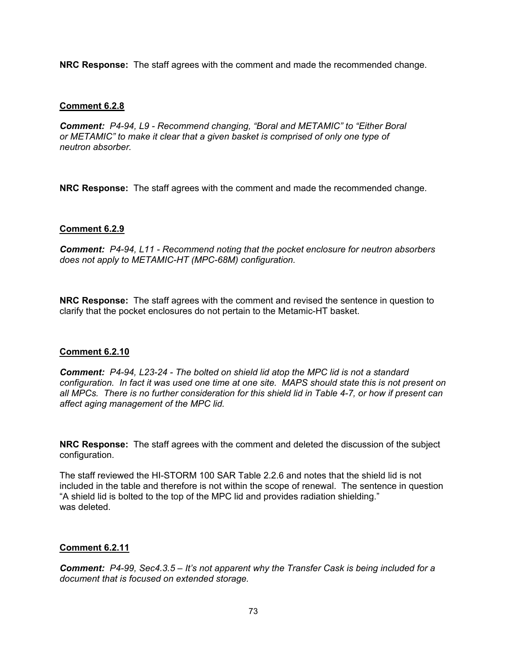**NRC Response:** The staff agrees with the comment and made the recommended change.

# **Comment 6.2.8**

*Comment: P4-94, L9 - Recommend changing, "Boral and METAMIC" to "Either Boral or METAMIC" to make it clear that a given basket is comprised of only one type of neutron absorber.* 

**NRC Response:** The staff agrees with the comment and made the recommended change.

# **Comment 6.2.9**

*Comment: P4-94, L11 - Recommend noting that the pocket enclosure for neutron absorbers does not apply to METAMIC-HT (MPC-68M) configuration.* 

**NRC Response:** The staff agrees with the comment and revised the sentence in question to clarify that the pocket enclosures do not pertain to the Metamic-HT basket.

# **Comment 6.2.10**

*Comment: P4-94, L23-24 - The bolted on shield lid atop the MPC lid is not a standard configuration. In fact it was used one time at one site. MAPS should state this is not present on all MPCs. There is no further consideration for this shield lid in Table 4-7, or how if present can affect aging management of the MPC lid.* 

**NRC Response:** The staff agrees with the comment and deleted the discussion of the subject configuration.

The staff reviewed the HI-STORM 100 SAR Table 2.2.6 and notes that the shield lid is not included in the table and therefore is not within the scope of renewal. The sentence in question "A shield lid is bolted to the top of the MPC lid and provides radiation shielding." was deleted.

# **Comment 6.2.11**

*Comment: P4-99, Sec4.3.5 – It's not apparent why the Transfer Cask is being included for a document that is focused on extended storage.*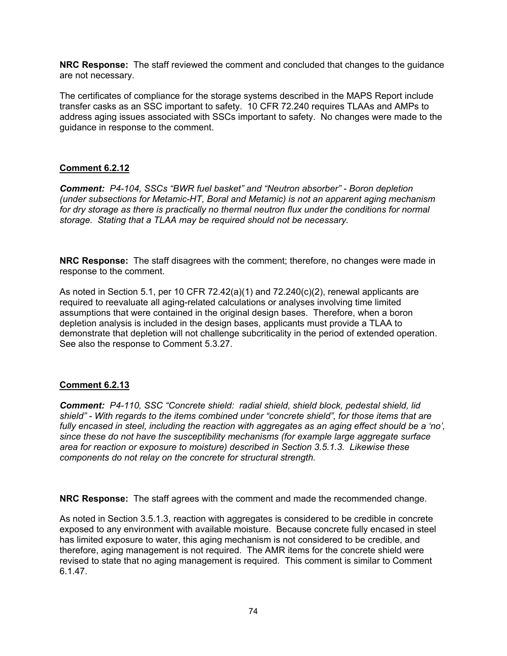**NRC Response:** The staff reviewed the comment and concluded that changes to the guidance are not necessary.

The certificates of compliance for the storage systems described in the MAPS Report include transfer casks as an SSC important to safety. 10 CFR 72.240 requires TLAAs and AMPs to address aging issues associated with SSCs important to safety. No changes were made to the guidance in response to the comment.

# **Comment 6.2.12**

*Comment: P4-104, SSCs "BWR fuel basket" and "Neutron absorber" - Boron depletion (under subsections for Metamic-HT, Boral and Metamic) is not an apparent aging mechanism for dry storage as there is practically no thermal neutron flux under the conditions for normal storage. Stating that a TLAA may be required should not be necessary.* 

**NRC Response:** The staff disagrees with the comment; therefore, no changes were made in response to the comment.

As noted in Section 5.1, per 10 CFR 72.42(a)(1) and  $72.240(c)(2)$ , renewal applicants are required to reevaluate all aging-related calculations or analyses involving time limited assumptions that were contained in the original design bases. Therefore, when a boron depletion analysis is included in the design bases, applicants must provide a TLAA to demonstrate that depletion will not challenge subcriticality in the period of extended operation. See also the response to Comment 5.3.27.

# **Comment 6.2.13**

*Comment: P4-110, SSC "Concrete shield: radial shield, shield block, pedestal shield, lid shield" - With regards to the items combined under "concrete shield", for those items that are fully encased in steel, including the reaction with aggregates as an aging effect should be a 'no', since these do not have the susceptibility mechanisms (for example large aggregate surface area for reaction or exposure to moisture) described in Section 3.5.1.3. Likewise these components do not relay on the concrete for structural strength.* 

**NRC Response:** The staff agrees with the comment and made the recommended change.

As noted in Section 3.5.1.3, reaction with aggregates is considered to be credible in concrete exposed to any environment with available moisture. Because concrete fully encased in steel has limited exposure to water, this aging mechanism is not considered to be credible, and therefore, aging management is not required. The AMR items for the concrete shield were revised to state that no aging management is required. This comment is similar to Comment 6.1.47.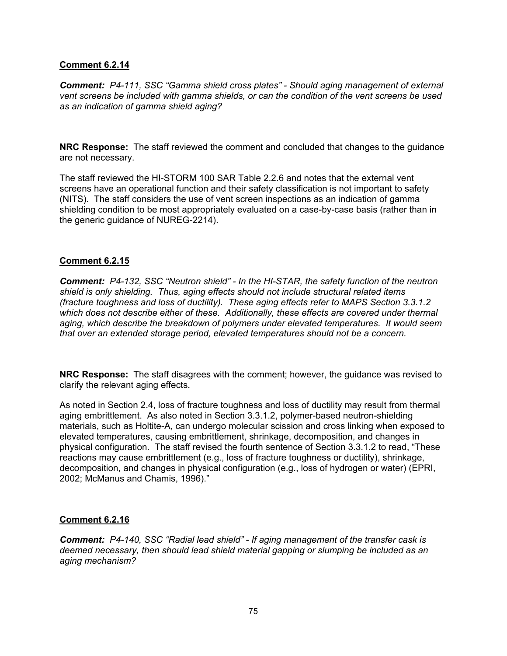### **Comment 6.2.14**

*Comment: P4-111, SSC "Gamma shield cross plates" - Should aging management of external vent screens be included with gamma shields, or can the condition of the vent screens be used as an indication of gamma shield aging?* 

**NRC Response:** The staff reviewed the comment and concluded that changes to the guidance are not necessary.

The staff reviewed the HI-STORM 100 SAR Table 2.2.6 and notes that the external vent screens have an operational function and their safety classification is not important to safety (NITS). The staff considers the use of vent screen inspections as an indication of gamma shielding condition to be most appropriately evaluated on a case-by-case basis (rather than in the generic guidance of NUREG-2214).

### **Comment 6.2.15**

*Comment: P4-132, SSC "Neutron shield" - In the HI-STAR, the safety function of the neutron shield is only shielding. Thus, aging effects should not include structural related items (fracture toughness and loss of ductility). These aging effects refer to MAPS Section 3.3.1.2 which does not describe either of these. Additionally, these effects are covered under thermal aging, which describe the breakdown of polymers under elevated temperatures. It would seem that over an extended storage period, elevated temperatures should not be a concern.* 

**NRC Response:** The staff disagrees with the comment; however, the guidance was revised to clarify the relevant aging effects.

As noted in Section 2.4, loss of fracture toughness and loss of ductility may result from thermal aging embrittlement. As also noted in Section 3.3.1.2, polymer-based neutron-shielding materials, such as Holtite-A, can undergo molecular scission and cross linking when exposed to elevated temperatures, causing embrittlement, shrinkage, decomposition, and changes in physical configuration. The staff revised the fourth sentence of Section 3.3.1.2 to read, "These reactions may cause embrittlement (e.g., loss of fracture toughness or ductility), shrinkage, decomposition, and changes in physical configuration (e.g., loss of hydrogen or water) (EPRI, 2002; McManus and Chamis, 1996)."

# **Comment 6.2.16**

*Comment: P4-140, SSC "Radial lead shield" - If aging management of the transfer cask is deemed necessary, then should lead shield material gapping or slumping be included as an aging mechanism?*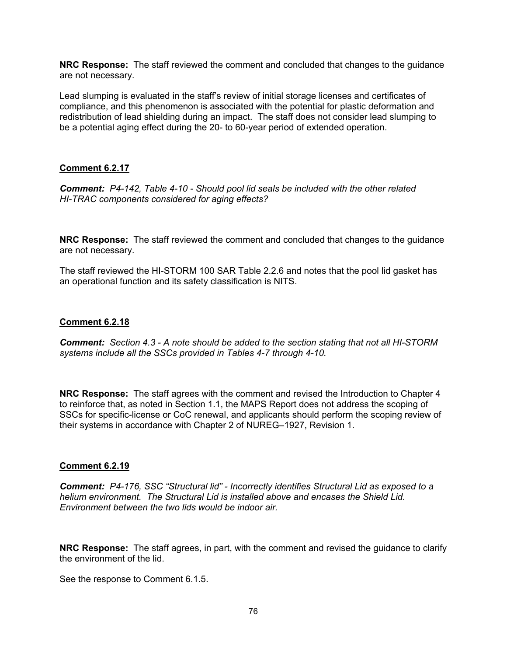**NRC Response:** The staff reviewed the comment and concluded that changes to the guidance are not necessary.

Lead slumping is evaluated in the staff's review of initial storage licenses and certificates of compliance, and this phenomenon is associated with the potential for plastic deformation and redistribution of lead shielding during an impact. The staff does not consider lead slumping to be a potential aging effect during the 20- to 60-year period of extended operation.

# **Comment 6.2.17**

*Comment: P4-142, Table 4-10 - Should pool lid seals be included with the other related HI-TRAC components considered for aging effects?* 

**NRC Response:** The staff reviewed the comment and concluded that changes to the guidance are not necessary.

The staff reviewed the HI-STORM 100 SAR Table 2.2.6 and notes that the pool lid gasket has an operational function and its safety classification is NITS.

### **Comment 6.2.18**

*Comment: Section 4.3 - A note should be added to the section stating that not all HI-STORM systems include all the SSCs provided in Tables 4-7 through 4-10.* 

**NRC Response:** The staff agrees with the comment and revised the Introduction to Chapter 4 to reinforce that, as noted in Section 1.1, the MAPS Report does not address the scoping of SSCs for specific-license or CoC renewal, and applicants should perform the scoping review of their systems in accordance with Chapter 2 of NUREG–1927, Revision 1.

#### **Comment 6.2.19**

*Comment: P4-176, SSC "Structural lid" - Incorrectly identifies Structural Lid as exposed to a helium environment. The Structural Lid is installed above and encases the Shield Lid. Environment between the two lids would be indoor air.* 

**NRC Response:** The staff agrees, in part, with the comment and revised the guidance to clarify the environment of the lid.

See the response to Comment 6.1.5.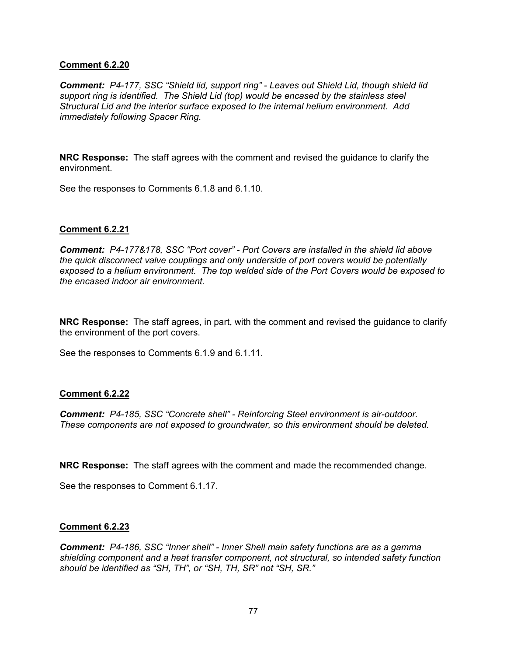### **Comment 6.2.20**

*Comment: P4-177, SSC "Shield lid, support ring" - Leaves out Shield Lid, though shield lid support ring is identified. The Shield Lid (top) would be encased by the stainless steel Structural Lid and the interior surface exposed to the internal helium environment. Add immediately following Spacer Ring.* 

**NRC Response:** The staff agrees with the comment and revised the guidance to clarify the environment.

See the responses to Comments 6.1.8 and 6.1.10.

### **Comment 6.2.21**

*Comment: P4-177&178, SSC "Port cover" - Port Covers are installed in the shield lid above the quick disconnect valve couplings and only underside of port covers would be potentially exposed to a helium environment. The top welded side of the Port Covers would be exposed to the encased indoor air environment.* 

**NRC Response:** The staff agrees, in part, with the comment and revised the guidance to clarify the environment of the port covers.

See the responses to Comments 6.1.9 and 6.1.11.

#### **Comment 6.2.22**

*Comment: P4-185, SSC "Concrete shell" - Reinforcing Steel environment is air-outdoor. These components are not exposed to groundwater, so this environment should be deleted.* 

**NRC Response:** The staff agrees with the comment and made the recommended change.

See the responses to Comment 6.1.17.

#### **Comment 6.2.23**

*Comment: P4-186, SSC "Inner shell" - Inner Shell main safety functions are as a gamma shielding component and a heat transfer component, not structural, so intended safety function should be identified as "SH, TH", or "SH, TH, SR" not "SH, SR."*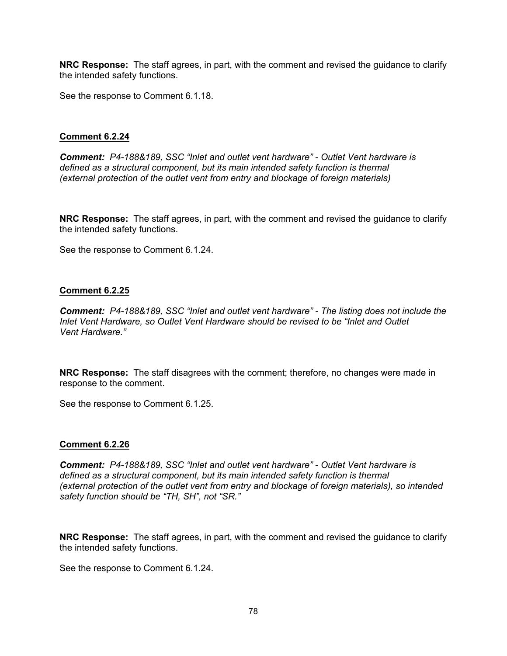**NRC Response:** The staff agrees, in part, with the comment and revised the guidance to clarify the intended safety functions.

See the response to Comment 6.1.18.

### **Comment 6.2.24**

*Comment: P4-188&189, SSC "Inlet and outlet vent hardware" - Outlet Vent hardware is defined as a structural component, but its main intended safety function is thermal (external protection of the outlet vent from entry and blockage of foreign materials)* 

**NRC Response:** The staff agrees, in part, with the comment and revised the guidance to clarify the intended safety functions.

See the response to Comment 6.1.24.

#### **Comment 6.2.25**

*Comment: P4-188&189, SSC "Inlet and outlet vent hardware" - The listing does not include the Inlet Vent Hardware, so Outlet Vent Hardware should be revised to be "Inlet and Outlet Vent Hardware."* 

**NRC Response:** The staff disagrees with the comment; therefore, no changes were made in response to the comment.

See the response to Comment 6.1.25.

#### **Comment 6.2.26**

*Comment: P4-188&189, SSC "Inlet and outlet vent hardware" - Outlet Vent hardware is defined as a structural component, but its main intended safety function is thermal (external protection of the outlet vent from entry and blockage of foreign materials), so intended safety function should be "TH, SH", not "SR."* 

**NRC Response:** The staff agrees, in part, with the comment and revised the guidance to clarify the intended safety functions.

See the response to Comment 6.1.24.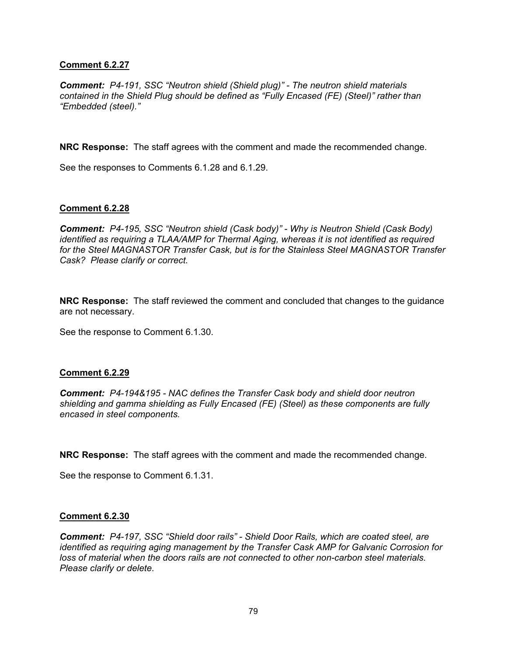### **Comment 6.2.27**

*Comment: P4-191, SSC "Neutron shield (Shield plug)" - The neutron shield materials contained in the Shield Plug should be defined as "Fully Encased (FE) (Steel)" rather than "Embedded (steel)."* 

**NRC Response:** The staff agrees with the comment and made the recommended change.

See the responses to Comments 6.1.28 and 6.1.29.

### **Comment 6.2.28**

*Comment: P4-195, SSC "Neutron shield (Cask body)" - Why is Neutron Shield (Cask Body) identified as requiring a TLAA/AMP for Thermal Aging, whereas it is not identified as required for the Steel MAGNASTOR Transfer Cask, but is for the Stainless Steel MAGNASTOR Transfer Cask? Please clarify or correct.* 

**NRC Response:** The staff reviewed the comment and concluded that changes to the guidance are not necessary.

See the response to Comment 6.1.30.

#### **Comment 6.2.29**

*Comment: P4-194&195 - NAC defines the Transfer Cask body and shield door neutron shielding and gamma shielding as Fully Encased (FE) (Steel) as these components are fully encased in steel components.* 

**NRC Response:** The staff agrees with the comment and made the recommended change.

See the response to Comment 6.1.31.

#### **Comment 6.2.30**

*Comment: P4-197, SSC "Shield door rails" - Shield Door Rails, which are coated steel, are identified as requiring aging management by the Transfer Cask AMP for Galvanic Corrosion for loss of material when the doors rails are not connected to other non-carbon steel materials. Please clarify or delete.*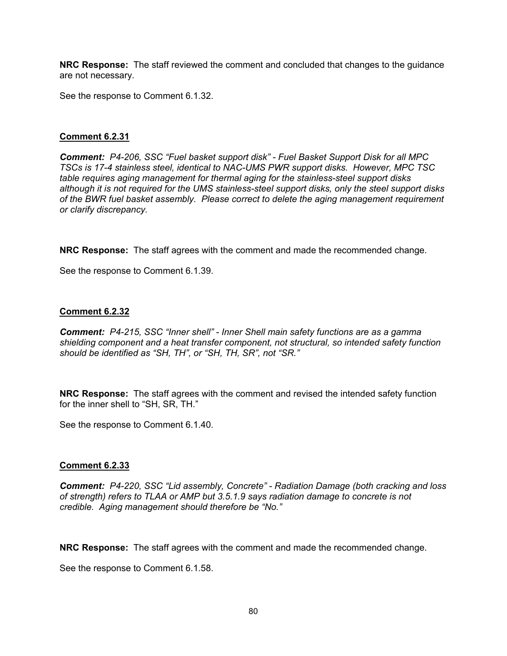**NRC Response:** The staff reviewed the comment and concluded that changes to the guidance are not necessary.

See the response to Comment 6.1.32.

### **Comment 6.2.31**

*Comment: P4-206, SSC "Fuel basket support disk" - Fuel Basket Support Disk for all MPC TSCs is 17-4 stainless steel, identical to NAC-UMS PWR support disks. However, MPC TSC table requires aging management for thermal aging for the stainless-steel support disks although it is not required for the UMS stainless-steel support disks, only the steel support disks of the BWR fuel basket assembly. Please correct to delete the aging management requirement or clarify discrepancy.* 

**NRC Response:** The staff agrees with the comment and made the recommended change.

See the response to Comment 6.1.39.

#### **Comment 6.2.32**

*Comment: P4-215, SSC "Inner shell" - Inner Shell main safety functions are as a gamma shielding component and a heat transfer component, not structural, so intended safety function should be identified as "SH, TH", or "SH, TH, SR", not "SR."* 

**NRC Response:** The staff agrees with the comment and revised the intended safety function for the inner shell to "SH, SR, TH."

See the response to Comment 6.1.40.

#### **Comment 6.2.33**

*Comment: P4-220, SSC "Lid assembly, Concrete" - Radiation Damage (both cracking and loss of strength) refers to TLAA or AMP but 3.5.1.9 says radiation damage to concrete is not credible. Aging management should therefore be "No."* 

**NRC Response:** The staff agrees with the comment and made the recommended change.

See the response to Comment 6.1.58.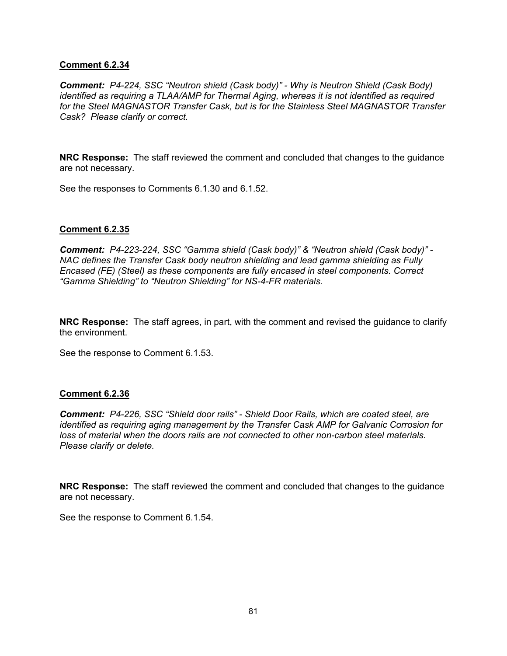### **Comment 6.2.34**

*Comment: P4-224, SSC "Neutron shield (Cask body)" - Why is Neutron Shield (Cask Body) identified as requiring a TLAA/AMP for Thermal Aging, whereas it is not identified as required for the Steel MAGNASTOR Transfer Cask, but is for the Stainless Steel MAGNASTOR Transfer Cask? Please clarify or correct.* 

**NRC Response:** The staff reviewed the comment and concluded that changes to the guidance are not necessary.

See the responses to Comments 6.1.30 and 6.1.52.

### **Comment 6.2.35**

*Comment: P4-223-224, SSC "Gamma shield (Cask body)" & "Neutron shield (Cask body)" - NAC defines the Transfer Cask body neutron shielding and lead gamma shielding as Fully Encased (FE) (Steel) as these components are fully encased in steel components. Correct "Gamma Shielding" to "Neutron Shielding" for NS-4-FR materials.* 

**NRC Response:** The staff agrees, in part, with the comment and revised the guidance to clarify the environment.

See the response to Comment 6.1.53.

#### **Comment 6.2.36**

*Comment: P4-226, SSC "Shield door rails" - Shield Door Rails, which are coated steel, are identified as requiring aging management by the Transfer Cask AMP for Galvanic Corrosion for loss of material when the doors rails are not connected to other non-carbon steel materials. Please clarify or delete.* 

**NRC Response:** The staff reviewed the comment and concluded that changes to the guidance are not necessary.

See the response to Comment 6.1.54.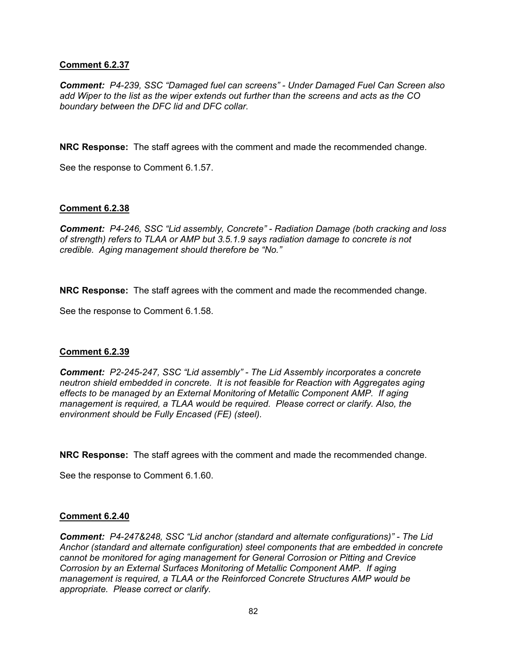### **Comment 6.2.37**

*Comment: P4-239, SSC "Damaged fuel can screens" - Under Damaged Fuel Can Screen also add Wiper to the list as the wiper extends out further than the screens and acts as the CO boundary between the DFC lid and DFC collar.* 

**NRC Response:** The staff agrees with the comment and made the recommended change.

See the response to Comment 6.1.57.

### **Comment 6.2.38**

*Comment: P4-246, SSC "Lid assembly, Concrete" - Radiation Damage (both cracking and loss of strength) refers to TLAA or AMP but 3.5.1.9 says radiation damage to concrete is not credible. Aging management should therefore be "No."* 

**NRC Response:** The staff agrees with the comment and made the recommended change.

See the response to Comment 6.1.58.

#### **Comment 6.2.39**

*Comment: P2-245-247, SSC "Lid assembly" - The Lid Assembly incorporates a concrete neutron shield embedded in concrete. It is not feasible for Reaction with Aggregates aging effects to be managed by an External Monitoring of Metallic Component AMP. If aging management is required, a TLAA would be required. Please correct or clarify. Also, the environment should be Fully Encased (FE) (steel).* 

**NRC Response:** The staff agrees with the comment and made the recommended change.

See the response to Comment 6.1.60.

#### **Comment 6.2.40**

*Comment: P4-247&248, SSC "Lid anchor (standard and alternate configurations)" - The Lid Anchor (standard and alternate configuration) steel components that are embedded in concrete cannot be monitored for aging management for General Corrosion or Pitting and Crevice Corrosion by an External Surfaces Monitoring of Metallic Component AMP. If aging management is required, a TLAA or the Reinforced Concrete Structures AMP would be appropriate. Please correct or clarify.*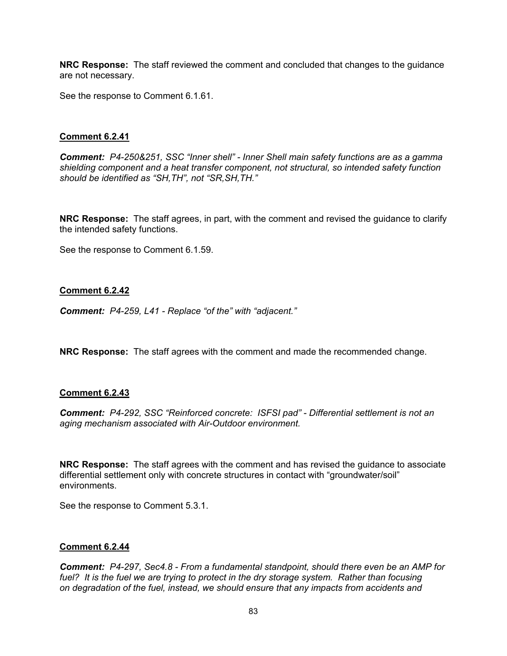**NRC Response:** The staff reviewed the comment and concluded that changes to the guidance are not necessary.

See the response to Comment 6.1.61.

### **Comment 6.2.41**

*Comment: P4-250&251, SSC "Inner shell" - Inner Shell main safety functions are as a gamma shielding component and a heat transfer component, not structural, so intended safety function should be identified as "SH,TH", not "SR,SH,TH."* 

**NRC Response:** The staff agrees, in part, with the comment and revised the guidance to clarify the intended safety functions.

See the response to Comment 6.1.59.

#### **Comment 6.2.42**

*Comment: P4-259, L41 - Replace "of the" with "adjacent."* 

**NRC Response:** The staff agrees with the comment and made the recommended change.

#### **Comment 6.2.43**

*Comment: P4-292, SSC "Reinforced concrete: ISFSI pad" - Differential settlement is not an aging mechanism associated with Air-Outdoor environment.* 

**NRC Response:** The staff agrees with the comment and has revised the guidance to associate differential settlement only with concrete structures in contact with "groundwater/soil" environments.

See the response to Comment 5.3.1.

#### **Comment 6.2.44**

*Comment: P4-297, Sec4.8 - From a fundamental standpoint, should there even be an AMP for fuel? It is the fuel we are trying to protect in the dry storage system. Rather than focusing on degradation of the fuel, instead, we should ensure that any impacts from accidents and*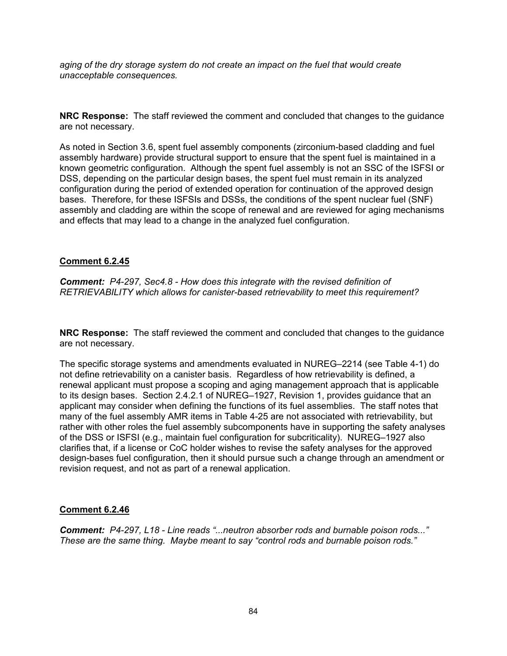*aging of the dry storage system do not create an impact on the fuel that would create unacceptable consequences.* 

**NRC Response:** The staff reviewed the comment and concluded that changes to the guidance are not necessary.

As noted in Section 3.6, spent fuel assembly components (zirconium-based cladding and fuel assembly hardware) provide structural support to ensure that the spent fuel is maintained in a known geometric configuration. Although the spent fuel assembly is not an SSC of the ISFSI or DSS, depending on the particular design bases, the spent fuel must remain in its analyzed configuration during the period of extended operation for continuation of the approved design bases. Therefore, for these ISFSIs and DSSs, the conditions of the spent nuclear fuel (SNF) assembly and cladding are within the scope of renewal and are reviewed for aging mechanisms and effects that may lead to a change in the analyzed fuel configuration.

### **Comment 6.2.45**

*Comment: P4-297, Sec4.8 - How does this integrate with the revised definition of RETRIEVABILITY which allows for canister-based retrievability to meet this requirement?* 

**NRC Response:** The staff reviewed the comment and concluded that changes to the guidance are not necessary.

The specific storage systems and amendments evaluated in NUREG–2214 (see Table 4-1) do not define retrievability on a canister basis. Regardless of how retrievability is defined, a renewal applicant must propose a scoping and aging management approach that is applicable to its design bases. Section 2.4.2.1 of NUREG–1927, Revision 1, provides guidance that an applicant may consider when defining the functions of its fuel assemblies. The staff notes that many of the fuel assembly AMR items in Table 4-25 are not associated with retrievability, but rather with other roles the fuel assembly subcomponents have in supporting the safety analyses of the DSS or ISFSI (e.g., maintain fuel configuration for subcriticality). NUREG–1927 also clarifies that, if a license or CoC holder wishes to revise the safety analyses for the approved design-bases fuel configuration, then it should pursue such a change through an amendment or revision request, and not as part of a renewal application.

# **Comment 6.2.46**

*Comment: P4-297, L18 - Line reads "...neutron absorber rods and burnable poison rods..." These are the same thing. Maybe meant to say "control rods and burnable poison rods."*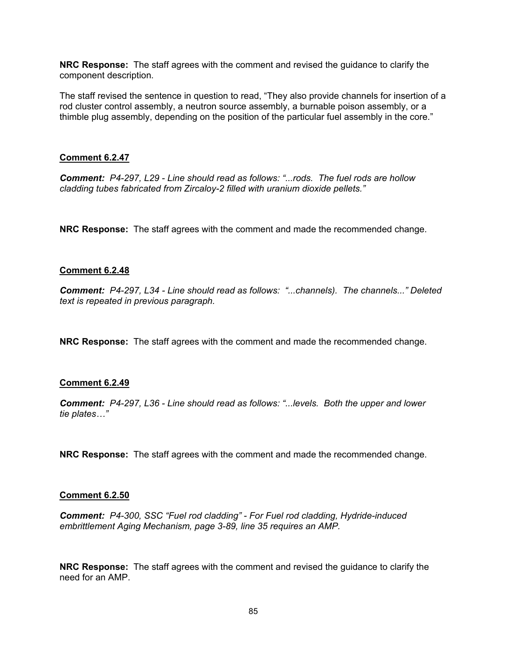**NRC Response:** The staff agrees with the comment and revised the guidance to clarify the component description.

The staff revised the sentence in question to read, "They also provide channels for insertion of a rod cluster control assembly, a neutron source assembly, a burnable poison assembly, or a thimble plug assembly, depending on the position of the particular fuel assembly in the core."

### **Comment 6.2.47**

*Comment: P4-297, L29 - Line should read as follows: "...rods. The fuel rods are hollow cladding tubes fabricated from Zircaloy-2 filled with uranium dioxide pellets."* 

**NRC Response:** The staff agrees with the comment and made the recommended change.

### **Comment 6.2.48**

*Comment: P4-297, L34 - Line should read as follows: "...channels). The channels..." Deleted text is repeated in previous paragraph.* 

**NRC Response:** The staff agrees with the comment and made the recommended change.

#### **Comment 6.2.49**

*Comment: P4-297, L36 - Line should read as follows: "...levels. Both the upper and lower tie plates…"* 

**NRC Response:** The staff agrees with the comment and made the recommended change.

#### **Comment 6.2.50**

*Comment: P4-300, SSC "Fuel rod cladding" - For Fuel rod cladding, Hydride-induced embrittlement Aging Mechanism, page 3-89, line 35 requires an AMP.* 

**NRC Response:** The staff agrees with the comment and revised the guidance to clarify the need for an AMP.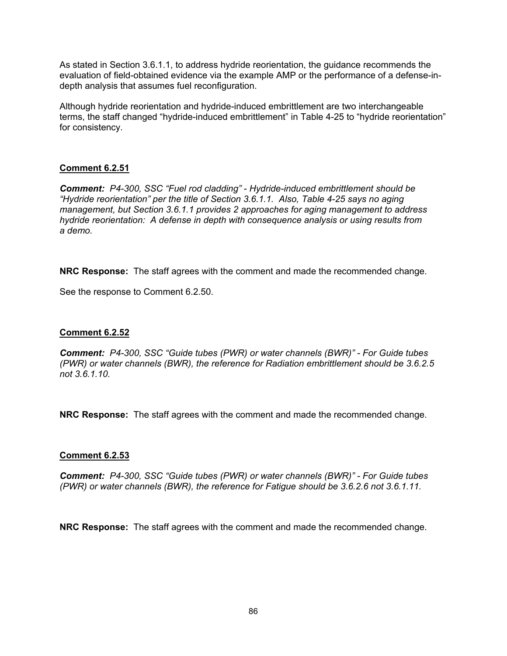As stated in Section 3.6.1.1, to address hydride reorientation, the guidance recommends the evaluation of field-obtained evidence via the example AMP or the performance of a defense-indepth analysis that assumes fuel reconfiguration.

Although hydride reorientation and hydride-induced embrittlement are two interchangeable terms, the staff changed "hydride-induced embrittlement" in Table 4-25 to "hydride reorientation" for consistency.

# **Comment 6.2.51**

*Comment: P4-300, SSC "Fuel rod cladding" - Hydride-induced embrittlement should be "Hydride reorientation" per the title of Section 3.6.1.1. Also, Table 4-25 says no aging management, but Section 3.6.1.1 provides 2 approaches for aging management to address hydride reorientation: A defense in depth with consequence analysis or using results from a demo.* 

**NRC Response:** The staff agrees with the comment and made the recommended change.

See the response to Comment 6.2.50.

# **Comment 6.2.52**

*Comment: P4-300, SSC "Guide tubes (PWR) or water channels (BWR)" - For Guide tubes (PWR) or water channels (BWR), the reference for Radiation embrittlement should be 3.6.2.5 not 3.6.1.10.* 

**NRC Response:** The staff agrees with the comment and made the recommended change.

# **Comment 6.2.53**

*Comment: P4-300, SSC "Guide tubes (PWR) or water channels (BWR)" - For Guide tubes (PWR) or water channels (BWR), the reference for Fatigue should be 3.6.2.6 not 3.6.1.11.* 

**NRC Response:** The staff agrees with the comment and made the recommended change.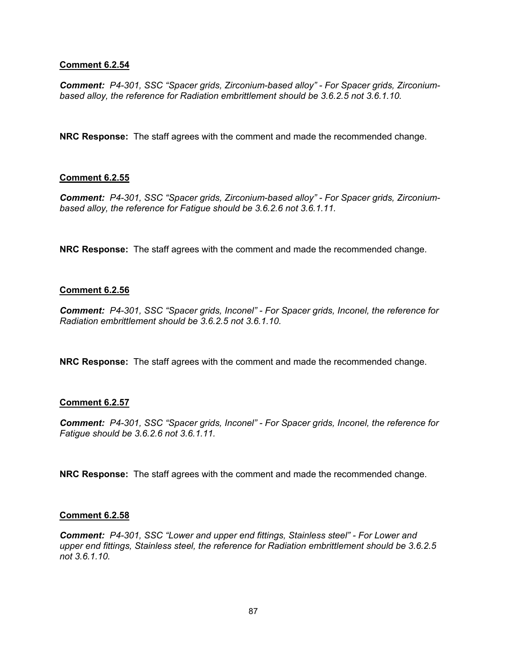### **Comment 6.2.54**

*Comment: P4-301, SSC "Spacer grids, Zirconium-based alloy" - For Spacer grids, Zirconiumbased alloy, the reference for Radiation embrittlement should be 3.6.2.5 not 3.6.1.10.* 

**NRC Response:** The staff agrees with the comment and made the recommended change.

### **Comment 6.2.55**

*Comment: P4-301, SSC "Spacer grids, Zirconium-based alloy" - For Spacer grids, Zirconiumbased alloy, the reference for Fatigue should be 3.6.2.6 not 3.6.1.11.* 

**NRC Response:** The staff agrees with the comment and made the recommended change.

#### **Comment 6.2.56**

*Comment: P4-301, SSC "Spacer grids, Inconel" - For Spacer grids, Inconel, the reference for Radiation embrittlement should be 3.6.2.5 not 3.6.1.10.* 

**NRC Response:** The staff agrees with the comment and made the recommended change.

#### **Comment 6.2.57**

*Comment: P4-301, SSC "Spacer grids, Inconel" - For Spacer grids, Inconel, the reference for Fatigue should be 3.6.2.6 not 3.6.1.11.* 

**NRC Response:** The staff agrees with the comment and made the recommended change.

#### **Comment 6.2.58**

*Comment: P4-301, SSC "Lower and upper end fittings, Stainless steel" - For Lower and upper end fittings, Stainless steel, the reference for Radiation embrittlement should be 3.6.2.5 not 3.6.1.10.*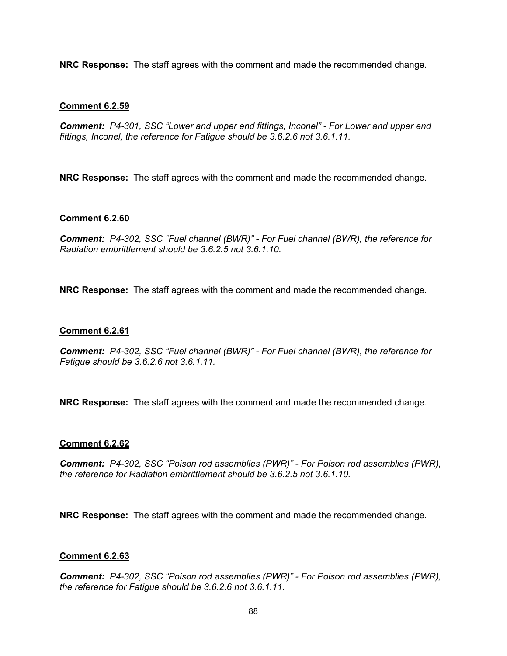**NRC Response:** The staff agrees with the comment and made the recommended change.

### **Comment 6.2.59**

*Comment: P4-301, SSC "Lower and upper end fittings, Inconel" - For Lower and upper end fittings, Inconel, the reference for Fatigue should be 3.6.2.6 not 3.6.1.11.* 

**NRC Response:** The staff agrees with the comment and made the recommended change.

### **Comment 6.2.60**

*Comment: P4-302, SSC "Fuel channel (BWR)" - For Fuel channel (BWR), the reference for Radiation embrittlement should be 3.6.2.5 not 3.6.1.10.* 

**NRC Response:** The staff agrees with the comment and made the recommended change.

### **Comment 6.2.61**

*Comment: P4-302, SSC "Fuel channel (BWR)" - For Fuel channel (BWR), the reference for Fatigue should be 3.6.2.6 not 3.6.1.11.* 

**NRC Response:** The staff agrees with the comment and made the recommended change.

#### **Comment 6.2.62**

*Comment: P4-302, SSC "Poison rod assemblies (PWR)" - For Poison rod assemblies (PWR), the reference for Radiation embrittlement should be 3.6.2.5 not 3.6.1.10.* 

**NRC Response:** The staff agrees with the comment and made the recommended change.

#### **Comment 6.2.63**

*Comment: P4-302, SSC "Poison rod assemblies (PWR)" - For Poison rod assemblies (PWR), the reference for Fatigue should be 3.6.2.6 not 3.6.1.11.*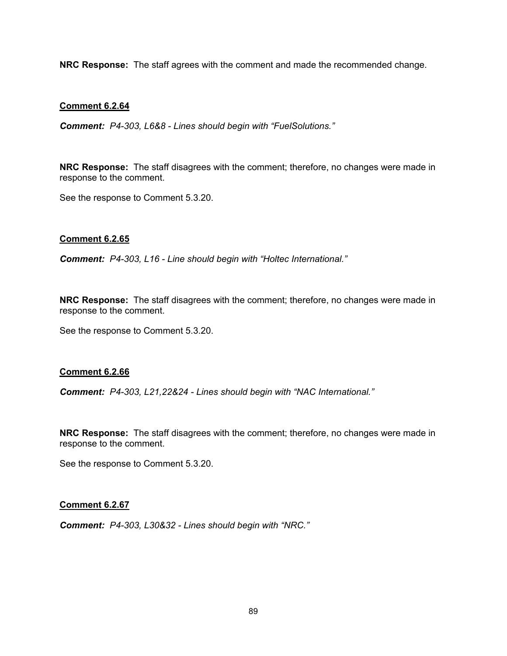**NRC Response:** The staff agrees with the comment and made the recommended change.

### **Comment 6.2.64**

*Comment: P4-303, L6&8 - Lines should begin with "FuelSolutions."* 

**NRC Response:** The staff disagrees with the comment; therefore, no changes were made in response to the comment.

See the response to Comment 5.3.20.

#### **Comment 6.2.65**

*Comment: P4-303, L16 - Line should begin with "Holtec International."* 

**NRC Response:** The staff disagrees with the comment; therefore, no changes were made in response to the comment.

See the response to Comment 5.3.20.

#### **Comment 6.2.66**

*Comment: P4-303, L21,22&24 - Lines should begin with "NAC International."* 

**NRC Response:** The staff disagrees with the comment; therefore, no changes were made in response to the comment.

See the response to Comment 5.3.20.

#### **Comment 6.2.67**

*Comment: P4-303, L30&32 - Lines should begin with "NRC."*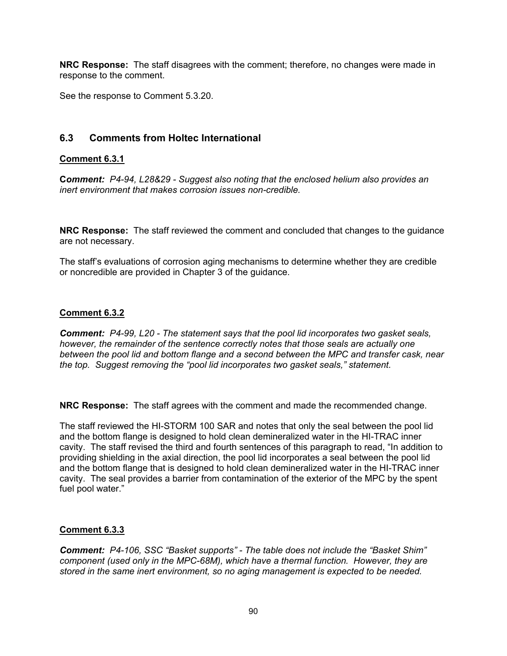**NRC Response:** The staff disagrees with the comment; therefore, no changes were made in response to the comment.

See the response to Comment 5.3.20.

# **6.3 Comments from Holtec International**

# **Comment 6.3.1**

**C***omment: P4-94, L28&29 - Suggest also noting that the enclosed helium also provides an inert environment that makes corrosion issues non-credible.* 

**NRC Response:** The staff reviewed the comment and concluded that changes to the guidance are not necessary.

The staff's evaluations of corrosion aging mechanisms to determine whether they are credible or noncredible are provided in Chapter 3 of the guidance.

# **Comment 6.3.2**

*Comment: P4-99, L20 - The statement says that the pool lid incorporates two gasket seals, however, the remainder of the sentence correctly notes that those seals are actually one between the pool lid and bottom flange and a second between the MPC and transfer cask, near the top. Suggest removing the "pool lid incorporates two gasket seals," statement.* 

**NRC Response:** The staff agrees with the comment and made the recommended change.

The staff reviewed the HI-STORM 100 SAR and notes that only the seal between the pool lid and the bottom flange is designed to hold clean demineralized water in the HI-TRAC inner cavity. The staff revised the third and fourth sentences of this paragraph to read, "In addition to providing shielding in the axial direction, the pool lid incorporates a seal between the pool lid and the bottom flange that is designed to hold clean demineralized water in the HI-TRAC inner cavity. The seal provides a barrier from contamination of the exterior of the MPC by the spent fuel pool water."

# **Comment 6.3.3**

*Comment: P4-106, SSC "Basket supports" - The table does not include the "Basket Shim" component (used only in the MPC-68M), which have a thermal function. However, they are stored in the same inert environment, so no aging management is expected to be needed.*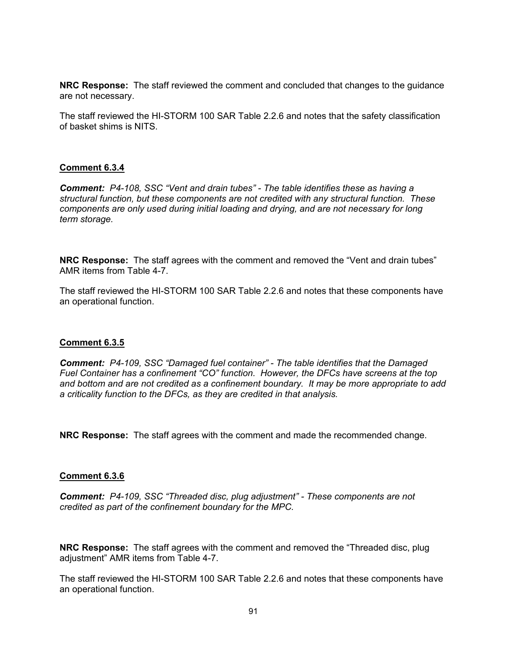**NRC Response:** The staff reviewed the comment and concluded that changes to the guidance are not necessary.

The staff reviewed the HI-STORM 100 SAR Table 2.2.6 and notes that the safety classification of basket shims is NITS.

### **Comment 6.3.4**

*Comment: P4-108, SSC "Vent and drain tubes" - The table identifies these as having a structural function, but these components are not credited with any structural function. These components are only used during initial loading and drying, and are not necessary for long term storage.* 

**NRC Response:** The staff agrees with the comment and removed the "Vent and drain tubes" AMR items from Table 4-7.

The staff reviewed the HI-STORM 100 SAR Table 2.2.6 and notes that these components have an operational function.

#### **Comment 6.3.5**

*Comment: P4-109, SSC "Damaged fuel container" - The table identifies that the Damaged Fuel Container has a confinement "CO" function. However, the DFCs have screens at the top and bottom and are not credited as a confinement boundary. It may be more appropriate to add a criticality function to the DFCs, as they are credited in that analysis.* 

**NRC Response:** The staff agrees with the comment and made the recommended change.

#### **Comment 6.3.6**

*Comment: P4-109, SSC "Threaded disc, plug adjustment" - These components are not credited as part of the confinement boundary for the MPC.* 

**NRC Response:** The staff agrees with the comment and removed the "Threaded disc, plug adjustment" AMR items from Table 4-7.

The staff reviewed the HI-STORM 100 SAR Table 2.2.6 and notes that these components have an operational function.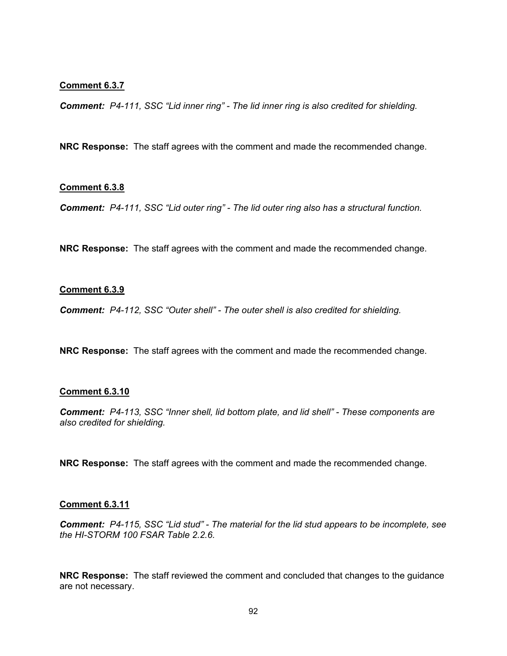#### **Comment 6.3.7**

*Comment: P4-111, SSC "Lid inner ring" - The lid inner ring is also credited for shielding.* 

**NRC Response:** The staff agrees with the comment and made the recommended change.

#### **Comment 6.3.8**

*Comment: P4-111, SSC "Lid outer ring" - The lid outer ring also has a structural function.* 

**NRC Response:** The staff agrees with the comment and made the recommended change.

#### **Comment 6.3.9**

*Comment: P4-112, SSC "Outer shell" - The outer shell is also credited for shielding.* 

**NRC Response:** The staff agrees with the comment and made the recommended change.

#### **Comment 6.3.10**

*Comment: P4-113, SSC "Inner shell, lid bottom plate, and lid shell" - These components are also credited for shielding.* 

**NRC Response:** The staff agrees with the comment and made the recommended change.

#### **Comment 6.3.11**

*Comment: P4-115, SSC "Lid stud" - The material for the lid stud appears to be incomplete, see the HI-STORM 100 FSAR Table 2.2.6.* 

**NRC Response:** The staff reviewed the comment and concluded that changes to the guidance are not necessary.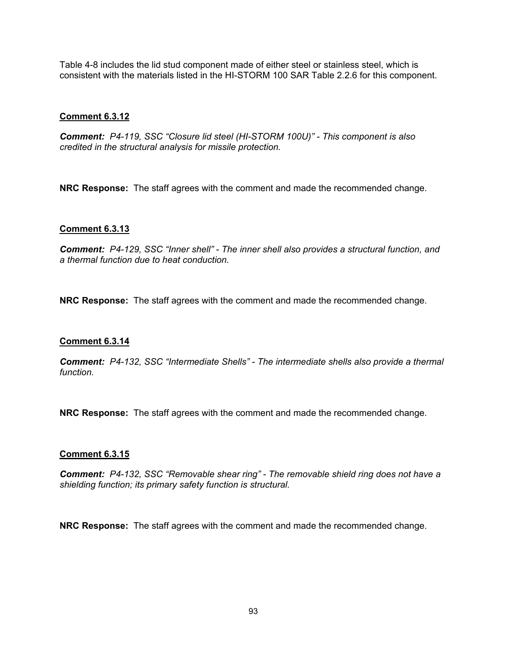Table 4-8 includes the lid stud component made of either steel or stainless steel, which is consistent with the materials listed in the HI-STORM 100 SAR Table 2.2.6 for this component.

# **Comment 6.3.12**

*Comment: P4-119, SSC "Closure lid steel (HI-STORM 100U)" - This component is also credited in the structural analysis for missile protection.* 

**NRC Response:** The staff agrees with the comment and made the recommended change.

# **Comment 6.3.13**

*Comment: P4-129, SSC "Inner shell" - The inner shell also provides a structural function, and a thermal function due to heat conduction.* 

**NRC Response:** The staff agrees with the comment and made the recommended change.

# **Comment 6.3.14**

*Comment: P4-132, SSC "Intermediate Shells" - The intermediate shells also provide a thermal function.* 

**NRC Response:** The staff agrees with the comment and made the recommended change.

# **Comment 6.3.15**

*Comment: P4-132, SSC "Removable shear ring" - The removable shield ring does not have a shielding function; its primary safety function is structural.* 

**NRC Response:** The staff agrees with the comment and made the recommended change.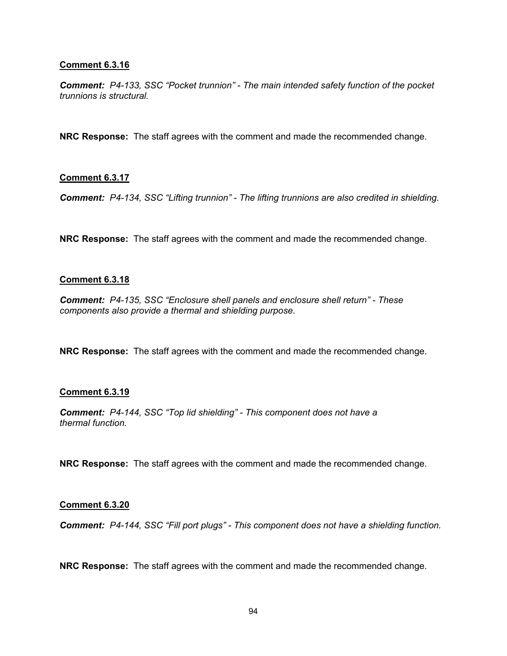### **Comment 6.3.16**

*Comment: P4-133, SSC "Pocket trunnion" - The main intended safety function of the pocket trunnions is structural.* 

**NRC Response:** The staff agrees with the comment and made the recommended change.

### **Comment 6.3.17**

*Comment: P4-134, SSC "Lifting trunnion" - The lifting trunnions are also credited in shielding.* 

**NRC Response:** The staff agrees with the comment and made the recommended change.

### **Comment 6.3.18**

*Comment: P4-135, SSC "Enclosure shell panels and enclosure shell return" - These components also provide a thermal and shielding purpose.* 

**NRC Response:** The staff agrees with the comment and made the recommended change.

#### **Comment 6.3.19**

*Comment: P4-144, SSC "Top lid shielding" - This component does not have a thermal function.* 

**NRC Response:** The staff agrees with the comment and made the recommended change.

#### **Comment 6.3.20**

*Comment: P4-144, SSC "Fill port plugs" - This component does not have a shielding function.* 

**NRC Response:** The staff agrees with the comment and made the recommended change.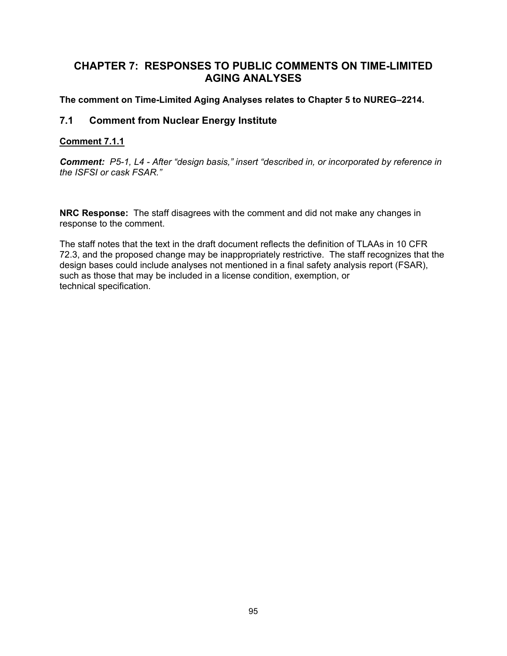# **CHAPTER 7: RESPONSES TO PUBLIC COMMENTS ON TIME-LIMITED AGING ANALYSES**

# **The comment on Time-Limited Aging Analyses relates to Chapter 5 to NUREG–2214.**

# **7.1 Comment from Nuclear Energy Institute**

# **Comment 7.1.1**

*Comment: P5-1, L4 - After "design basis," insert "described in, or incorporated by reference in the ISFSI or cask FSAR."* 

**NRC Response:** The staff disagrees with the comment and did not make any changes in response to the comment.

The staff notes that the text in the draft document reflects the definition of TLAAs in 10 CFR 72.3, and the proposed change may be inappropriately restrictive. The staff recognizes that the design bases could include analyses not mentioned in a final safety analysis report (FSAR), such as those that may be included in a license condition, exemption, or technical specification.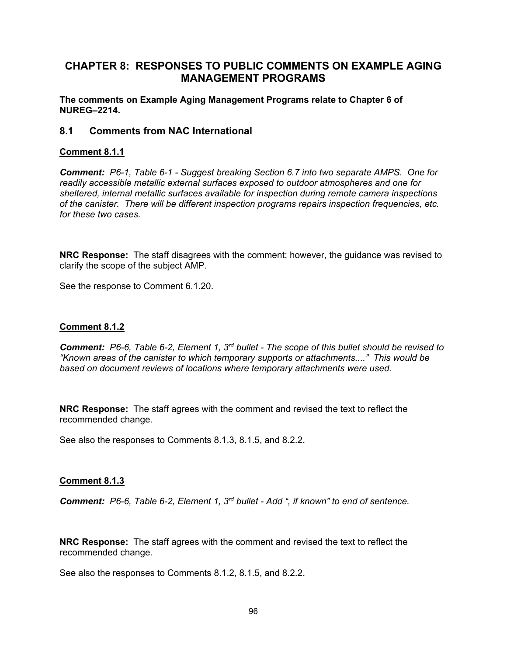# **CHAPTER 8: RESPONSES TO PUBLIC COMMENTS ON EXAMPLE AGING MANAGEMENT PROGRAMS**

**The comments on Example Aging Management Programs relate to Chapter 6 of NUREG–2214.** 

# **8.1 Comments from NAC International**

# **Comment 8.1.1**

*Comment: P6-1, Table 6-1 - Suggest breaking Section 6.7 into two separate AMPS. One for readily accessible metallic external surfaces exposed to outdoor atmospheres and one for sheltered, internal metallic surfaces available for inspection during remote camera inspections of the canister. There will be different inspection programs repairs inspection frequencies, etc. for these two cases.* 

**NRC Response:** The staff disagrees with the comment; however, the guidance was revised to clarify the scope of the subject AMP.

See the response to Comment 6.1.20.

#### **Comment 8.1.2**

*Comment: P6-6, Table 6-2, Element 1, 3rd bullet - The scope of this bullet should be revised to "Known areas of the canister to which temporary supports or attachments...." This would be based on document reviews of locations where temporary attachments were used.* 

**NRC Response:** The staff agrees with the comment and revised the text to reflect the recommended change.

See also the responses to Comments 8.1.3, 8.1.5, and 8.2.2.

#### **Comment 8.1.3**

*Comment: P6-6, Table 6-2, Element 1, 3rd bullet - Add ", if known" to end of sentence.* 

**NRC Response:** The staff agrees with the comment and revised the text to reflect the recommended change.

See also the responses to Comments 8.1.2, 8.1.5, and 8.2.2.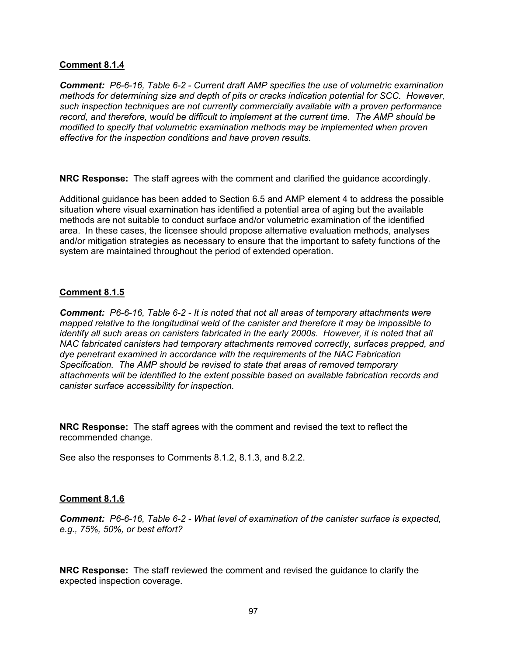### **Comment 8.1.4**

*Comment: P6-6-16, Table 6-2 - Current draft AMP specifies the use of volumetric examination methods for determining size and depth of pits or cracks indication potential for SCC. However, such inspection techniques are not currently commercially available with a proven performance record, and therefore, would be difficult to implement at the current time. The AMP should be modified to specify that volumetric examination methods may be implemented when proven effective for the inspection conditions and have proven results.* 

**NRC Response:** The staff agrees with the comment and clarified the guidance accordingly.

Additional guidance has been added to Section 6.5 and AMP element 4 to address the possible situation where visual examination has identified a potential area of aging but the available methods are not suitable to conduct surface and/or volumetric examination of the identified area. In these cases, the licensee should propose alternative evaluation methods, analyses and/or mitigation strategies as necessary to ensure that the important to safety functions of the system are maintained throughout the period of extended operation.

# **Comment 8.1.5**

*Comment: P6-6-16, Table 6-2 - It is noted that not all areas of temporary attachments were mapped relative to the longitudinal weld of the canister and therefore it may be impossible to identify all such areas on canisters fabricated in the early 2000s. However, it is noted that all NAC fabricated canisters had temporary attachments removed correctly, surfaces prepped, and dye penetrant examined in accordance with the requirements of the NAC Fabrication Specification. The AMP should be revised to state that areas of removed temporary attachments will be identified to the extent possible based on available fabrication records and canister surface accessibility for inspection.* 

**NRC Response:** The staff agrees with the comment and revised the text to reflect the recommended change.

See also the responses to Comments 8.1.2, 8.1.3, and 8.2.2.

# **Comment 8.1.6**

*Comment: P6-6-16, Table 6-2 - What level of examination of the canister surface is expected, e.g., 75%, 50%, or best effort?* 

**NRC Response:** The staff reviewed the comment and revised the guidance to clarify the expected inspection coverage.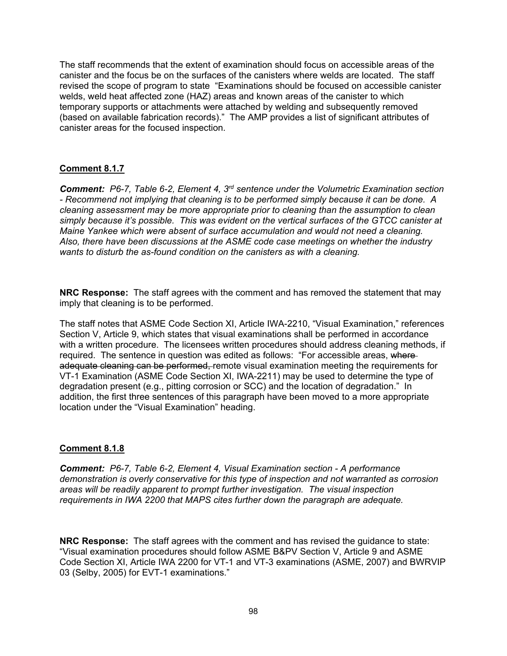The staff recommends that the extent of examination should focus on accessible areas of the canister and the focus be on the surfaces of the canisters where welds are located. The staff revised the scope of program to state "Examinations should be focused on accessible canister welds, weld heat affected zone (HAZ) areas and known areas of the canister to which temporary supports or attachments were attached by welding and subsequently removed (based on available fabrication records)." The AMP provides a list of significant attributes of canister areas for the focused inspection.

# **Comment 8.1.7**

*Comment: P6-7, Table 6-2, Element 4, 3rd sentence under the Volumetric Examination section - Recommend not implying that cleaning is to be performed simply because it can be done. A cleaning assessment may be more appropriate prior to cleaning than the assumption to clean simply because it's possible. This was evident on the vertical surfaces of the GTCC canister at Maine Yankee which were absent of surface accumulation and would not need a cleaning. Also, there have been discussions at the ASME code case meetings on whether the industry wants to disturb the as-found condition on the canisters as with a cleaning.* 

**NRC Response:** The staff agrees with the comment and has removed the statement that may imply that cleaning is to be performed.

The staff notes that ASME Code Section XI, Article IWA-2210, "Visual Examination," references Section V, Article 9, which states that visual examinations shall be performed in accordance with a written procedure. The licensees written procedures should address cleaning methods, if required. The sentence in question was edited as follows: "For accessible areas, where adequate cleaning can be performed, remote visual examination meeting the requirements for VT-1 Examination (ASME Code Section XI, IWA-2211) may be used to determine the type of degradation present (e.g., pitting corrosion or SCC) and the location of degradation." In addition, the first three sentences of this paragraph have been moved to a more appropriate location under the "Visual Examination" heading.

# **Comment 8.1.8**

*Comment: P6-7, Table 6-2, Element 4, Visual Examination section - A performance demonstration is overly conservative for this type of inspection and not warranted as corrosion areas will be readily apparent to prompt further investigation. The visual inspection requirements in IWA 2200 that MAPS cites further down the paragraph are adequate.* 

**NRC Response:** The staff agrees with the comment and has revised the guidance to state: "Visual examination procedures should follow ASME B&PV Section V, Article 9 and ASME Code Section XI, Article IWA 2200 for VT-1 and VT-3 examinations (ASME, 2007) and BWRVIP 03 (Selby, 2005) for EVT-1 examinations."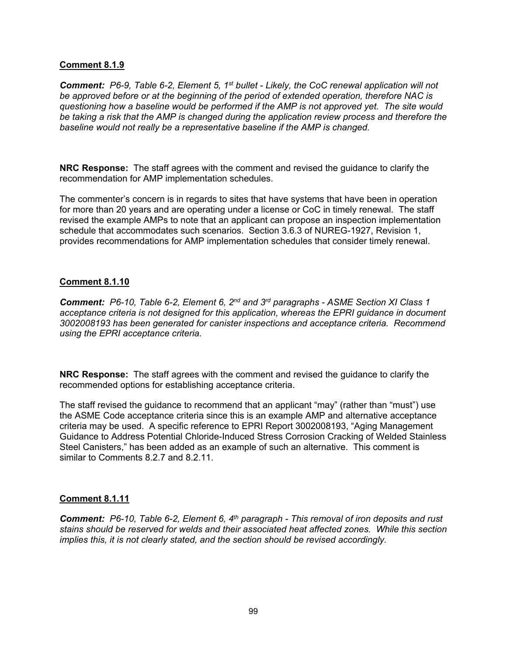### **Comment 8.1.9**

*Comment: P6-9, Table 6-2, Element 5, 1st bullet - Likely, the CoC renewal application will not be approved before or at the beginning of the period of extended operation, therefore NAC is questioning how a baseline would be performed if the AMP is not approved yet. The site would be taking a risk that the AMP is changed during the application review process and therefore the baseline would not really be a representative baseline if the AMP is changed.* 

**NRC Response:** The staff agrees with the comment and revised the guidance to clarify the recommendation for AMP implementation schedules.

The commenter's concern is in regards to sites that have systems that have been in operation for more than 20 years and are operating under a license or CoC in timely renewal. The staff revised the example AMPs to note that an applicant can propose an inspection implementation schedule that accommodates such scenarios. Section 3.6.3 of NUREG-1927, Revision 1, provides recommendations for AMP implementation schedules that consider timely renewal.

### **Comment 8.1.10**

*Comment: P6-10, Table 6-2, Element 6, 2nd and 3rd paragraphs - ASME Section XI Class 1 acceptance criteria is not designed for this application, whereas the EPRI guidance in document 3002008193 has been generated for canister inspections and acceptance criteria. Recommend using the EPRI acceptance criteria.* 

**NRC Response:** The staff agrees with the comment and revised the guidance to clarify the recommended options for establishing acceptance criteria.

The staff revised the guidance to recommend that an applicant "may" (rather than "must") use the ASME Code acceptance criteria since this is an example AMP and alternative acceptance criteria may be used. A specific reference to EPRI Report 3002008193, "Aging Management Guidance to Address Potential Chloride-Induced Stress Corrosion Cracking of Welded Stainless Steel Canisters," has been added as an example of such an alternative. This comment is similar to Comments 8.2.7 and 8.2.11.

# **Comment 8.1.11**

*Comment: P6-10, Table 6-2, Element 6, 4th paragraph - This removal of iron deposits and rust stains should be reserved for welds and their associated heat affected zones. While this section implies this, it is not clearly stated, and the section should be revised accordingly.*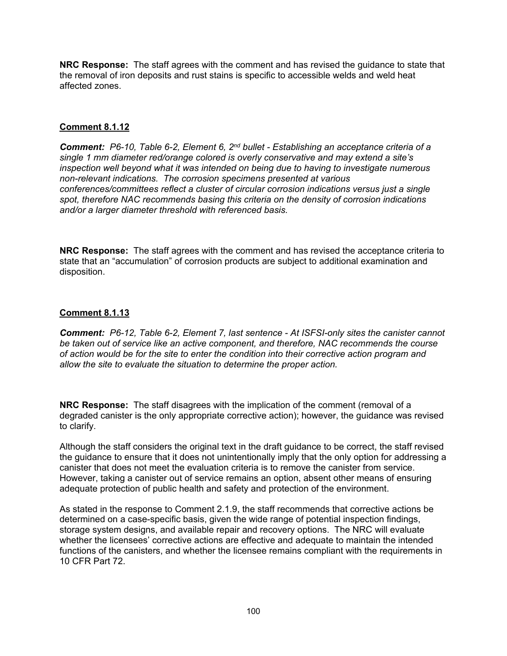**NRC Response:** The staff agrees with the comment and has revised the guidance to state that the removal of iron deposits and rust stains is specific to accessible welds and weld heat affected zones.

# **Comment 8.1.12**

*Comment: P6-10, Table 6-2, Element 6, 2nd bullet - Establishing an acceptance criteria of a single 1 mm diameter red/orange colored is overly conservative and may extend a site's inspection well beyond what it was intended on being due to having to investigate numerous non-relevant indications. The corrosion specimens presented at various conferences/committees reflect a cluster of circular corrosion indications versus just a single spot, therefore NAC recommends basing this criteria on the density of corrosion indications and/or a larger diameter threshold with referenced basis.* 

**NRC Response:** The staff agrees with the comment and has revised the acceptance criteria to state that an "accumulation" of corrosion products are subject to additional examination and disposition.

# **Comment 8.1.13**

*Comment: P6-12, Table 6-2, Element 7, last sentence - At ISFSI-only sites the canister cannot be taken out of service like an active component, and therefore, NAC recommends the course of action would be for the site to enter the condition into their corrective action program and allow the site to evaluate the situation to determine the proper action.* 

**NRC Response:** The staff disagrees with the implication of the comment (removal of a degraded canister is the only appropriate corrective action); however, the guidance was revised to clarify.

Although the staff considers the original text in the draft guidance to be correct, the staff revised the guidance to ensure that it does not unintentionally imply that the only option for addressing a canister that does not meet the evaluation criteria is to remove the canister from service. However, taking a canister out of service remains an option, absent other means of ensuring adequate protection of public health and safety and protection of the environment.

As stated in the response to Comment 2.1.9, the staff recommends that corrective actions be determined on a case-specific basis, given the wide range of potential inspection findings, storage system designs, and available repair and recovery options. The NRC will evaluate whether the licensees' corrective actions are effective and adequate to maintain the intended functions of the canisters, and whether the licensee remains compliant with the requirements in 10 CFR Part 72.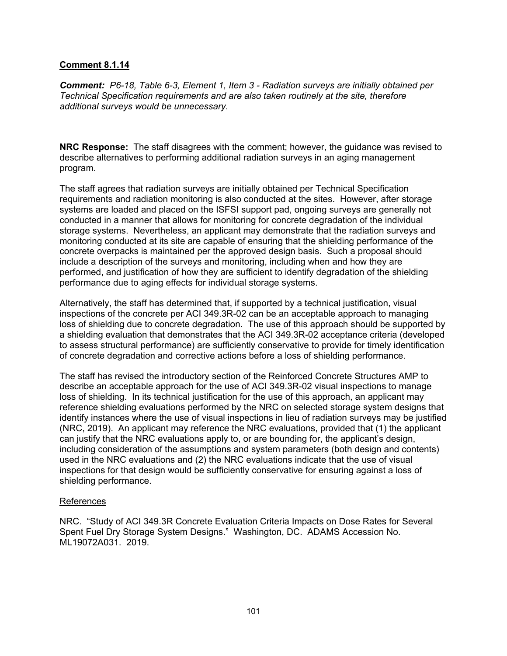### **Comment 8.1.14**

*Comment: P6-18, Table 6-3, Element 1, Item 3 - Radiation surveys are initially obtained per Technical Specification requirements and are also taken routinely at the site, therefore additional surveys would be unnecessary.* 

**NRC Response:** The staff disagrees with the comment; however, the guidance was revised to describe alternatives to performing additional radiation surveys in an aging management program.

The staff agrees that radiation surveys are initially obtained per Technical Specification requirements and radiation monitoring is also conducted at the sites. However, after storage systems are loaded and placed on the ISFSI support pad, ongoing surveys are generally not conducted in a manner that allows for monitoring for concrete degradation of the individual storage systems. Nevertheless, an applicant may demonstrate that the radiation surveys and monitoring conducted at its site are capable of ensuring that the shielding performance of the concrete overpacks is maintained per the approved design basis. Such a proposal should include a description of the surveys and monitoring, including when and how they are performed, and justification of how they are sufficient to identify degradation of the shielding performance due to aging effects for individual storage systems.

Alternatively, the staff has determined that, if supported by a technical justification, visual inspections of the concrete per ACI 349.3R-02 can be an acceptable approach to managing loss of shielding due to concrete degradation. The use of this approach should be supported by a shielding evaluation that demonstrates that the ACI 349.3R-02 acceptance criteria (developed to assess structural performance) are sufficiently conservative to provide for timely identification of concrete degradation and corrective actions before a loss of shielding performance.

The staff has revised the introductory section of the Reinforced Concrete Structures AMP to describe an acceptable approach for the use of ACI 349.3R-02 visual inspections to manage loss of shielding. In its technical justification for the use of this approach, an applicant may reference shielding evaluations performed by the NRC on selected storage system designs that identify instances where the use of visual inspections in lieu of radiation surveys may be justified (NRC, 2019). An applicant may reference the NRC evaluations, provided that (1) the applicant can justify that the NRC evaluations apply to, or are bounding for, the applicant's design, including consideration of the assumptions and system parameters (both design and contents) used in the NRC evaluations and (2) the NRC evaluations indicate that the use of visual inspections for that design would be sufficiently conservative for ensuring against a loss of shielding performance.

#### **References**

NRC. "Study of ACI 349.3R Concrete Evaluation Criteria Impacts on Dose Rates for Several Spent Fuel Dry Storage System Designs." Washington, DC. ADAMS Accession No. ML19072A031. 2019.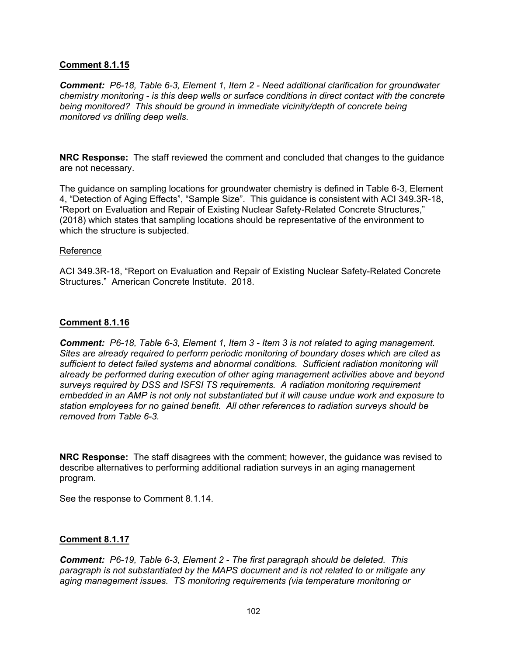### **Comment 8.1.15**

*Comment: P6-18, Table 6-3, Element 1, Item 2 - Need additional clarification for groundwater chemistry monitoring - is this deep wells or surface conditions in direct contact with the concrete being monitored? This should be ground in immediate vicinity/depth of concrete being monitored vs drilling deep wells.* 

**NRC Response:** The staff reviewed the comment and concluded that changes to the guidance are not necessary.

The guidance on sampling locations for groundwater chemistry is defined in Table 6-3, Element 4, "Detection of Aging Effects", "Sample Size". This guidance is consistent with ACI 349.3R-18, "Report on Evaluation and Repair of Existing Nuclear Safety-Related Concrete Structures," (2018) which states that sampling locations should be representative of the environment to which the structure is subjected.

#### Reference

ACI 349.3R-18, "Report on Evaluation and Repair of Existing Nuclear Safety-Related Concrete Structures." American Concrete Institute. 2018.

#### **Comment 8.1.16**

*Comment: P6-18, Table 6-3, Element 1, Item 3 - Item 3 is not related to aging management. Sites are already required to perform periodic monitoring of boundary doses which are cited as sufficient to detect failed systems and abnormal conditions. Sufficient radiation monitoring will already be performed during execution of other aging management activities above and beyond surveys required by DSS and ISFSI TS requirements. A radiation monitoring requirement embedded in an AMP is not only not substantiated but it will cause undue work and exposure to station employees for no gained benefit. All other references to radiation surveys should be removed from Table 6-3.* 

**NRC Response:** The staff disagrees with the comment; however, the guidance was revised to describe alternatives to performing additional radiation surveys in an aging management program.

See the response to Comment 8.1.14.

#### **Comment 8.1.17**

*Comment: P6-19, Table 6-3, Element 2 - The first paragraph should be deleted. This paragraph is not substantiated by the MAPS document and is not related to or mitigate any aging management issues. TS monitoring requirements (via temperature monitoring or*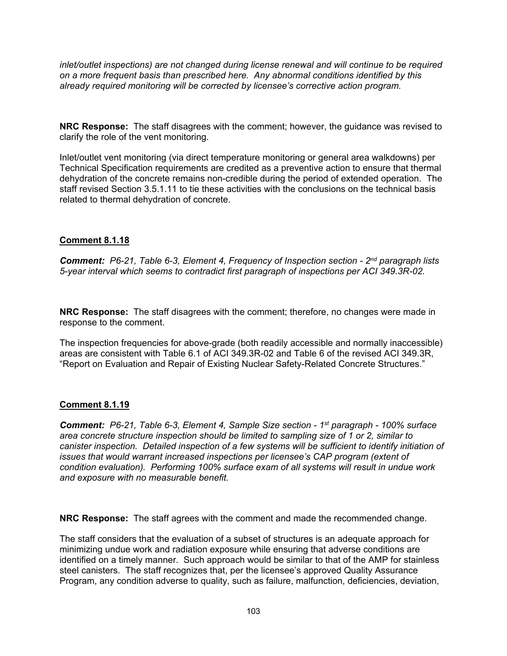*inlet/outlet inspections) are not changed during license renewal and will continue to be required on a more frequent basis than prescribed here. Any abnormal conditions identified by this already required monitoring will be corrected by licensee's corrective action program.* 

**NRC Response:** The staff disagrees with the comment; however, the guidance was revised to clarify the role of the vent monitoring.

Inlet/outlet vent monitoring (via direct temperature monitoring or general area walkdowns) per Technical Specification requirements are credited as a preventive action to ensure that thermal dehydration of the concrete remains non-credible during the period of extended operation. The staff revised Section 3.5.1.11 to tie these activities with the conclusions on the technical basis related to thermal dehydration of concrete.

# **Comment 8.1.18**

*Comment: P6-21, Table 6-3, Element 4, Frequency of Inspection section - 2nd paragraph lists 5-year interval which seems to contradict first paragraph of inspections per ACI 349.3R-02.* 

**NRC Response:** The staff disagrees with the comment; therefore, no changes were made in response to the comment.

The inspection frequencies for above-grade (both readily accessible and normally inaccessible) areas are consistent with Table 6.1 of ACI 349.3R-02 and Table 6 of the revised ACI 349.3R, "Report on Evaluation and Repair of Existing Nuclear Safety-Related Concrete Structures."

# **Comment 8.1.19**

*Comment: P6-21, Table 6-3, Element 4, Sample Size section - 1st paragraph - 100% surface area concrete structure inspection should be limited to sampling size of 1 or 2, similar to canister inspection. Detailed inspection of a few systems will be sufficient to identify initiation of issues that would warrant increased inspections per licensee's CAP program (extent of condition evaluation). Performing 100% surface exam of all systems will result in undue work and exposure with no measurable benefit.* 

**NRC Response:** The staff agrees with the comment and made the recommended change.

The staff considers that the evaluation of a subset of structures is an adequate approach for minimizing undue work and radiation exposure while ensuring that adverse conditions are identified on a timely manner. Such approach would be similar to that of the AMP for stainless steel canisters. The staff recognizes that, per the licensee's approved Quality Assurance Program, any condition adverse to quality, such as failure, malfunction, deficiencies, deviation,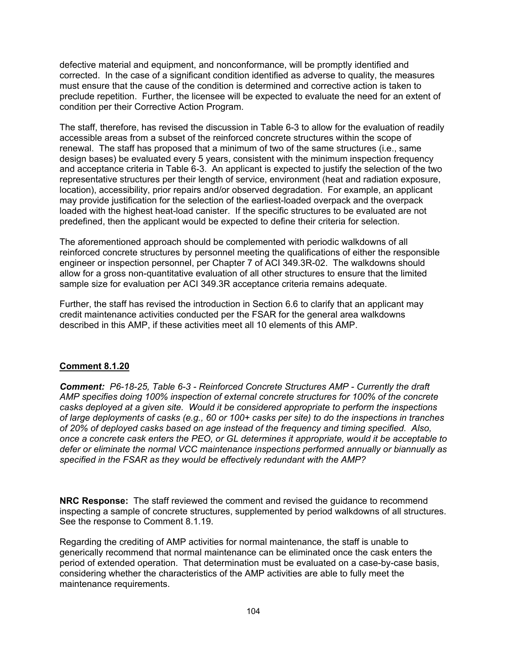defective material and equipment, and nonconformance, will be promptly identified and corrected. In the case of a significant condition identified as adverse to quality, the measures must ensure that the cause of the condition is determined and corrective action is taken to preclude repetition. Further, the licensee will be expected to evaluate the need for an extent of condition per their Corrective Action Program.

The staff, therefore, has revised the discussion in Table 6-3 to allow for the evaluation of readily accessible areas from a subset of the reinforced concrete structures within the scope of renewal. The staff has proposed that a minimum of two of the same structures (i.e., same design bases) be evaluated every 5 years, consistent with the minimum inspection frequency and acceptance criteria in Table 6-3. An applicant is expected to justify the selection of the two representative structures per their length of service, environment (heat and radiation exposure, location), accessibility, prior repairs and/or observed degradation. For example, an applicant may provide justification for the selection of the earliest-loaded overpack and the overpack loaded with the highest heat-load canister. If the specific structures to be evaluated are not predefined, then the applicant would be expected to define their criteria for selection.

The aforementioned approach should be complemented with periodic walkdowns of all reinforced concrete structures by personnel meeting the qualifications of either the responsible engineer or inspection personnel, per Chapter 7 of ACI 349.3R-02. The walkdowns should allow for a gross non-quantitative evaluation of all other structures to ensure that the limited sample size for evaluation per ACI 349.3R acceptance criteria remains adequate.

Further, the staff has revised the introduction in Section 6.6 to clarify that an applicant may credit maintenance activities conducted per the FSAR for the general area walkdowns described in this AMP, if these activities meet all 10 elements of this AMP.

# **Comment 8.1.20**

*Comment: P6-18-25, Table 6-3 - Reinforced Concrete Structures AMP - Currently the draft AMP specifies doing 100% inspection of external concrete structures for 100% of the concrete casks deployed at a given site. Would it be considered appropriate to perform the inspections of large deployments of casks (e.g., 60 or 100+ casks per site) to do the inspections in tranches of 20% of deployed casks based on age instead of the frequency and timing specified. Also, once a concrete cask enters the PEO, or GL determines it appropriate, would it be acceptable to defer or eliminate the normal VCC maintenance inspections performed annually or biannually as specified in the FSAR as they would be effectively redundant with the AMP?* 

**NRC Response:** The staff reviewed the comment and revised the guidance to recommend inspecting a sample of concrete structures, supplemented by period walkdowns of all structures. See the response to Comment 8.1.19.

Regarding the crediting of AMP activities for normal maintenance, the staff is unable to generically recommend that normal maintenance can be eliminated once the cask enters the period of extended operation. That determination must be evaluated on a case-by-case basis, considering whether the characteristics of the AMP activities are able to fully meet the maintenance requirements.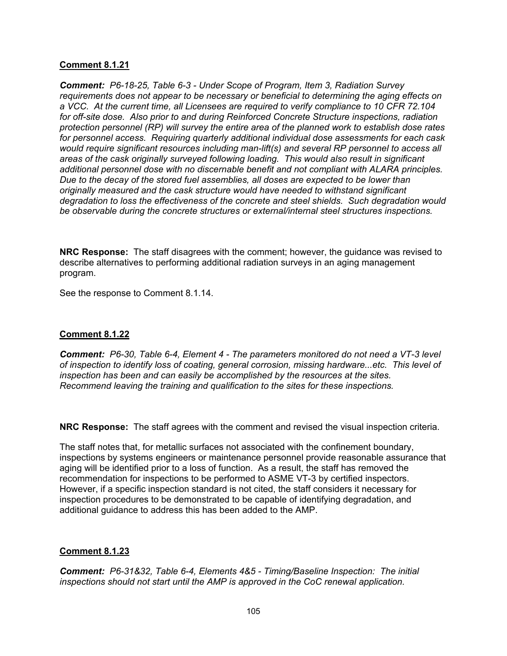### **Comment 8.1.21**

*Comment: P6-18-25, Table 6-3 - Under Scope of Program, Item 3, Radiation Survey requirements does not appear to be necessary or beneficial to determining the aging effects on a VCC. At the current time, all Licensees are required to verify compliance to 10 CFR 72.104 for off-site dose. Also prior to and during Reinforced Concrete Structure inspections, radiation protection personnel (RP) will survey the entire area of the planned work to establish dose rates for personnel access. Requiring quarterly additional individual dose assessments for each cask would require significant resources including man-lift(s) and several RP personnel to access all areas of the cask originally surveyed following loading. This would also result in significant additional personnel dose with no discernable benefit and not compliant with ALARA principles. Due to the decay of the stored fuel assemblies, all doses are expected to be lower than originally measured and the cask structure would have needed to withstand significant degradation to loss the effectiveness of the concrete and steel shields. Such degradation would be observable during the concrete structures or external/internal steel structures inspections.* 

**NRC Response:** The staff disagrees with the comment; however, the guidance was revised to describe alternatives to performing additional radiation surveys in an aging management program.

See the response to Comment 8.1.14.

# **Comment 8.1.22**

*Comment: P6-30, Table 6-4, Element 4 - The parameters monitored do not need a VT-3 level of inspection to identify loss of coating, general corrosion, missing hardware...etc. This level of inspection has been and can easily be accomplished by the resources at the sites. Recommend leaving the training and qualification to the sites for these inspections.* 

**NRC Response:** The staff agrees with the comment and revised the visual inspection criteria.

The staff notes that, for metallic surfaces not associated with the confinement boundary, inspections by systems engineers or maintenance personnel provide reasonable assurance that aging will be identified prior to a loss of function. As a result, the staff has removed the recommendation for inspections to be performed to ASME VT-3 by certified inspectors. However, if a specific inspection standard is not cited, the staff considers it necessary for inspection procedures to be demonstrated to be capable of identifying degradation, and additional guidance to address this has been added to the AMP.

# **Comment 8.1.23**

*Comment: P6-31&32, Table 6-4, Elements 4&5 - Timing/Baseline Inspection: The initial inspections should not start until the AMP is approved in the CoC renewal application.*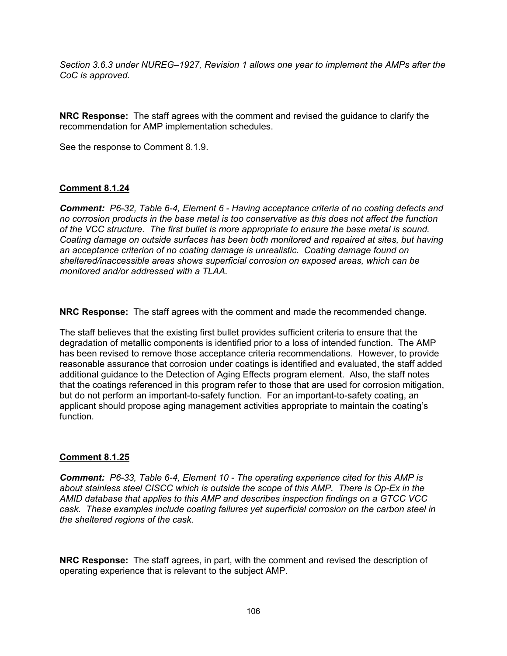*Section 3.6.3 under NUREG–1927, Revision 1 allows one year to implement the AMPs after the CoC is approved.* 

**NRC Response:** The staff agrees with the comment and revised the guidance to clarify the recommendation for AMP implementation schedules.

See the response to Comment 8.1.9.

# **Comment 8.1.24**

*Comment: P6-32, Table 6-4, Element 6 - Having acceptance criteria of no coating defects and no corrosion products in the base metal is too conservative as this does not affect the function of the VCC structure. The first bullet is more appropriate to ensure the base metal is sound. Coating damage on outside surfaces has been both monitored and repaired at sites, but having an acceptance criterion of no coating damage is unrealistic. Coating damage found on sheltered/inaccessible areas shows superficial corrosion on exposed areas, which can be monitored and/or addressed with a TLAA.* 

**NRC Response:** The staff agrees with the comment and made the recommended change.

The staff believes that the existing first bullet provides sufficient criteria to ensure that the degradation of metallic components is identified prior to a loss of intended function. The AMP has been revised to remove those acceptance criteria recommendations. However, to provide reasonable assurance that corrosion under coatings is identified and evaluated, the staff added additional guidance to the Detection of Aging Effects program element. Also, the staff notes that the coatings referenced in this program refer to those that are used for corrosion mitigation, but do not perform an important-to-safety function. For an important-to-safety coating, an applicant should propose aging management activities appropriate to maintain the coating's function.

# **Comment 8.1.25**

*Comment: P6-33, Table 6-4, Element 10 - The operating experience cited for this AMP is about stainless steel CISCC which is outside the scope of this AMP. There is Op-Ex in the AMID database that applies to this AMP and describes inspection findings on a GTCC VCC cask. These examples include coating failures yet superficial corrosion on the carbon steel in the sheltered regions of the cask.* 

**NRC Response:** The staff agrees, in part, with the comment and revised the description of operating experience that is relevant to the subject AMP.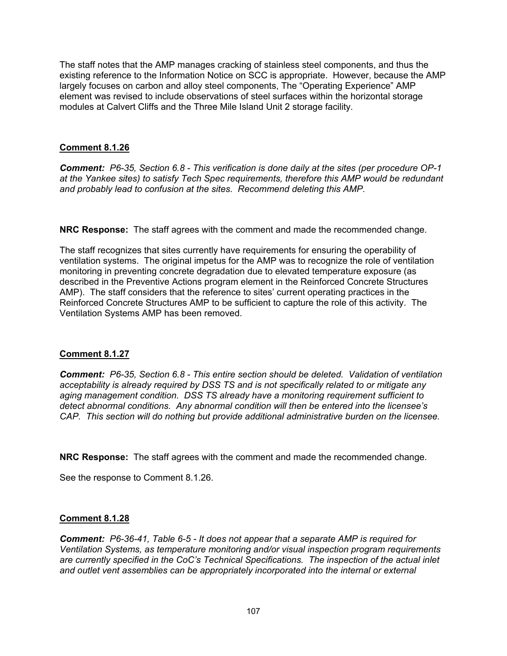The staff notes that the AMP manages cracking of stainless steel components, and thus the existing reference to the Information Notice on SCC is appropriate. However, because the AMP largely focuses on carbon and alloy steel components, The "Operating Experience" AMP element was revised to include observations of steel surfaces within the horizontal storage modules at Calvert Cliffs and the Three Mile Island Unit 2 storage facility.

### **Comment 8.1.26**

*Comment: P6-35, Section 6.8 - This verification is done daily at the sites (per procedure OP-1 at the Yankee sites) to satisfy Tech Spec requirements, therefore this AMP would be redundant and probably lead to confusion at the sites. Recommend deleting this AMP.* 

**NRC Response:** The staff agrees with the comment and made the recommended change.

The staff recognizes that sites currently have requirements for ensuring the operability of ventilation systems. The original impetus for the AMP was to recognize the role of ventilation monitoring in preventing concrete degradation due to elevated temperature exposure (as described in the Preventive Actions program element in the Reinforced Concrete Structures AMP). The staff considers that the reference to sites' current operating practices in the Reinforced Concrete Structures AMP to be sufficient to capture the role of this activity. The Ventilation Systems AMP has been removed.

# **Comment 8.1.27**

*Comment: P6-35, Section 6.8 - This entire section should be deleted. Validation of ventilation acceptability is already required by DSS TS and is not specifically related to or mitigate any aging management condition. DSS TS already have a monitoring requirement sufficient to detect abnormal conditions. Any abnormal condition will then be entered into the licensee's CAP. This section will do nothing but provide additional administrative burden on the licensee.* 

**NRC Response:** The staff agrees with the comment and made the recommended change.

See the response to Comment 8.1.26.

# **Comment 8.1.28**

*Comment: P6-36-41, Table 6-5 - It does not appear that a separate AMP is required for Ventilation Systems, as temperature monitoring and/or visual inspection program requirements are currently specified in the CoC's Technical Specifications. The inspection of the actual inlet*  and outlet vent assemblies can be appropriately incorporated into the internal or external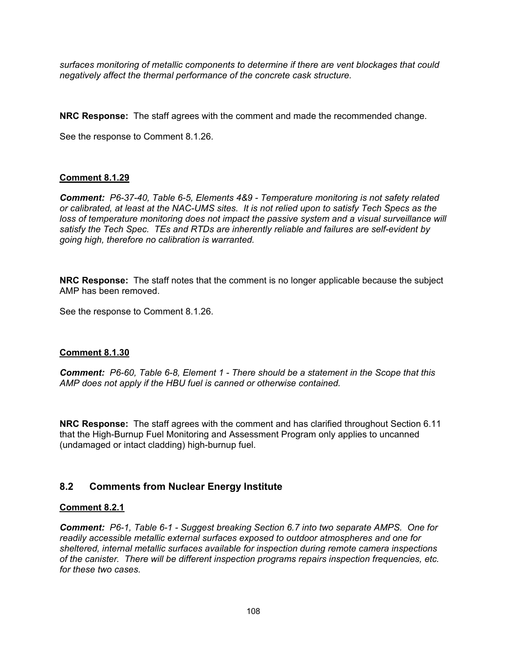*surfaces monitoring of metallic components to determine if there are vent blockages that could negatively affect the thermal performance of the concrete cask structure.* 

**NRC Response:** The staff agrees with the comment and made the recommended change.

See the response to Comment 8.1.26.

# **Comment 8.1.29**

*Comment: P6-37-40, Table 6-5, Elements 4&9 - Temperature monitoring is not safety related or calibrated, at least at the NAC-UMS sites. It is not relied upon to satisfy Tech Specs as the*  loss of temperature monitoring does not impact the passive system and a visual surveillance will *satisfy the Tech Spec. TEs and RTDs are inherently reliable and failures are self-evident by going high, therefore no calibration is warranted.* 

**NRC Response:** The staff notes that the comment is no longer applicable because the subject AMP has been removed.

See the response to Comment 8.1.26.

# **Comment 8.1.30**

*Comment: P6-60, Table 6-8, Element 1 - There should be a statement in the Scope that this AMP does not apply if the HBU fuel is canned or otherwise contained.* 

**NRC Response:** The staff agrees with the comment and has clarified throughout Section 6.11 that the High-Burnup Fuel Monitoring and Assessment Program only applies to uncanned (undamaged or intact cladding) high-burnup fuel.

# **8.2 Comments from Nuclear Energy Institute**

# **Comment 8.2.1**

*Comment: P6-1, Table 6-1 - Suggest breaking Section 6.7 into two separate AMPS. One for readily accessible metallic external surfaces exposed to outdoor atmospheres and one for sheltered, internal metallic surfaces available for inspection during remote camera inspections of the canister. There will be different inspection programs repairs inspection frequencies, etc. for these two cases.*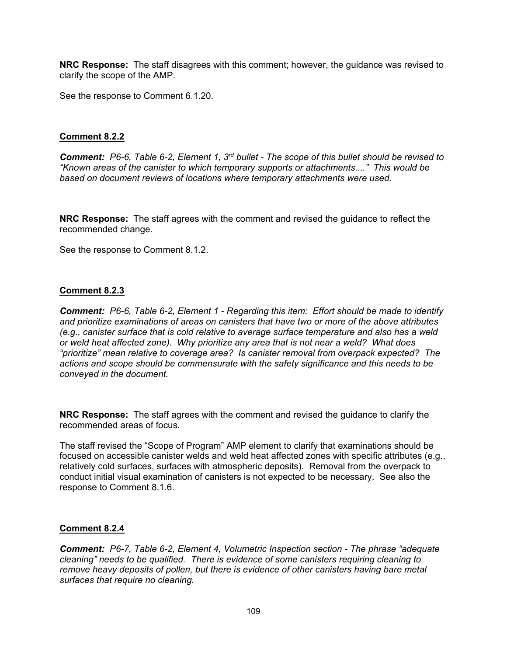**NRC Response:** The staff disagrees with this comment; however, the guidance was revised to clarify the scope of the AMP.

See the response to Comment 6.1.20.

## **Comment 8.2.2**

*Comment: P6-6, Table 6-2, Element 1, 3rd bullet - The scope of this bullet should be revised to "Known areas of the canister to which temporary supports or attachments...." This would be based on document reviews of locations where temporary attachments were used.* 

**NRC Response:** The staff agrees with the comment and revised the guidance to reflect the recommended change.

See the response to Comment 8.1.2.

### **Comment 8.2.3**

*Comment: P6-6, Table 6-2, Element 1 - Regarding this item: Effort should be made to identify and prioritize examinations of areas on canisters that have two or more of the above attributes (e.g., canister surface that is cold relative to average surface temperature and also has a weld or weld heat affected zone). Why prioritize any area that is not near a weld? What does "prioritize" mean relative to coverage area? Is canister removal from overpack expected? The actions and scope should be commensurate with the safety significance and this needs to be conveyed in the document.* 

**NRC Response:** The staff agrees with the comment and revised the guidance to clarify the recommended areas of focus.

The staff revised the "Scope of Program" AMP element to clarify that examinations should be focused on accessible canister welds and weld heat affected zones with specific attributes (e.g., relatively cold surfaces, surfaces with atmospheric deposits). Removal from the overpack to conduct initial visual examination of canisters is not expected to be necessary. See also the response to Comment 8.1.6.

### **Comment 8.2.4**

*Comment: P6-7, Table 6-2, Element 4, Volumetric Inspection section - The phrase "adequate cleaning" needs to be qualified. There is evidence of some canisters requiring cleaning to remove heavy deposits of pollen, but there is evidence of other canisters having bare metal surfaces that require no cleaning.*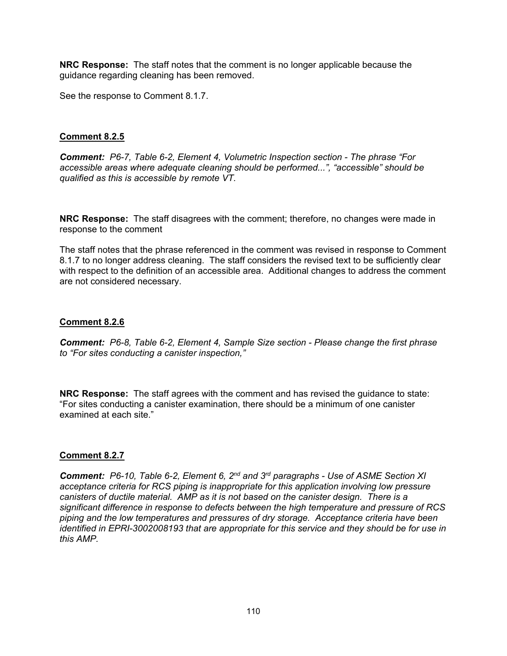**NRC Response:** The staff notes that the comment is no longer applicable because the guidance regarding cleaning has been removed.

See the response to Comment 8.1.7.

# **Comment 8.2.5**

*Comment: P6-7, Table 6-2, Element 4, Volumetric Inspection section - The phrase "For accessible areas where adequate cleaning should be performed...", "accessible" should be qualified as this is accessible by remote VT.* 

**NRC Response:** The staff disagrees with the comment; therefore, no changes were made in response to the comment

The staff notes that the phrase referenced in the comment was revised in response to Comment 8.1.7 to no longer address cleaning. The staff considers the revised text to be sufficiently clear with respect to the definition of an accessible area. Additional changes to address the comment are not considered necessary.

## **Comment 8.2.6**

*Comment: P6-8, Table 6-2, Element 4, Sample Size section - Please change the first phrase to "For sites conducting a canister inspection,"* 

**NRC Response:** The staff agrees with the comment and has revised the guidance to state: "For sites conducting a canister examination, there should be a minimum of one canister examined at each site."

## **Comment 8.2.7**

*Comment: P6-10, Table 6-2, Element 6, 2nd and 3rd paragraphs - Use of ASME Section XI*  acceptance criteria for RCS piping is inappropriate for this application involving low pressure *canisters of ductile material. AMP as it is not based on the canister design. There is a significant difference in response to defects between the high temperature and pressure of RCS piping and the low temperatures and pressures of dry storage. Acceptance criteria have been identified in EPRI-3002008193 that are appropriate for this service and they should be for use in this AMP.*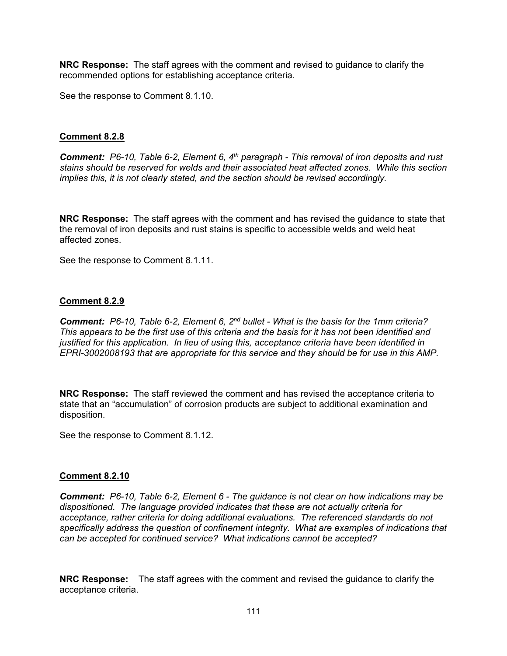**NRC Response:** The staff agrees with the comment and revised to guidance to clarify the recommended options for establishing acceptance criteria.

See the response to Comment 8.1.10.

### **Comment 8.2.8**

*Comment: P6-10, Table 6-2, Element 6, 4th paragraph - This removal of iron deposits and rust stains should be reserved for welds and their associated heat affected zones. While this section implies this, it is not clearly stated, and the section should be revised accordingly.* 

**NRC Response:** The staff agrees with the comment and has revised the guidance to state that the removal of iron deposits and rust stains is specific to accessible welds and weld heat affected zones.

See the response to Comment 8.1.11.

### **Comment 8.2.9**

*Comment: P6-10, Table 6-2, Element 6, 2nd bullet - What is the basis for the 1mm criteria? This appears to be the first use of this criteria and the basis for it has not been identified and justified for this application. In lieu of using this, acceptance criteria have been identified in EPRI-3002008193 that are appropriate for this service and they should be for use in this AMP.* 

**NRC Response:** The staff reviewed the comment and has revised the acceptance criteria to state that an "accumulation" of corrosion products are subject to additional examination and disposition.

See the response to Comment 8.1.12.

### **Comment 8.2.10**

*Comment: P6-10, Table 6-2, Element 6 - The guidance is not clear on how indications may be dispositioned. The language provided indicates that these are not actually criteria for acceptance, rather criteria for doing additional evaluations. The referenced standards do not specifically address the question of confinement integrity. What are examples of indications that can be accepted for continued service? What indications cannot be accepted?* 

**NRC Response:** The staff agrees with the comment and revised the guidance to clarify the acceptance criteria.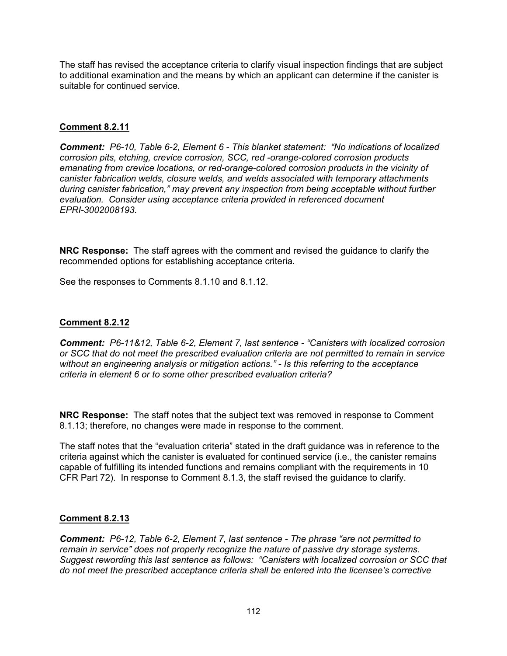The staff has revised the acceptance criteria to clarify visual inspection findings that are subject to additional examination and the means by which an applicant can determine if the canister is suitable for continued service.

# **Comment 8.2.11**

*Comment: P6-10, Table 6-2, Element 6 - This blanket statement: "No indications of localized corrosion pits, etching, crevice corrosion, SCC, red -orange-colored corrosion products emanating from crevice locations, or red-orange-colored corrosion products in the vicinity of canister fabrication welds, closure welds, and welds associated with temporary attachments during canister fabrication," may prevent any inspection from being acceptable without further evaluation. Consider using acceptance criteria provided in referenced document EPRI-3002008193.* 

**NRC Response:** The staff agrees with the comment and revised the guidance to clarify the recommended options for establishing acceptance criteria.

See the responses to Comments 8.1.10 and 8.1.12.

## **Comment 8.2.12**

*Comment: P6-11&12, Table 6-2, Element 7, last sentence - "Canisters with localized corrosion or SCC that do not meet the prescribed evaluation criteria are not permitted to remain in service without an engineering analysis or mitigation actions." - Is this referring to the acceptance criteria in element 6 or to some other prescribed evaluation criteria?* 

**NRC Response:** The staff notes that the subject text was removed in response to Comment 8.1.13; therefore, no changes were made in response to the comment.

The staff notes that the "evaluation criteria" stated in the draft guidance was in reference to the criteria against which the canister is evaluated for continued service (i.e., the canister remains capable of fulfilling its intended functions and remains compliant with the requirements in 10 CFR Part 72). In response to Comment 8.1.3, the staff revised the guidance to clarify.

## **Comment 8.2.13**

*Comment: P6-12, Table 6-2, Element 7, last sentence - The phrase "are not permitted to remain in service" does not properly recognize the nature of passive dry storage systems. Suggest rewording this last sentence as follows: "Canisters with localized corrosion or SCC that do not meet the prescribed acceptance criteria shall be entered into the licensee's corrective*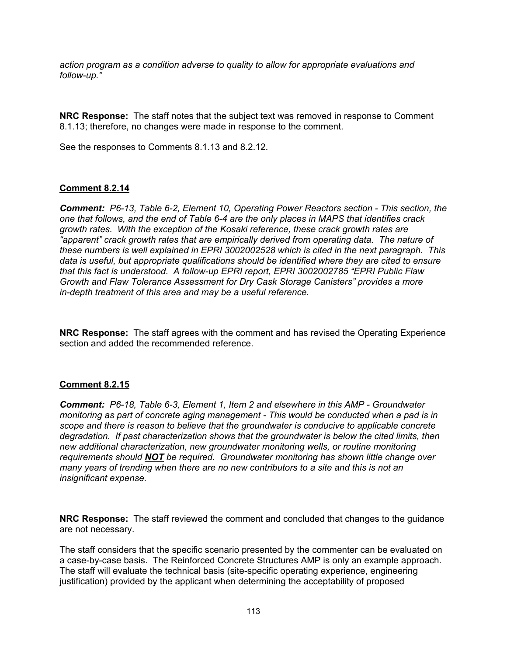*action program as a condition adverse to quality to allow for appropriate evaluations and follow-up."* 

**NRC Response:** The staff notes that the subject text was removed in response to Comment 8.1.13; therefore, no changes were made in response to the comment.

See the responses to Comments 8.1.13 and 8.2.12.

## **Comment 8.2.14**

*Comment: P6-13, Table 6-2, Element 10, Operating Power Reactors section - This section, the one that follows, and the end of Table 6-4 are the only places in MAPS that identifies crack growth rates. With the exception of the Kosaki reference, these crack growth rates are "apparent" crack growth rates that are empirically derived from operating data. The nature of these numbers is well explained in EPRI 3002002528 which is cited in the next paragraph. This data is useful, but appropriate qualifications should be identified where they are cited to ensure that this fact is understood. A follow-up EPRI report, EPRI 3002002785 "EPRI Public Flaw Growth and Flaw Tolerance Assessment for Dry Cask Storage Canisters" provides a more in-depth treatment of this area and may be a useful reference.* 

**NRC Response:** The staff agrees with the comment and has revised the Operating Experience section and added the recommended reference.

## **Comment 8.2.15**

*Comment: P6-18, Table 6-3, Element 1, Item 2 and elsewhere in this AMP - Groundwater monitoring as part of concrete aging management - This would be conducted when a pad is in scope and there is reason to believe that the groundwater is conducive to applicable concrete degradation. If past characterization shows that the groundwater is below the cited limits, then new additional characterization, new groundwater monitoring wells, or routine monitoring requirements should NOT be required. Groundwater monitoring has shown little change over many years of trending when there are no new contributors to a site and this is not an insignificant expense.* 

**NRC Response:** The staff reviewed the comment and concluded that changes to the guidance are not necessary.

The staff considers that the specific scenario presented by the commenter can be evaluated on a case-by-case basis. The Reinforced Concrete Structures AMP is only an example approach. The staff will evaluate the technical basis (site-specific operating experience, engineering justification) provided by the applicant when determining the acceptability of proposed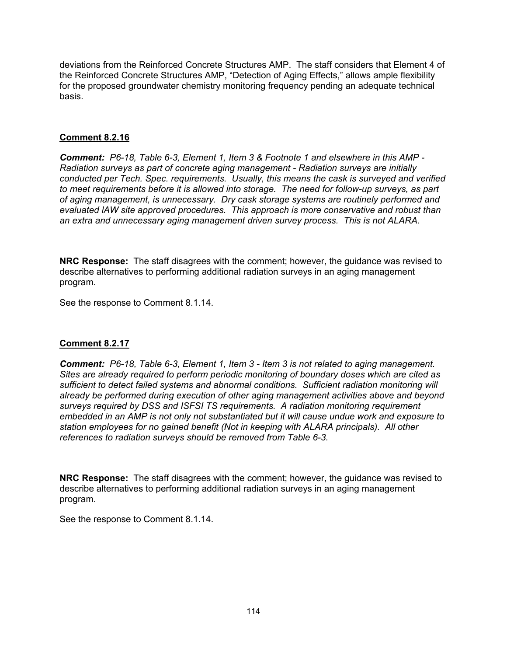deviations from the Reinforced Concrete Structures AMP. The staff considers that Element 4 of the Reinforced Concrete Structures AMP, "Detection of Aging Effects," allows ample flexibility for the proposed groundwater chemistry monitoring frequency pending an adequate technical basis.

# **Comment 8.2.16**

*Comment: P6-18, Table 6-3, Element 1, Item 3 & Footnote 1 and elsewhere in this AMP - Radiation surveys as part of concrete aging management - Radiation surveys are initially conducted per Tech. Spec. requirements. Usually, this means the cask is surveyed and verified to meet requirements before it is allowed into storage. The need for follow-up surveys, as part of aging management, is unnecessary. Dry cask storage systems are routinely performed and evaluated lAW site approved procedures. This approach is more conservative and robust than an extra and unnecessary aging management driven survey process. This is not ALARA.* 

**NRC Response:** The staff disagrees with the comment; however, the guidance was revised to describe alternatives to performing additional radiation surveys in an aging management program.

See the response to Comment 8.1.14.

## **Comment 8.2.17**

*Comment: P6-18, Table 6-3, Element 1, Item 3 - Item 3 is not related to aging management. Sites are already required to perform periodic monitoring of boundary doses which are cited as sufficient to detect failed systems and abnormal conditions. Sufficient radiation monitoring will already be performed during execution of other aging management activities above and beyond surveys required by DSS and ISFSI TS requirements. A radiation monitoring requirement embedded in an AMP is not only not substantiated but it will cause undue work and exposure to station employees for no gained benefit (Not in keeping with ALARA principals). All other references to radiation surveys should be removed from Table 6-3.* 

**NRC Response:** The staff disagrees with the comment; however, the guidance was revised to describe alternatives to performing additional radiation surveys in an aging management program.

See the response to Comment 8.1.14.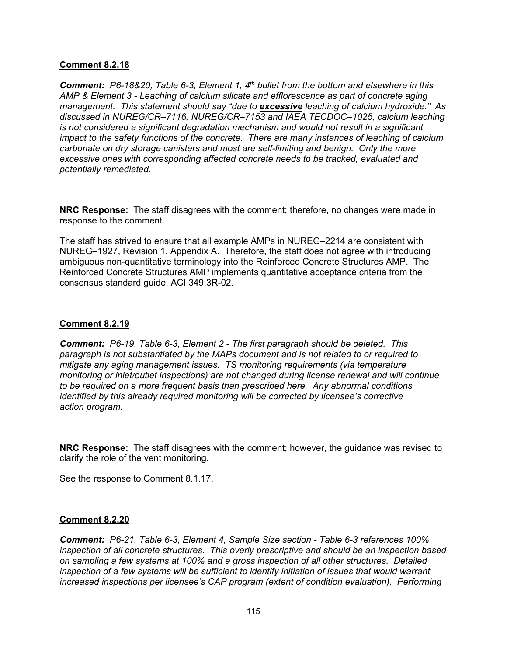### **Comment 8.2.18**

*Comment: P6-18&20, Table 6-3, Element 1, 4th bullet from the bottom and elsewhere in this AMP & Element 3 - Leaching of calcium silicate and efflorescence as part of concrete aging management. This statement should say "due to excessive leaching of calcium hydroxide." As discussed in NUREG/CR–7116, NUREG/CR–7153 and IAEA TECDOC–1025, calcium leaching is not considered a significant degradation mechanism and would not result in a significant impact to the safety functions of the concrete. There are many instances of leaching of calcium carbonate on dry storage canisters and most are self-limiting and benign. Only the more excessive ones with corresponding affected concrete needs to be tracked, evaluated and potentially remediated.* 

**NRC Response:** The staff disagrees with the comment; therefore, no changes were made in response to the comment.

The staff has strived to ensure that all example AMPs in NUREG–2214 are consistent with NUREG–1927, Revision 1, Appendix A. Therefore, the staff does not agree with introducing ambiguous non-quantitative terminology into the Reinforced Concrete Structures AMP. The Reinforced Concrete Structures AMP implements quantitative acceptance criteria from the consensus standard guide, ACI 349.3R-02.

### **Comment 8.2.19**

*Comment: P6-19, Table 6-3, Element 2 - The first paragraph should be deleted. This paragraph is not substantiated by the MAPs document and is not related to or required to mitigate any aging management issues. TS monitoring requirements (via temperature monitoring or inlet/outlet inspections) are not changed during license renewal and will continue to be required on a more frequent basis than prescribed here. Any abnormal conditions identified by this already required monitoring will be corrected by licensee's corrective action program.* 

**NRC Response:** The staff disagrees with the comment; however, the guidance was revised to clarify the role of the vent monitoring.

See the response to Comment 8.1.17.

### **Comment 8.2.20**

*Comment: P6-21, Table 6-3, Element 4, Sample Size section - Table 6-3 references 100% inspection of all concrete structures. This overly prescriptive and should be an inspection based on sampling a few systems at 100% and a gross inspection of all other structures. Detailed inspection of a few systems will be sufficient to identify initiation of issues that would warrant increased inspections per licensee's CAP program (extent of condition evaluation). Performing*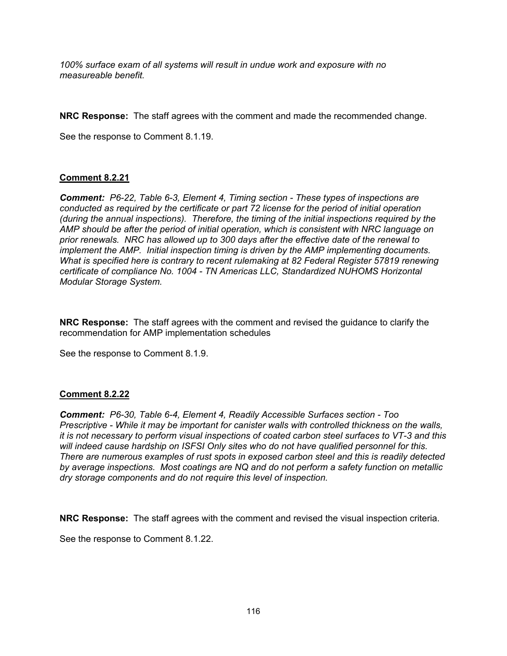*100% surface exam of all systems will result in undue work and exposure with no measureable benefit.* 

**NRC Response:** The staff agrees with the comment and made the recommended change.

See the response to Comment 8.1.19.

## **Comment 8.2.21**

*Comment: P6-22, Table 6-3, Element 4, Timing section - These types of inspections are conducted as required by the certificate or part 72 license for the period of initial operation (during the annual inspections). Therefore, the timing of the initial inspections required by the AMP should be after the period of initial operation, which is consistent with NRC language on prior renewals. NRC has allowed up to 300 days after the effective date of the renewal to implement the AMP. Initial inspection timing is driven by the AMP implementing documents. What is specified here is contrary to recent rulemaking at 82 Federal Register 57819 renewing certificate of compliance No. 1004 - TN Americas LLC, Standardized NUHOMS Horizontal Modular Storage System.* 

**NRC Response:** The staff agrees with the comment and revised the guidance to clarify the recommendation for AMP implementation schedules

See the response to Comment 8.1.9.

### **Comment 8.2.22**

*Comment: P6-30, Table 6-4, Element 4, Readily Accessible Surfaces section - Too Prescriptive - While it may be important for canister walls with controlled thickness on the walls, it is not necessary to perform visual inspections of coated carbon steel surfaces to VT-3 and this will indeed cause hardship on ISFSI Only sites who do not have qualified personnel for this. There are numerous examples of rust spots in exposed carbon steel and this is readily detected by average inspections. Most coatings are NQ and do not perform a safety function on metallic dry storage components and do not require this level of inspection.* 

**NRC Response:** The staff agrees with the comment and revised the visual inspection criteria.

See the response to Comment 8.1.22.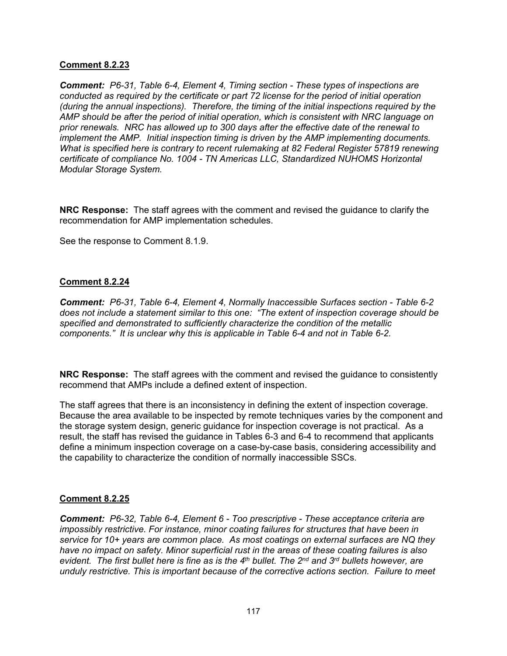### **Comment 8.2.23**

*Comment: P6-31, Table 6-4, Element 4, Timing section - These types of inspections are conducted as required by the certificate or part 72 license for the period of initial operation (during the annual inspections). Therefore, the timing of the initial inspections required by the AMP should be after the period of initial operation, which is consistent with NRC language on prior renewals. NRC has allowed up to 300 days after the effective date of the renewal to implement the AMP. Initial inspection timing is driven by the AMP implementing documents. What is specified here is contrary to recent rulemaking at 82 Federal Register 57819 renewing certificate of compliance No. 1004 - TN Americas LLC, Standardized NUHOMS Horizontal Modular Storage System.* 

**NRC Response:** The staff agrees with the comment and revised the guidance to clarify the recommendation for AMP implementation schedules.

See the response to Comment 8.1.9.

### **Comment 8.2.24**

*Comment: P6-31, Table 6-4, Element 4, Normally Inaccessible Surfaces section - Table 6-2 does not include a statement similar to this one: "The extent of inspection coverage should be specified and demonstrated to sufficiently characterize the condition of the metallic components." It is unclear why this is applicable in Table 6-4 and not in Table 6-2.* 

**NRC Response:** The staff agrees with the comment and revised the guidance to consistently recommend that AMPs include a defined extent of inspection.

The staff agrees that there is an inconsistency in defining the extent of inspection coverage. Because the area available to be inspected by remote techniques varies by the component and the storage system design, generic guidance for inspection coverage is not practical. As a result, the staff has revised the guidance in Tables 6-3 and 6-4 to recommend that applicants define a minimum inspection coverage on a case-by-case basis, considering accessibility and the capability to characterize the condition of normally inaccessible SSCs.

## **Comment 8.2.25**

*Comment: P6-32, Table 6-4, Element 6 - Too prescriptive - These acceptance criteria are impossibly restrictive. For instance, minor coating failures for structures that have been in service for 10+ years are common place. As most coatings on external surfaces are NQ they have no impact on safety. Minor superficial rust in the areas of these coating failures is also evident. The first bullet here is fine as is the 4th bullet. The 2nd and 3rd bullets however, are unduly restrictive. This is important because of the corrective actions section. Failure to meet*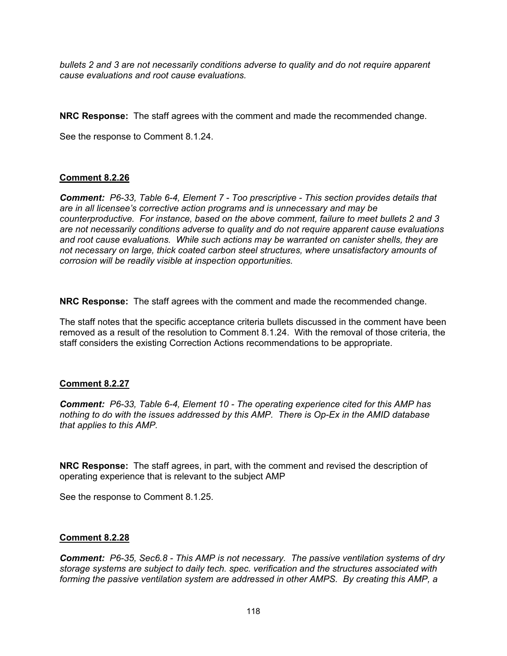*bullets 2 and 3 are not necessarily conditions adverse to quality and do not require apparent cause evaluations and root cause evaluations.* 

**NRC Response:** The staff agrees with the comment and made the recommended change.

See the response to Comment 8.1.24.

## **Comment 8.2.26**

*Comment: P6-33, Table 6-4, Element 7 - Too prescriptive - This section provides details that are in all licensee's corrective action programs and is unnecessary and may be counterproductive. For instance, based on the above comment, failure to meet bullets 2 and 3 are not necessarily conditions adverse to quality and do not require apparent cause evaluations and root cause evaluations. While such actions may be warranted on canister shells, they are not necessary on large, thick coated carbon steel structures, where unsatisfactory amounts of corrosion will be readily visible at inspection opportunities.* 

**NRC Response:** The staff agrees with the comment and made the recommended change.

The staff notes that the specific acceptance criteria bullets discussed in the comment have been removed as a result of the resolution to Comment 8.1.24. With the removal of those criteria, the staff considers the existing Correction Actions recommendations to be appropriate.

### **Comment 8.2.27**

*Comment: P6-33, Table 6-4, Element 10 - The operating experience cited for this AMP has nothing to do with the issues addressed by this AMP. There is Op-Ex in the AMID database that applies to this AMP.* 

**NRC Response:** The staff agrees, in part, with the comment and revised the description of operating experience that is relevant to the subject AMP

See the response to Comment 8.1.25.

### **Comment 8.2.28**

*Comment: P6-35, Sec6.8 - This AMP is not necessary. The passive ventilation systems of dry storage systems are subject to daily tech. spec. verification and the structures associated with forming the passive ventilation system are addressed in other AMPS. By creating this AMP, a*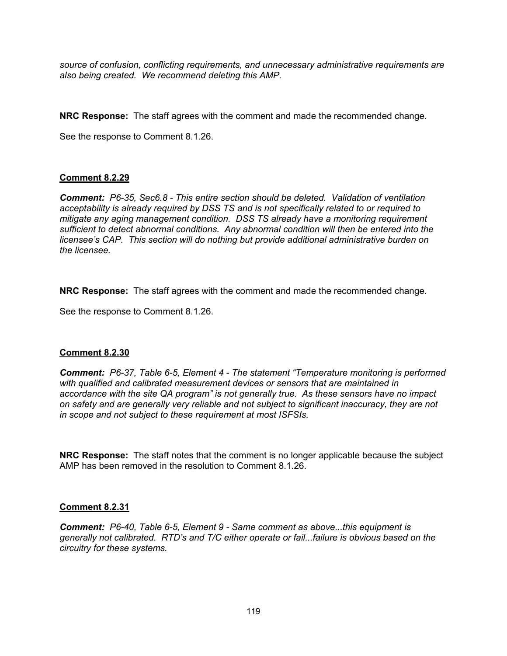*source of confusion, conflicting requirements, and unnecessary administrative requirements are also being created. We recommend deleting this AMP.* 

**NRC Response:** The staff agrees with the comment and made the recommended change.

See the response to Comment 8.1.26.

### **Comment 8.2.29**

*Comment: P6-35, Sec6.8 - This entire section should be deleted. Validation of ventilation acceptability is already required by DSS TS and is not specifically related to or required to mitigate any aging management condition. DSS TS already have a monitoring requirement sufficient to detect abnormal conditions. Any abnormal condition will then be entered into the licensee's CAP. This section will do nothing but provide additional administrative burden on the licensee.* 

**NRC Response:** The staff agrees with the comment and made the recommended change.

See the response to Comment 8.1.26.

### **Comment 8.2.30**

*Comment: P6-37, Table 6-5, Element 4 - The statement "Temperature monitoring is performed with qualified and calibrated measurement devices or sensors that are maintained in accordance with the site QA program" is not generally true. As these sensors have no impact on safety and are generally very reliable and not subject to significant inaccuracy, they are not in scope and not subject to these requirement at most ISFSIs.* 

**NRC Response:** The staff notes that the comment is no longer applicable because the subject AMP has been removed in the resolution to Comment 8.1.26.

### **Comment 8.2.31**

*Comment: P6-40, Table 6-5, Element 9 - Same comment as above...this equipment is generally not calibrated. RTD's and T/C either operate or fail...failure is obvious based on the circuitry for these systems.*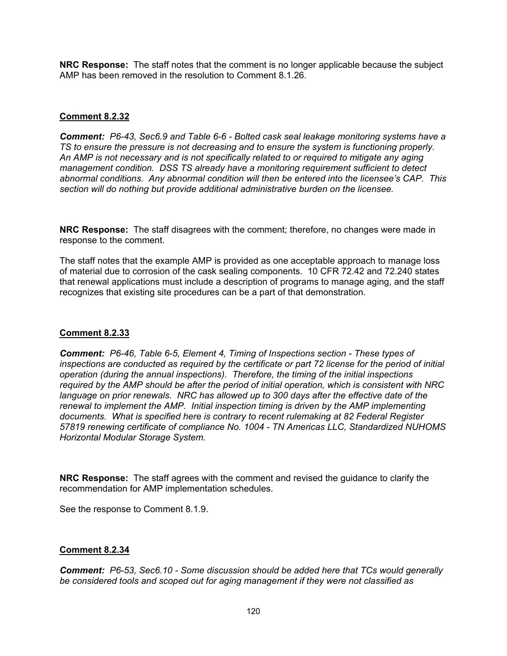**NRC Response:** The staff notes that the comment is no longer applicable because the subject AMP has been removed in the resolution to Comment 8.1.26.

### **Comment 8.2.32**

*Comment: P6-43, Sec6.9 and Table 6-6 - Bolted cask seal leakage monitoring systems have a TS to ensure the pressure is not decreasing and to ensure the system is functioning properly. An AMP is not necessary and is not specifically related to or required to mitigate any aging management condition. DSS TS already have a monitoring requirement sufficient to detect abnormal conditions. Any abnormal condition will then be entered into the licensee's CAP. This section will do nothing but provide additional administrative burden on the licensee.* 

**NRC Response:** The staff disagrees with the comment; therefore, no changes were made in response to the comment.

The staff notes that the example AMP is provided as one acceptable approach to manage loss of material due to corrosion of the cask sealing components. 10 CFR 72.42 and 72.240 states that renewal applications must include a description of programs to manage aging, and the staff recognizes that existing site procedures can be a part of that demonstration.

### **Comment 8.2.33**

*Comment: P6-46, Table 6-5, Element 4, Timing of Inspections section - These types of inspections are conducted as required by the certificate or part 72 license for the period of initial operation (during the annual inspections). Therefore, the timing of the initial inspections required by the AMP should be after the period of initial operation, which is consistent with NRC language on prior renewals. NRC has allowed up to 300 days after the effective date of the renewal to implement the AMP. Initial inspection timing is driven by the AMP implementing documents. What is specified here is contrary to recent rulemaking at 82 Federal Register 57819 renewing certificate of compliance No. 1004 - TN Americas LLC, Standardized NUHOMS Horizontal Modular Storage System.* 

**NRC Response:** The staff agrees with the comment and revised the guidance to clarify the recommendation for AMP implementation schedules.

See the response to Comment 8.1.9.

### **Comment 8.2.34**

*Comment: P6-53, Sec6.10 - Some discussion should be added here that TCs would generally be considered tools and scoped out for aging management if they were not classified as*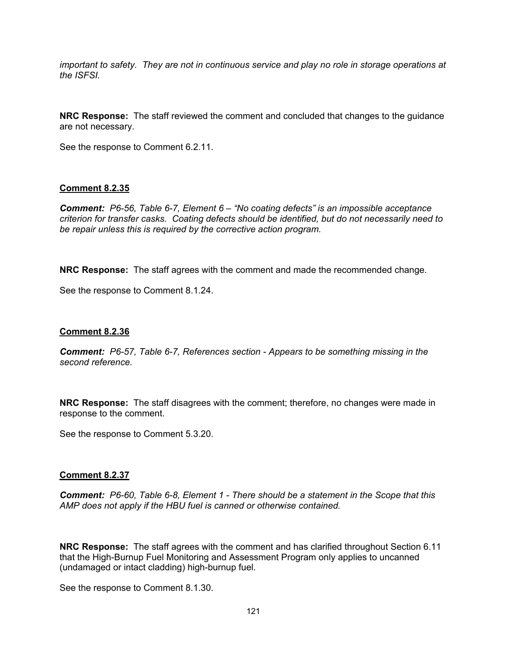*important to safety. They are not in continuous service and play no role in storage operations at the ISFSI.* 

**NRC Response:** The staff reviewed the comment and concluded that changes to the guidance are not necessary.

See the response to Comment 6.2.11.

### **Comment 8.2.35**

*Comment: P6-56, Table 6-7, Element 6 – "No coating defects" is an impossible acceptance criterion for transfer casks. Coating defects should be identified, but do not necessarily need to be repair unless this is required by the corrective action program.* 

**NRC Response:** The staff agrees with the comment and made the recommended change.

See the response to Comment 8.1.24.

### **Comment 8.2.36**

*Comment: P6-57, Table 6-7, References section - Appears to be something missing in the second reference.* 

**NRC Response:** The staff disagrees with the comment; therefore, no changes were made in response to the comment.

See the response to Comment 5.3.20.

### **Comment 8.2.37**

*Comment: P6-60, Table 6-8, Element 1 - There should be a statement in the Scope that this AMP does not apply if the HBU fuel is canned or otherwise contained.* 

**NRC Response:** The staff agrees with the comment and has clarified throughout Section 6.11 that the High-Burnup Fuel Monitoring and Assessment Program only applies to uncanned (undamaged or intact cladding) high-burnup fuel.

See the response to Comment 8.1.30.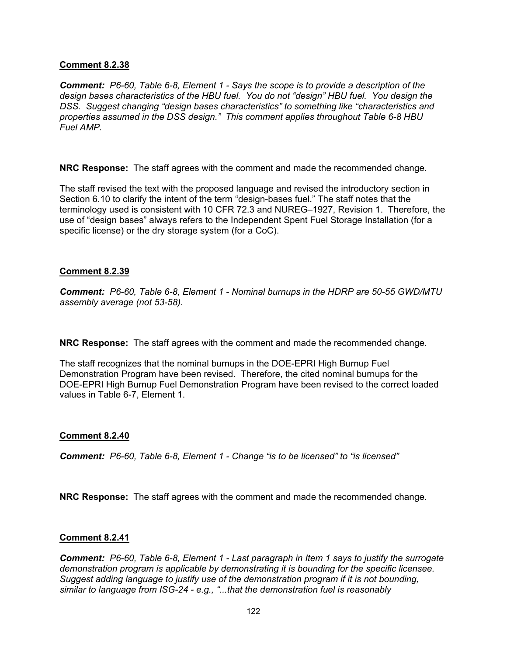### **Comment 8.2.38**

*Comment: P6-60, Table 6-8, Element 1 - Says the scope is to provide a description of the design bases characteristics of the HBU fuel. You do not "design" HBU fuel. You design the DSS. Suggest changing "design bases characteristics" to something like "characteristics and properties assumed in the DSS design." This comment applies throughout Table 6-8 HBU Fuel AMP.* 

**NRC Response:** The staff agrees with the comment and made the recommended change.

The staff revised the text with the proposed language and revised the introductory section in Section 6.10 to clarify the intent of the term "design-bases fuel." The staff notes that the terminology used is consistent with 10 CFR 72.3 and NUREG–1927, Revision 1. Therefore, the use of "design bases" always refers to the Independent Spent Fuel Storage Installation (for a specific license) or the dry storage system (for a CoC).

### **Comment 8.2.39**

*Comment: P6-60, Table 6-8, Element 1 - Nominal burnups in the HDRP are 50-55 GWD/MTU assembly average (not 53-58).* 

**NRC Response:** The staff agrees with the comment and made the recommended change.

The staff recognizes that the nominal burnups in the DOE-EPRI High Burnup Fuel Demonstration Program have been revised. Therefore, the cited nominal burnups for the DOE-EPRI High Burnup Fuel Demonstration Program have been revised to the correct loaded values in Table 6-7, Element 1.

## **Comment 8.2.40**

*Comment: P6-60, Table 6-8, Element 1 - Change "is to be licensed" to "is licensed"* 

**NRC Response:** The staff agrees with the comment and made the recommended change.

### **Comment 8.2.41**

*Comment: P6-60, Table 6-8, Element 1 - Last paragraph in Item 1 says to justify the surrogate demonstration program is applicable by demonstrating it is bounding for the specific licensee. Suggest adding language to justify use of the demonstration program if it is not bounding, similar to language from ISG-24 - e.g., "...that the demonstration fuel is reasonably*